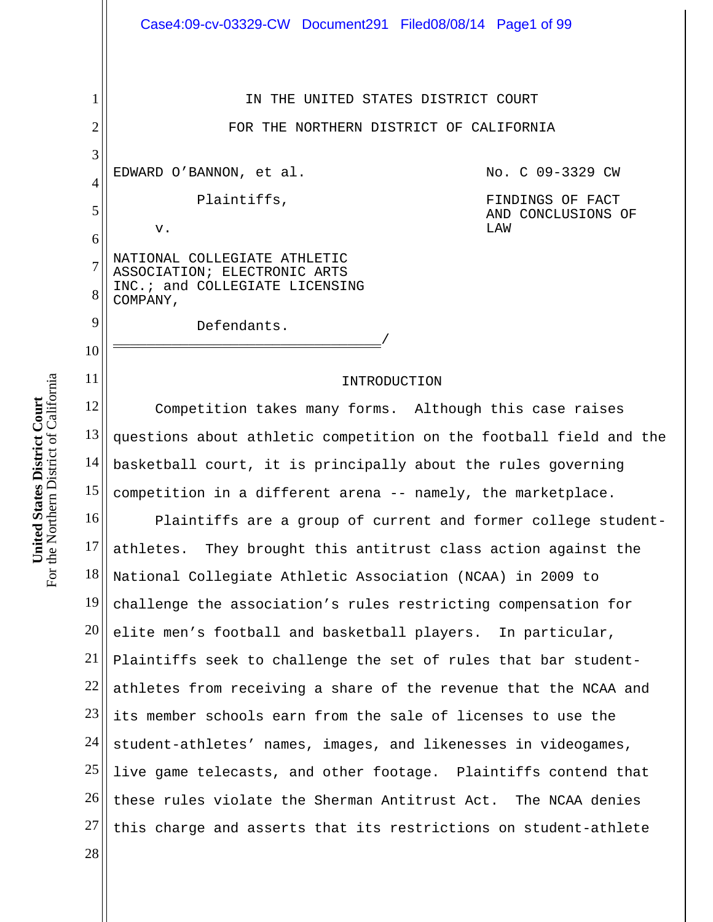1 2 3 4 5 6 7 8 9 10 11 12 13 14 15 16 17 18 19 20 21 22 23 24 25 26 27 28 IN THE UNITED STATES DISTRICT COURT FOR THE NORTHERN DISTRICT OF CALIFORNIA EDWARD O'BANNON, et al. Plaintiffs, v. NATIONAL COLLEGIATE ATHLETIC ASSOCIATION; ELECTRONIC ARTS INC.; and COLLEGIATE LICENSING COMPANY, Defendants. \_\_\_\_\_\_\_\_\_\_\_\_\_\_\_\_\_\_\_\_\_\_\_\_\_\_\_\_\_\_\_\_/ No. C 09-3329 CW FINDINGS OF FACT AND CONCLUSIONS OF LAW Ξ INTRODUCTION Competition takes many forms. Although this case raises questions about athletic competition on the football field and the basketball court, it is principally about the rules governing competition in a different arena -- namely, the marketplace. Plaintiffs are a group of current and former college studentathletes. They brought this antitrust class action against the National Collegiate Athletic Association (NCAA) in 2009 to challenge the association's rules restricting compensation for elite men's football and basketball players. In particular, Plaintiffs seek to challenge the set of rules that bar studentathletes from receiving a share of the revenue that the NCAA and its member schools earn from the sale of licenses to use the student-athletes' names, images, and likenesses in videogames, live game telecasts, and other footage. Plaintiffs contend that these rules violate the Sherman Antitrust Act. The NCAA denies this charge and asserts that its restrictions on student-athlete Case4:09-cv-03329-CW Document291 Filed08/08/14 Page1 of 99

For the Northern District of California For the Northern District of California **United States District Court United States District Court**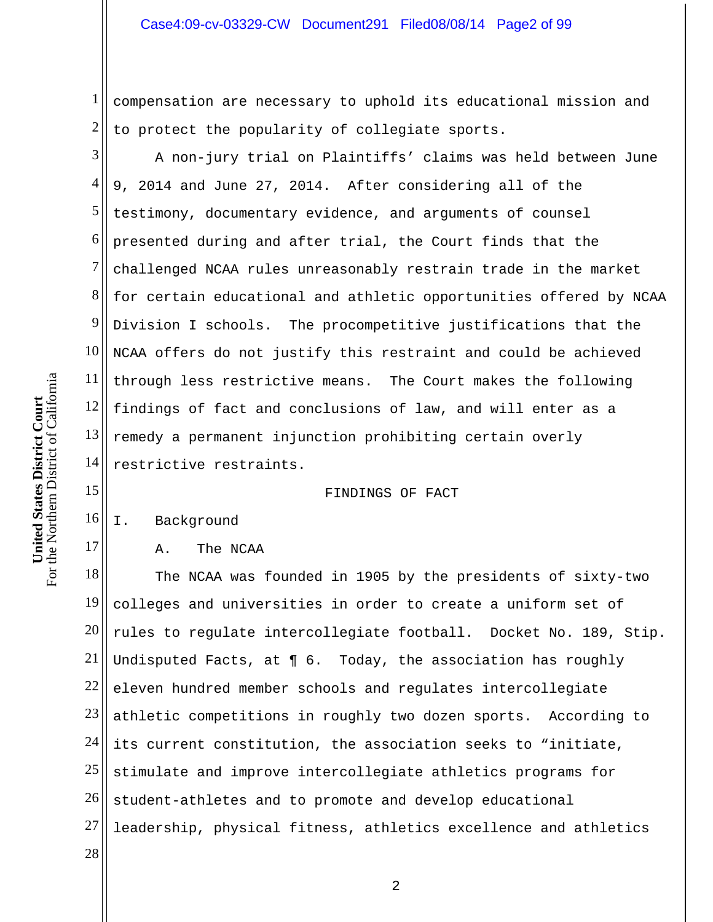1 2 compensation are necessary to uphold its educational mission and to protect the popularity of collegiate sports.

3 4 5 6 7 8 9 10 11 12 13 14 A non-jury trial on Plaintiffs' claims was held between June 9, 2014 and June 27, 2014. After considering all of the testimony, documentary evidence, and arguments of counsel presented during and after trial, the Court finds that the challenged NCAA rules unreasonably restrain trade in the market for certain educational and athletic opportunities offered by NCAA Division I schools. The procompetitive justifications that the NCAA offers do not justify this restraint and could be achieved through less restrictive means. The Court makes the following findings of fact and conclusions of law, and will enter as a remedy a permanent injunction prohibiting certain overly restrictive restraints.

FINDINGS OF FACT

## 16 I. Background

## A. The NCAA

18 19 20 21 22 23 24 25 26 27 28 The NCAA was founded in 1905 by the presidents of sixty-two colleges and universities in order to create a uniform set of rules to regulate intercollegiate football. Docket No. 189, Stip. Undisputed Facts, at ¶ 6. Today, the association has roughly eleven hundred member schools and regulates intercollegiate athletic competitions in roughly two dozen sports. According to its current constitution, the association seeks to "initiate, stimulate and improve intercollegiate athletics programs for student-athletes and to promote and develop educational leadership, physical fitness, athletics excellence and athletics

15

17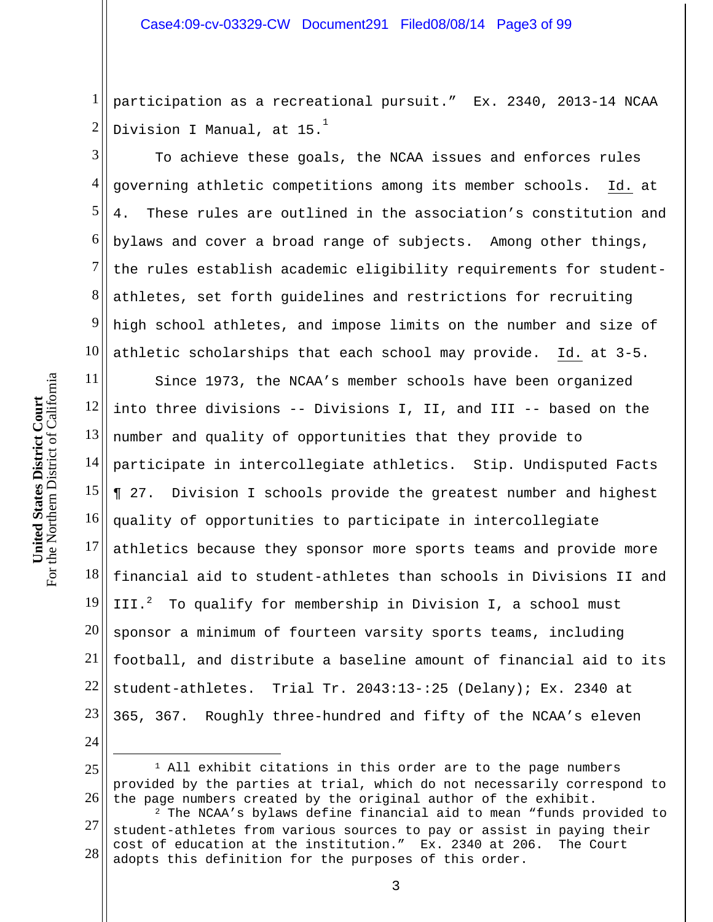1 2 participation as a recreational pursuit." Ex. 2340, 2013-14 NCAA Division I Manual, at 15. $^{\overset{1}{\phantom{1}}}\,$ 

3 4 5 6 7 8 9 10 To achieve these goals, the NCAA issues and enforces rules governing athletic competitions among its member schools. Id. at 4. These rules are outlined in the association's constitution and bylaws and cover a broad range of subjects. Among other things, the rules establish academic eligibility requirements for studentathletes, set forth guidelines and restrictions for recruiting high school athletes, and impose limits on the number and size of athletic scholarships that each school may provide. Id. at 3-5.

11 12 13 14 15 16 17 18 19 20 21 22 23 24 Since 1973, the NCAA's member schools have been organized into three divisions -- Divisions I, II, and III -- based on the number and quality of opportunities that they provide to participate in intercollegiate athletics. Stip. Undisputed Facts ¶ 27. Division I schools provide the greatest number and highest quality of opportunities to participate in intercollegiate athletics because they sponsor more sports teams and provide more financial aid to student-athletes than schools in Divisions II and III.<sup>2</sup> To qualify for membership in Division I, a school must sponsor a minimum of fourteen varsity sports teams, including football, and distribute a baseline amount of financial aid to its student-athletes. Trial Tr. 2043:13-:25 (Delany); Ex. 2340 at 365, 367. Roughly three-hundred and fifty of the NCAA's eleven

- 25 26 <sup>1</sup> All exhibit citations in this order are to the page numbers provided by the parties at trial, which do not necessarily correspond to the page numbers created by the original author of the exhibit.<br><sup>2</sup> The NCAA's bylaws define financial aid to mean "funds provided to
- 27 28 student-athletes from various sources to pay or assist in paying their cost of education at the institution." Ex. 2340 at 206. The Court adopts this definition for the purposes of this order.

 $\overline{a}$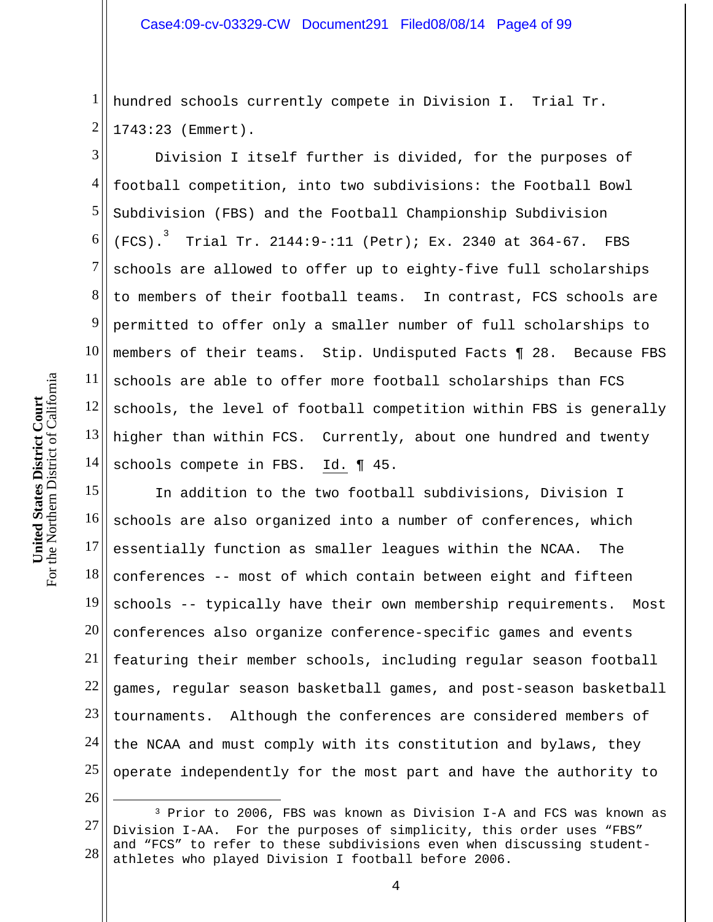1 2 hundred schools currently compete in Division I. Trial Tr. 1743:23 (Emmert).

3 4 5 6 7 8 9 10 11 12 13 14 Division I itself further is divided, for the purposes of football competition, into two subdivisions: the Football Bowl Subdivision (FBS) and the Football Championship Subdivision (FCS). 3 Trial Tr. 2144:9-:11 (Petr); Ex. 2340 at 364-67. FBS schools are allowed to offer up to eighty-five full scholarships to members of their football teams. In contrast, FCS schools are permitted to offer only a smaller number of full scholarships to members of their teams. Stip. Undisputed Facts ¶ 28. Because FBS schools are able to offer more football scholarships than FCS schools, the level of football competition within FBS is generally higher than within FCS. Currently, about one hundred and twenty schools compete in FBS. Id. ¶ 45.

15 16 17 18 19 20 21 22 23 24 25 In addition to the two football subdivisions, Division I schools are also organized into a number of conferences, which essentially function as smaller leagues within the NCAA. The conferences -- most of which contain between eight and fifteen schools -- typically have their own membership requirements. Most conferences also organize conference-specific games and events featuring their member schools, including regular season football games, regular season basketball games, and post-season basketball tournaments. Although the conferences are considered members of the NCAA and must comply with its constitution and bylaws, they operate independently for the most part and have the authority to

26

 $\overline{a}$ 

<sup>27</sup>  28 3 Prior to 2006, FBS was known as Division I-A and FCS was known as Division I-AA. For the purposes of simplicity, this order uses "FBS" and "FCS" to refer to these subdivisions even when discussing studentathletes who played Division I football before 2006.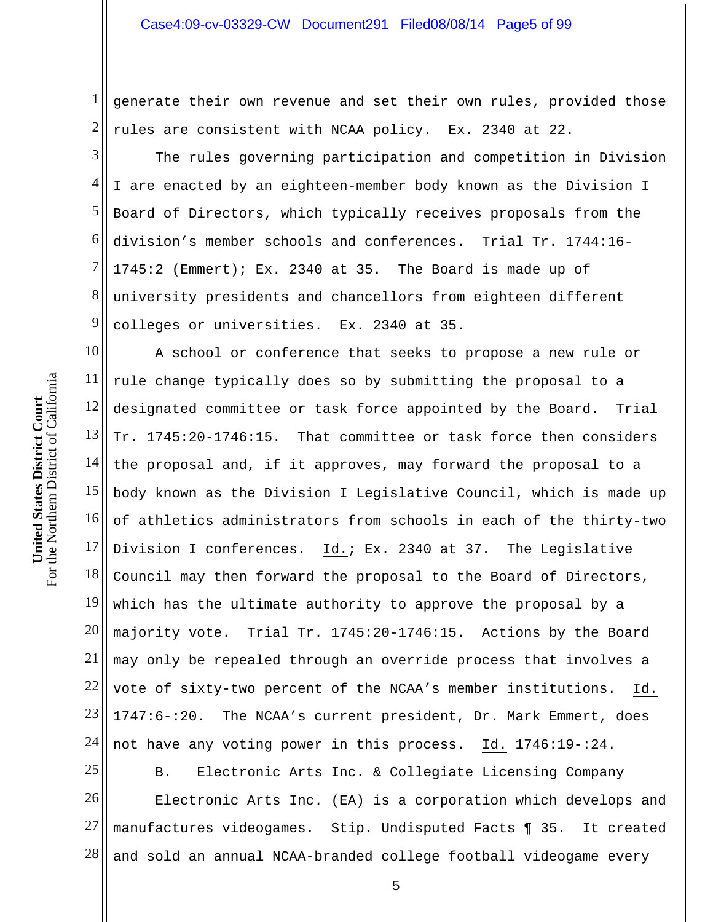1 2 generate their own revenue and set their own rules, provided those rules are consistent with NCAA policy. Ex. 2340 at 22.

3 4 5 6 7 8 9 The rules governing participation and competition in Division I are enacted by an eighteen-member body known as the Division I Board of Directors, which typically receives proposals from the division's member schools and conferences. Trial Tr. 1744:16- 1745:2 (Emmert); Ex. 2340 at 35. The Board is made up of university presidents and chancellors from eighteen different colleges or universities. Ex. 2340 at 35.

10 11 12  $13$ 14 15 16 17 18 19 20 21 22 23 24 A school or conference that seeks to propose a new rule or rule change typically does so by submitting the proposal to a designated committee or task force appointed by the Board. Trial Tr. 1745:20-1746:15. That committee or task force then considers the proposal and, if it approves, may forward the proposal to a body known as the Division I Legislative Council, which is made up of athletics administrators from schools in each of the thirty-two Division I conferences. Id.; Ex. 2340 at 37. The Legislative Council may then forward the proposal to the Board of Directors, which has the ultimate authority to approve the proposal by a majority vote. Trial Tr. 1745:20-1746:15. Actions by the Board may only be repealed through an override process that involves a vote of sixty-two percent of the NCAA's member institutions. Id. 1747:6-:20. The NCAA's current president, Dr. Mark Emmert, does not have any voting power in this process. Id. 1746:19-:24.

25 26 27 28 B. Electronic Arts Inc. & Collegiate Licensing Company Electronic Arts Inc. (EA) is a corporation which develops and manufactures videogames. Stip. Undisputed Facts ¶ 35. It created and sold an annual NCAA-branded college football videogame every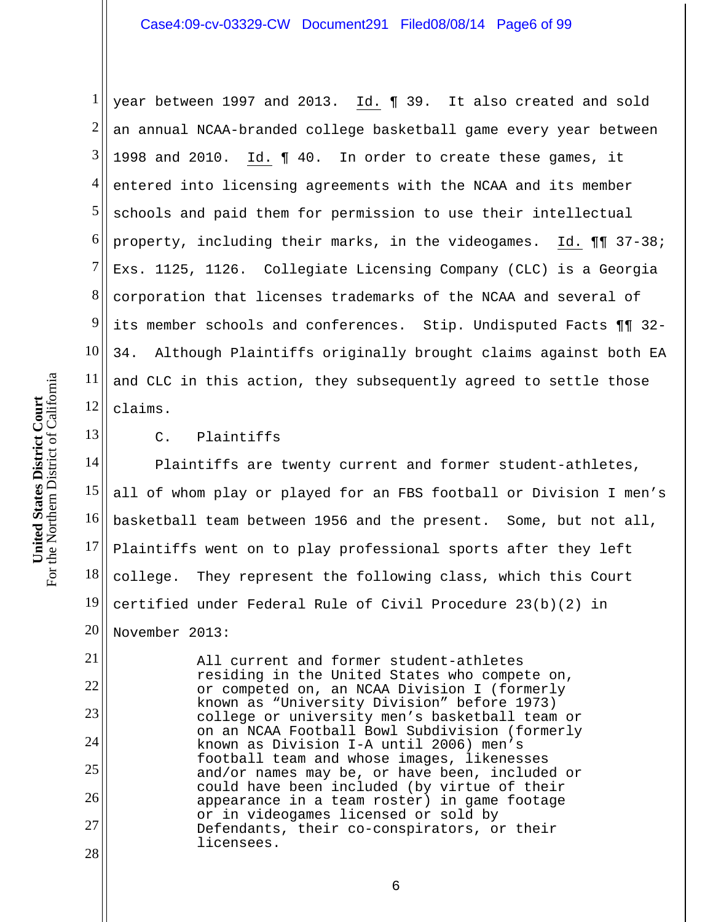1 2 3 4 5 6 7 8 9 10 11 12 year between 1997 and 2013. Id. ¶ 39. It also created and sold an annual NCAA-branded college basketball game every year between 1998 and 2010. Id. ¶ 40. In order to create these games, it entered into licensing agreements with the NCAA and its member schools and paid them for permission to use their intellectual property, including their marks, in the videogames. Id. ¶¶ 37-38; Exs. 1125, 1126. Collegiate Licensing Company (CLC) is a Georgia corporation that licenses trademarks of the NCAA and several of its member schools and conferences. Stip. Undisputed Facts ¶¶ 32- 34. Although Plaintiffs originally brought claims against both EA and CLC in this action, they subsequently agreed to settle those claims.

13

21

22

23

24

25

26

27

28

C. Plaintiffs

14 15 16 17 18 19 20 Plaintiffs are twenty current and former student-athletes, all of whom play or played for an FBS football or Division I men's basketball team between 1956 and the present. Some, but not all, Plaintiffs went on to play professional sports after they left college. They represent the following class, which this Court certified under Federal Rule of Civil Procedure 23(b)(2) in November 2013:

All current and former student-athletes residing in the United States who compete on, or competed on, an NCAA Division I (formerly known as "University Division" before 1973) college or university men's basketball team or on an NCAA Football Bowl Subdivision (formerly known as Division I-A until 2006) men's football team and whose images, likenesses and/or names may be, or have been, included or could have been included (by virtue of their appearance in a team roster) in game footage or in videogames licensed or sold by Defendants, their co-conspirators, or their licensees.

For the Northern District of California For the Northern District of California **United States District Court**  United States District Court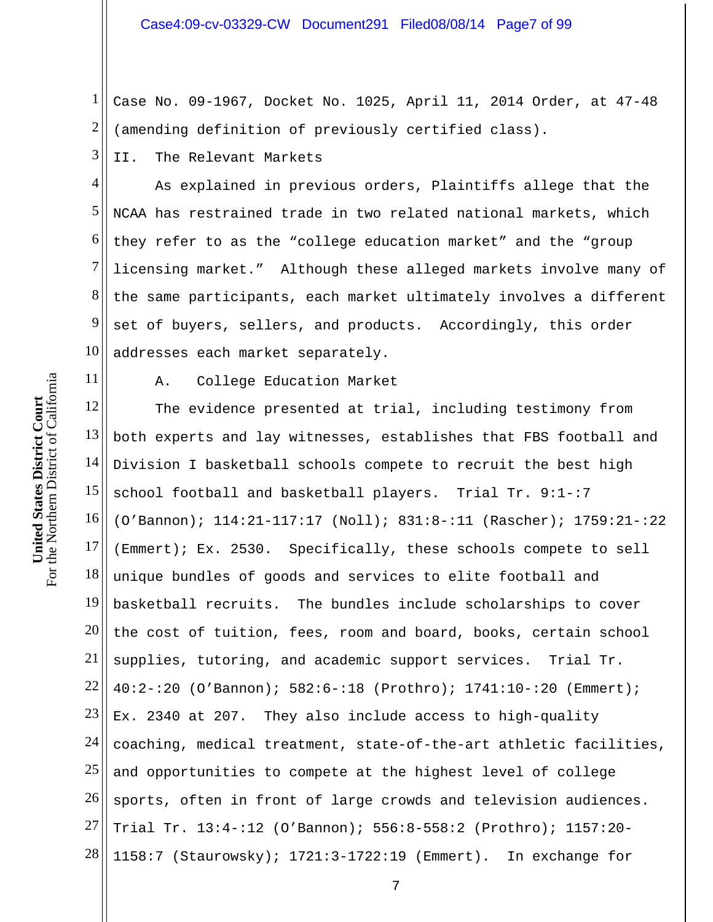1 2 Case No. 09-1967, Docket No. 1025, April 11, 2014 Order, at 47-48 (amending definition of previously certified class).

3 II. The Relevant Markets

4 5 6 7 8 9 10 As explained in previous orders, Plaintiffs allege that the NCAA has restrained trade in two related national markets, which they refer to as the "college education market" and the "group licensing market." Although these alleged markets involve many of the same participants, each market ultimately involves a different set of buyers, sellers, and products. Accordingly, this order addresses each market separately.

11

A. College Education Market

12 13 14 15 16 17 18 19 20 21 22 23 24 25 26 27 28 The evidence presented at trial, including testimony from both experts and lay witnesses, establishes that FBS football and Division I basketball schools compete to recruit the best high school football and basketball players. Trial Tr. 9:1-:7 (O'Bannon); 114:21-117:17 (Noll); 831:8-:11 (Rascher); 1759:21-:22 (Emmert); Ex. 2530. Specifically, these schools compete to sell unique bundles of goods and services to elite football and basketball recruits. The bundles include scholarships to cover the cost of tuition, fees, room and board, books, certain school supplies, tutoring, and academic support services. Trial Tr. 40:2-:20 (O'Bannon); 582:6-:18 (Prothro); 1741:10-:20 (Emmert); Ex. 2340 at 207. They also include access to high-quality coaching, medical treatment, state-of-the-art athletic facilities, and opportunities to compete at the highest level of college sports, often in front of large crowds and television audiences. Trial Tr. 13:4-:12 (O'Bannon); 556:8-558:2 (Prothro); 1157:20- 1158:7 (Staurowsky); 1721:3-1722:19 (Emmert). In exchange for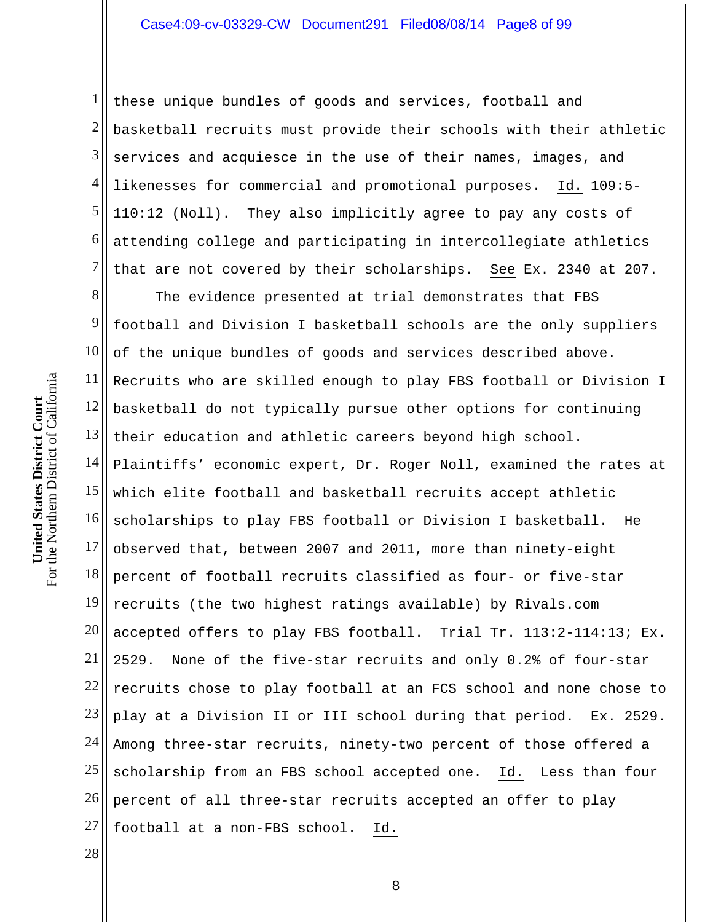1 2 3 4 5 6 7 these unique bundles of goods and services, football and basketball recruits must provide their schools with their athletic services and acquiesce in the use of their names, images, and likenesses for commercial and promotional purposes. Id. 109:5- 110:12 (Noll). They also implicitly agree to pay any costs of attending college and participating in intercollegiate athletics that are not covered by their scholarships. See Ex. 2340 at 207.

8 9 10 11 12 13 14 15 16 17 18 19 20 21 22 23 24 25 26 27 The evidence presented at trial demonstrates that FBS football and Division I basketball schools are the only suppliers of the unique bundles of goods and services described above. Recruits who are skilled enough to play FBS football or Division I basketball do not typically pursue other options for continuing their education and athletic careers beyond high school. Plaintiffs' economic expert, Dr. Roger Noll, examined the rates at which elite football and basketball recruits accept athletic scholarships to play FBS football or Division I basketball. He observed that, between 2007 and 2011, more than ninety-eight percent of football recruits classified as four- or five-star recruits (the two highest ratings available) by Rivals.com accepted offers to play FBS football. Trial Tr. 113:2-114:13; Ex. 2529. None of the five-star recruits and only 0.2% of four-star recruits chose to play football at an FCS school and none chose to play at a Division II or III school during that period. Ex. 2529. Among three-star recruits, ninety-two percent of those offered a scholarship from an FBS school accepted one. Id. Less than four percent of all three-star recruits accepted an offer to play football at a non-FBS school. Id.

28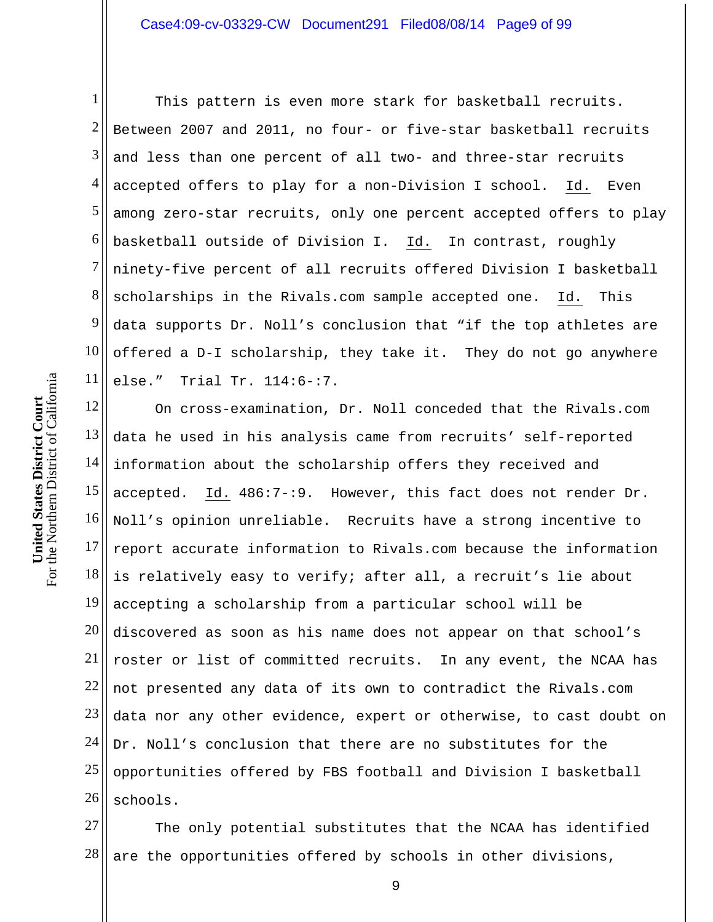1 2 3 4 5 6 7 8 9 10 11 This pattern is even more stark for basketball recruits. Between 2007 and 2011, no four- or five-star basketball recruits and less than one percent of all two- and three-star recruits accepted offers to play for a non-Division I school. Id. Even among zero-star recruits, only one percent accepted offers to play basketball outside of Division I. Id. In contrast, roughly ninety-five percent of all recruits offered Division I basketball scholarships in the Rivals.com sample accepted one. Id. This data supports Dr. Noll's conclusion that "if the top athletes are offered a D-I scholarship, they take it. They do not go anywhere else." Trial Tr. 114:6-:7.

12 13 14 15 16 17 18 19 20 21 22 23 24 25 26 On cross-examination, Dr. Noll conceded that the Rivals.com data he used in his analysis came from recruits' self-reported information about the scholarship offers they received and accepted. Id. 486:7-:9. However, this fact does not render Dr. Noll's opinion unreliable. Recruits have a strong incentive to report accurate information to Rivals.com because the information is relatively easy to verify; after all, a recruit's lie about accepting a scholarship from a particular school will be discovered as soon as his name does not appear on that school's roster or list of committed recruits. In any event, the NCAA has not presented any data of its own to contradict the Rivals.com data nor any other evidence, expert or otherwise, to cast doubt on Dr. Noll's conclusion that there are no substitutes for the opportunities offered by FBS football and Division I basketball schools.

27 28 The only potential substitutes that the NCAA has identified are the opportunities offered by schools in other divisions,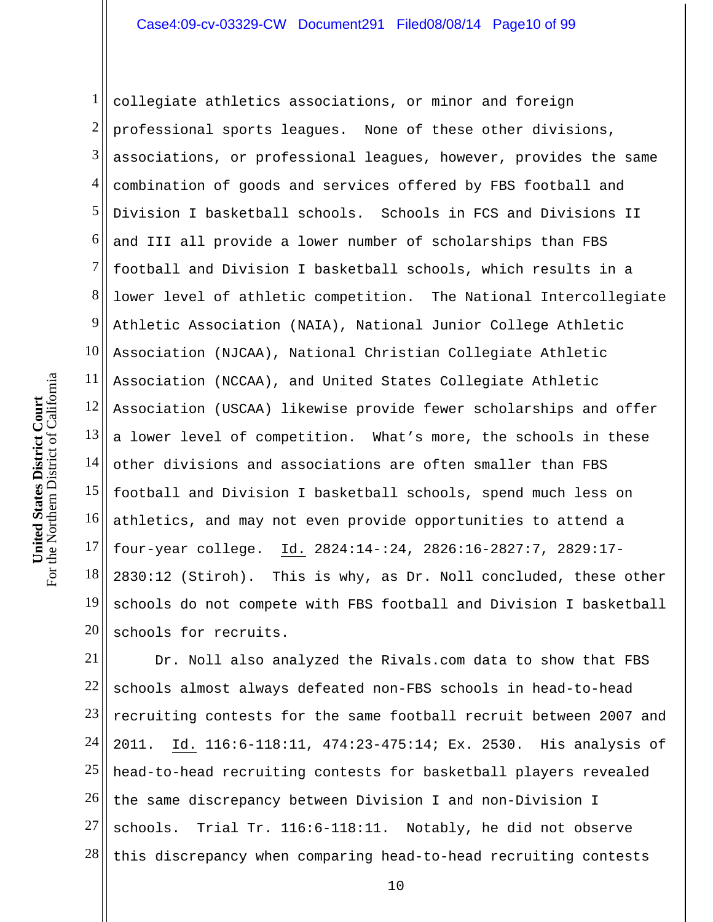1 2 3 4 5 6 7 8 9 10 11 12  $13$ 14 15 16 17 18 19 20 collegiate athletics associations, or minor and foreign professional sports leagues. None of these other divisions, associations, or professional leagues, however, provides the same combination of goods and services offered by FBS football and Division I basketball schools. Schools in FCS and Divisions II and III all provide a lower number of scholarships than FBS football and Division I basketball schools, which results in a lower level of athletic competition. The National Intercollegiate Athletic Association (NAIA), National Junior College Athletic Association (NJCAA), National Christian Collegiate Athletic Association (NCCAA), and United States Collegiate Athletic Association (USCAA) likewise provide fewer scholarships and offer a lower level of competition. What's more, the schools in these other divisions and associations are often smaller than FBS football and Division I basketball schools, spend much less on athletics, and may not even provide opportunities to attend a four-year college. Id. 2824:14-:24, 2826:16-2827:7, 2829:17- 2830:12 (Stiroh). This is why, as Dr. Noll concluded, these other schools do not compete with FBS football and Division I basketball schools for recruits.

21 22 23 24 25 26 27 28 Dr. Noll also analyzed the Rivals.com data to show that FBS schools almost always defeated non-FBS schools in head-to-head recruiting contests for the same football recruit between 2007 and 2011. Id. 116:6-118:11, 474:23-475:14; Ex. 2530. His analysis of head-to-head recruiting contests for basketball players revealed the same discrepancy between Division I and non-Division I schools. Trial Tr. 116:6-118:11. Notably, he did not observe this discrepancy when comparing head-to-head recruiting contests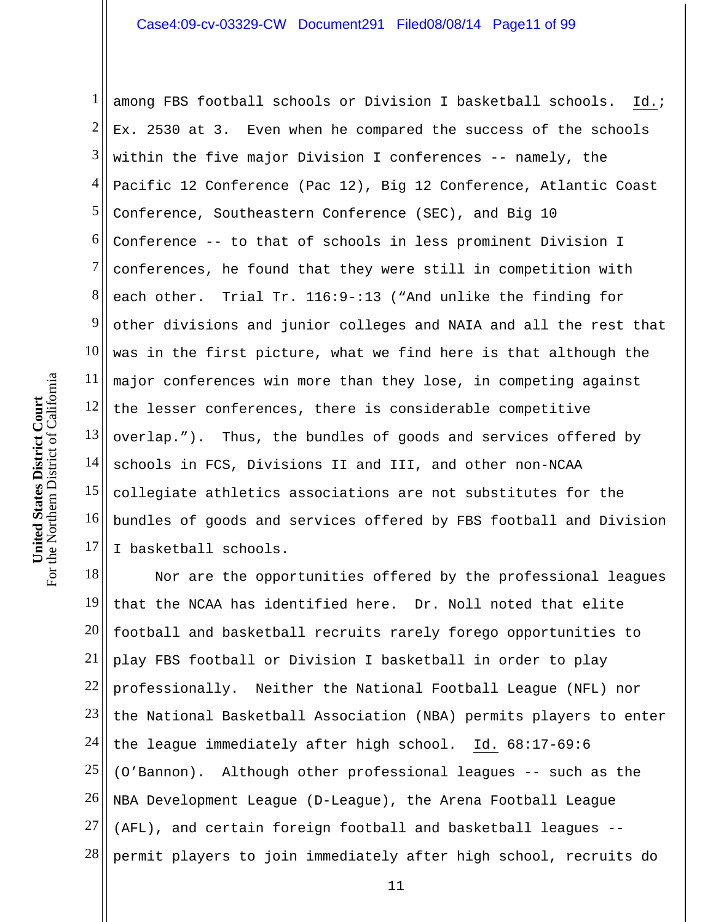1 2 3 4 5 6 7 8 9 10 11 12 13 14 15 16 17 among FBS football schools or Division I basketball schools. Id.; Ex. 2530 at 3. Even when he compared the success of the schools within the five major Division I conferences -- namely, the Pacific 12 Conference (Pac 12), Big 12 Conference, Atlantic Coast Conference, Southeastern Conference (SEC), and Big 10 Conference -- to that of schools in less prominent Division I conferences, he found that they were still in competition with each other. Trial Tr. 116:9-:13 ("And unlike the finding for other divisions and junior colleges and NAIA and all the rest that was in the first picture, what we find here is that although the major conferences win more than they lose, in competing against the lesser conferences, there is considerable competitive overlap."). Thus, the bundles of goods and services offered by schools in FCS, Divisions II and III, and other non-NCAA collegiate athletics associations are not substitutes for the bundles of goods and services offered by FBS football and Division I basketball schools.

18 19 20 21 22 23 24 25 26 27 28 Nor are the opportunities offered by the professional leagues that the NCAA has identified here. Dr. Noll noted that elite football and basketball recruits rarely forego opportunities to play FBS football or Division I basketball in order to play professionally. Neither the National Football League (NFL) nor the National Basketball Association (NBA) permits players to enter the league immediately after high school. Id. 68:17-69:6 (O'Bannon). Although other professional leagues -- such as the NBA Development League (D-League), the Arena Football League (AFL), and certain foreign football and basketball leagues - permit players to join immediately after high school, recruits do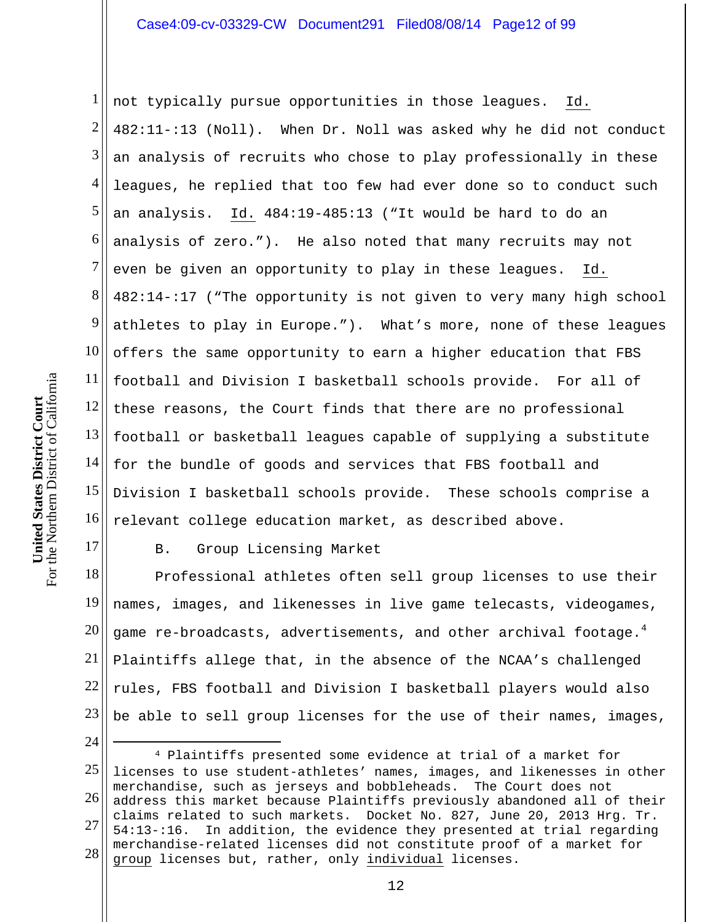1 2 3 4 5 6 7 8 9 10 11 12  $13$ 14 15 16 not typically pursue opportunities in those leagues. Id. 482:11-:13 (Noll). When Dr. Noll was asked why he did not conduct an analysis of recruits who chose to play professionally in these leagues, he replied that too few had ever done so to conduct such an analysis. Id. 484:19-485:13 ("It would be hard to do an analysis of zero."). He also noted that many recruits may not even be given an opportunity to play in these leagues. Id. 482:14-:17 ("The opportunity is not given to very many high school athletes to play in Europe."). What's more, none of these leagues offers the same opportunity to earn a higher education that FBS football and Division I basketball schools provide. For all of these reasons, the Court finds that there are no professional football or basketball leagues capable of supplying a substitute for the bundle of goods and services that FBS football and Division I basketball schools provide. These schools comprise a relevant college education market, as described above.

B. Group Licensing Market

18 19 20 21 22 23 Professional athletes often sell group licenses to use their names, images, and likenesses in live game telecasts, videogames, game re-broadcasts, advertisements, and other archival footage. $^4$ Plaintiffs allege that, in the absence of the NCAA's challenged rules, FBS football and Division I basketball players would also be able to sell group licenses for the use of their names, images,

25 26 27 28 4 Plaintiffs presented some evidence at trial of a market for licenses to use student-athletes' names, images, and likenesses in other merchandise, such as jerseys and bobbleheads. The Court does not address this market because Plaintiffs previously abandoned all of their claims related to such markets. Docket No. 827, June 20, 2013 Hrg. Tr. 54:13-:16. In addition, the evidence they presented at trial regarding merchandise-related licenses did not constitute proof of a market for group licenses but, rather, only individual licenses.

17

24

 $\overline{a}$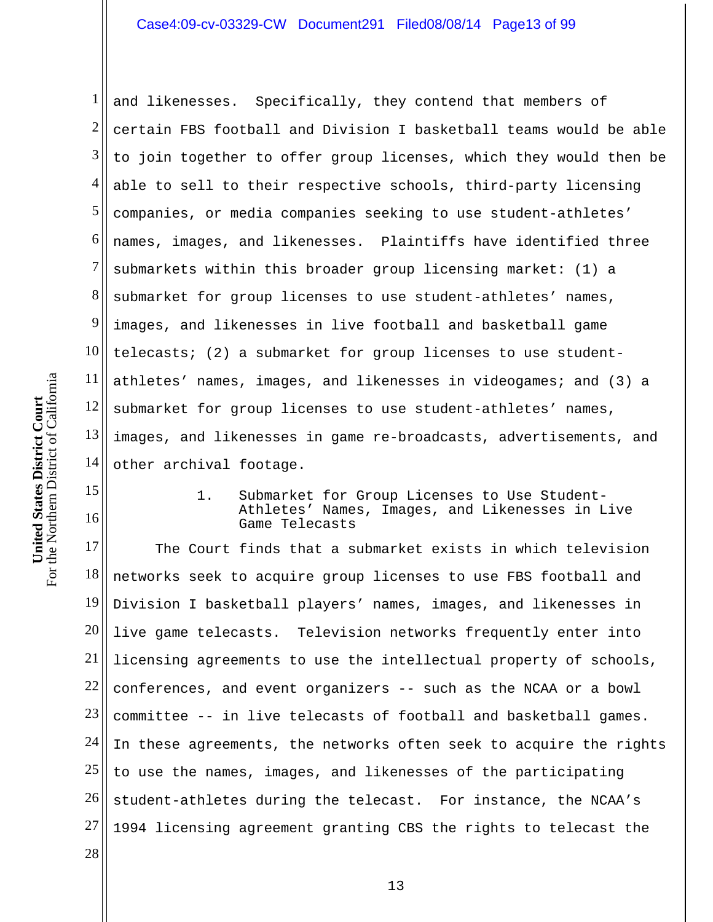1 2 3 4 5 6 7 8 9 10 11 12 13 14 and likenesses. Specifically, they contend that members of certain FBS football and Division I basketball teams would be able to join together to offer group licenses, which they would then be able to sell to their respective schools, third-party licensing companies, or media companies seeking to use student-athletes' names, images, and likenesses. Plaintiffs have identified three submarkets within this broader group licensing market: (1) a submarket for group licenses to use student-athletes' names, images, and likenesses in live football and basketball game telecasts; (2) a submarket for group licenses to use studentathletes' names, images, and likenesses in videogames; and (3) a submarket for group licenses to use student-athletes' names, images, and likenesses in game re-broadcasts, advertisements, and other archival footage.

> 1. Submarket for Group Licenses to Use Student-Athletes' Names, Images, and Likenesses in Live Game Telecasts

17 18 19 20 21 22 23 24 25 26 27 28 The Court finds that a submarket exists in which television networks seek to acquire group licenses to use FBS football and Division I basketball players' names, images, and likenesses in live game telecasts. Television networks frequently enter into licensing agreements to use the intellectual property of schools, conferences, and event organizers -- such as the NCAA or a bowl committee -- in live telecasts of football and basketball games. In these agreements, the networks often seek to acquire the rights to use the names, images, and likenesses of the participating student-athletes during the telecast. For instance, the NCAA's 1994 licensing agreement granting CBS the rights to telecast the

15

16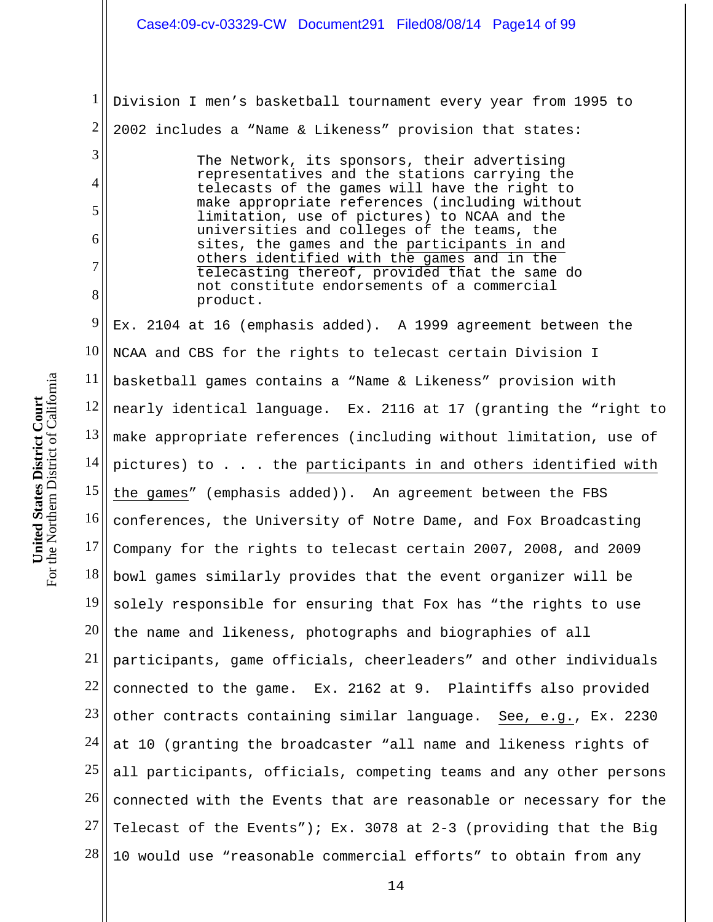1 2 3 4 5 6 7 8 9 10 11 12 13 14 15 16 17 18 19 20 21 22 23 24 25 26 27 28 Division I men's basketball tournament every year from 1995 to 2002 includes a "Name & Likeness" provision that states: The Network, its sponsors, their advertising representatives and the stations carrying the telecasts of the games will have the right to make appropriate references (including without limitation, use of pictures) to NCAA and the universities and colleges of the teams, the sites, the games and the participants in and others identified with the games and in the telecasting thereof, provided that the same do not constitute endorsements of a commercial product. Ex. 2104 at 16 (emphasis added). A 1999 agreement between the NCAA and CBS for the rights to telecast certain Division I basketball games contains a "Name & Likeness" provision with nearly identical language. Ex. 2116 at 17 (granting the "right to make appropriate references (including without limitation, use of pictures) to . . . the participants in and others identified with the games" (emphasis added)). An agreement between the FBS conferences, the University of Notre Dame, and Fox Broadcasting Company for the rights to telecast certain 2007, 2008, and 2009 bowl games similarly provides that the event organizer will be solely responsible for ensuring that Fox has "the rights to use the name and likeness, photographs and biographies of all participants, game officials, cheerleaders" and other individuals connected to the game. Ex. 2162 at 9. Plaintiffs also provided other contracts containing similar language. See, e.g., Ex. 2230 at 10 (granting the broadcaster "all name and likeness rights of all participants, officials, competing teams and any other persons connected with the Events that are reasonable or necessary for the Telecast of the Events"); Ex. 3078 at 2-3 (providing that the Big 10 would use "reasonable commercial efforts" to obtain from any Case4:09-cv-03329-CW Document291 Filed08/08/14 Page14 of 99

For the Northern District of California For the Northern District of California **United States District Court**  United States District Court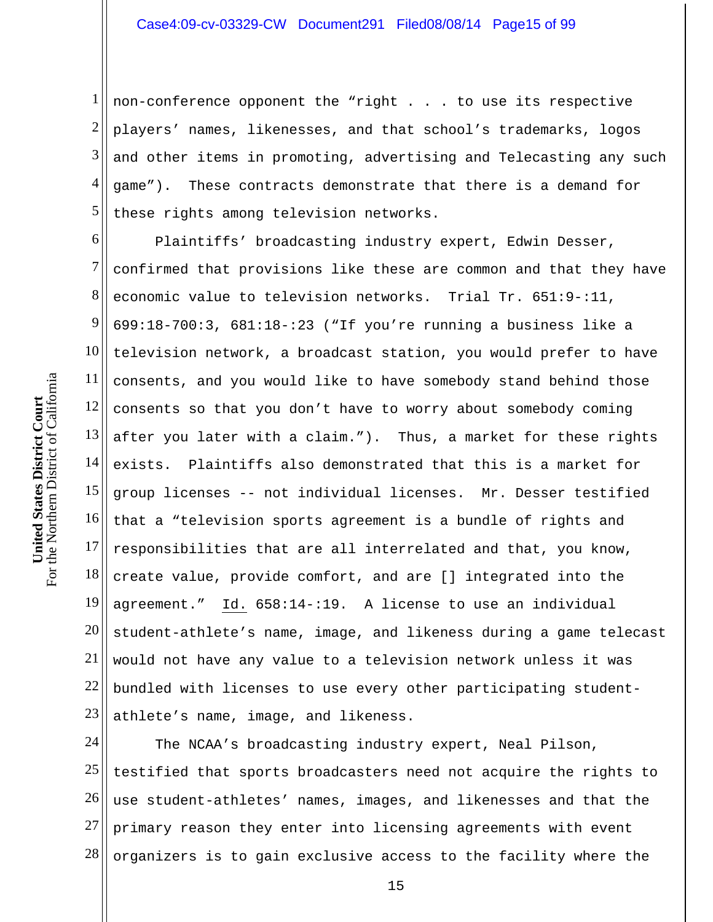1 2 3 4 5 non-conference opponent the "right . . . to use its respective players' names, likenesses, and that school's trademarks, logos and other items in promoting, advertising and Telecasting any such game"). These contracts demonstrate that there is a demand for these rights among television networks.

6 7 8 9 10 11 12  $13$ 14 15 16 17 18 19 20 21 22 23 Plaintiffs' broadcasting industry expert, Edwin Desser, confirmed that provisions like these are common and that they have economic value to television networks. Trial Tr. 651:9-:11, 699:18-700:3, 681:18-:23 ("If you're running a business like a television network, a broadcast station, you would prefer to have consents, and you would like to have somebody stand behind those consents so that you don't have to worry about somebody coming after you later with a claim."). Thus, a market for these rights exists. Plaintiffs also demonstrated that this is a market for group licenses -- not individual licenses. Mr. Desser testified that a "television sports agreement is a bundle of rights and responsibilities that are all interrelated and that, you know, create value, provide comfort, and are [] integrated into the agreement." Id. 658:14-:19. A license to use an individual student-athlete's name, image, and likeness during a game telecast would not have any value to a television network unless it was bundled with licenses to use every other participating studentathlete's name, image, and likeness.

24 25 26 27 28 The NCAA's broadcasting industry expert, Neal Pilson, testified that sports broadcasters need not acquire the rights to use student-athletes' names, images, and likenesses and that the primary reason they enter into licensing agreements with event organizers is to gain exclusive access to the facility where the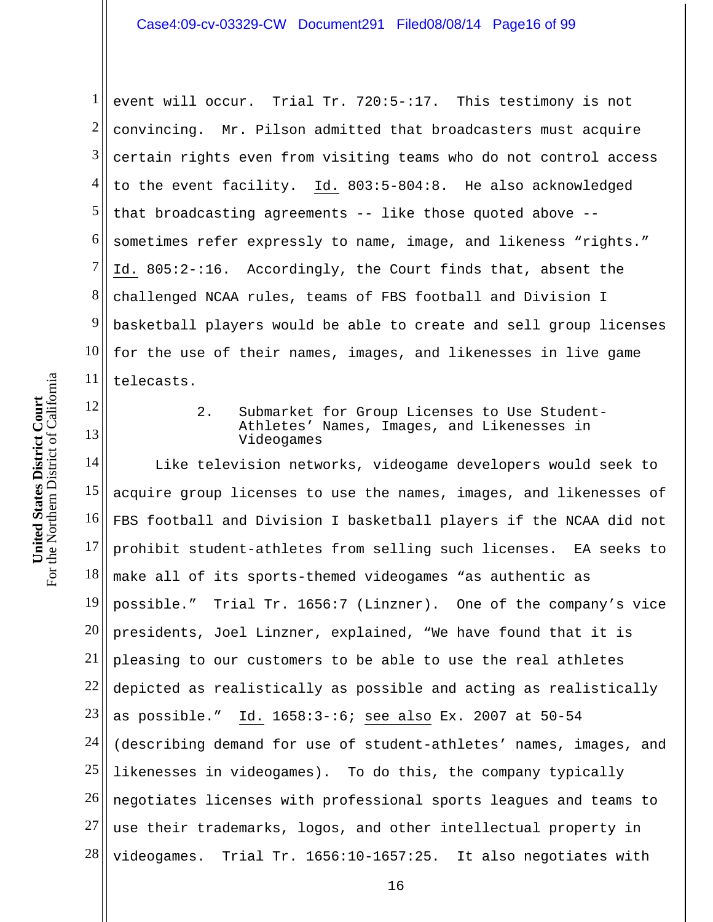1 2 3 4 5 6 7 8 9 10 11 event will occur. Trial Tr. 720:5-:17. This testimony is not convincing. Mr. Pilson admitted that broadcasters must acquire certain rights even from visiting teams who do not control access to the event facility. Id. 803:5-804:8. He also acknowledged that broadcasting agreements -- like those quoted above - sometimes refer expressly to name, image, and likeness "rights." Id. 805:2-:16. Accordingly, the Court finds that, absent the challenged NCAA rules, teams of FBS football and Division I basketball players would be able to create and sell group licenses for the use of their names, images, and likenesses in live game telecasts.

12 13

2. Submarket for Group Licenses to Use Student-Athletes' Names, Images, and Likenesses in Videogames

14 15 16 17 18 19 20 21 22 23 24 25 26 27 28 Like television networks, videogame developers would seek to acquire group licenses to use the names, images, and likenesses of FBS football and Division I basketball players if the NCAA did not prohibit student-athletes from selling such licenses. EA seeks to make all of its sports-themed videogames "as authentic as possible." Trial Tr. 1656:7 (Linzner). One of the company's vice presidents, Joel Linzner, explained, "We have found that it is pleasing to our customers to be able to use the real athletes depicted as realistically as possible and acting as realistically as possible." Id. 1658:3-:6; see also Ex. 2007 at 50-54 (describing demand for use of student-athletes' names, images, and likenesses in videogames). To do this, the company typically negotiates licenses with professional sports leagues and teams to use their trademarks, logos, and other intellectual property in videogames. Trial Tr. 1656:10-1657:25. It also negotiates with

16

For the Northern District of California For the Northern District of California **United States District Court**  United States District Court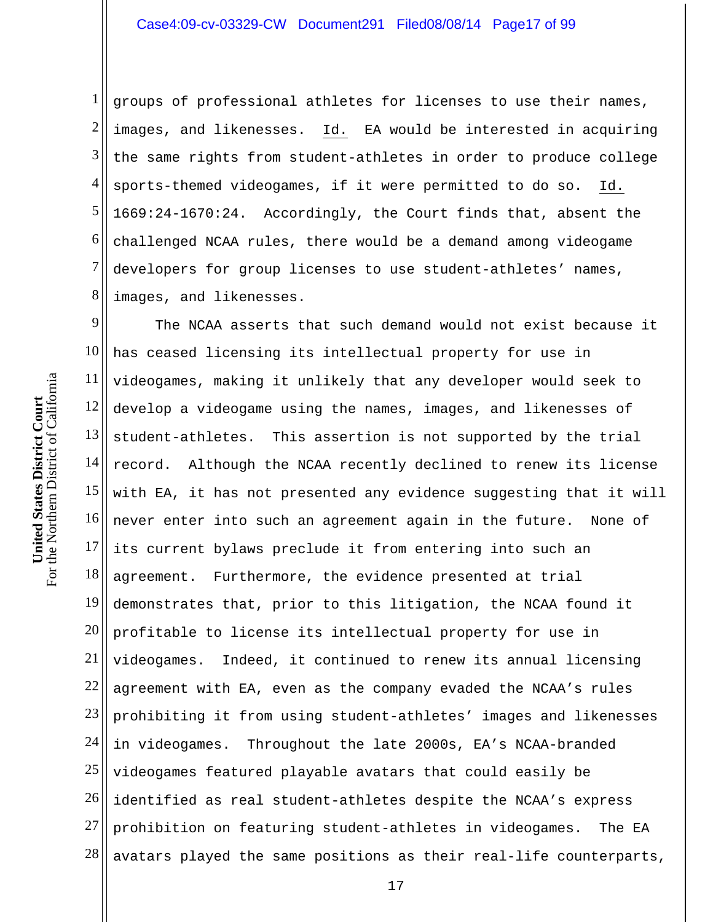1 2 3 4 5 6 7 8 groups of professional athletes for licenses to use their names, images, and likenesses. Id. EA would be interested in acquiring the same rights from student-athletes in order to produce college sports-themed videogames, if it were permitted to do so. Id. 1669:24-1670:24. Accordingly, the Court finds that, absent the challenged NCAA rules, there would be a demand among videogame developers for group licenses to use student-athletes' names, images, and likenesses.

9 10 11 12 13 14 15 16 17 18 19 20 21 22 23 24 25 26 27 28 The NCAA asserts that such demand would not exist because it has ceased licensing its intellectual property for use in videogames, making it unlikely that any developer would seek to develop a videogame using the names, images, and likenesses of student-athletes. This assertion is not supported by the trial record. Although the NCAA recently declined to renew its license with EA, it has not presented any evidence suggesting that it will never enter into such an agreement again in the future. None of its current bylaws preclude it from entering into such an agreement. Furthermore, the evidence presented at trial demonstrates that, prior to this litigation, the NCAA found it profitable to license its intellectual property for use in videogames. Indeed, it continued to renew its annual licensing agreement with EA, even as the company evaded the NCAA's rules prohibiting it from using student-athletes' images and likenesses in videogames. Throughout the late 2000s, EA's NCAA-branded videogames featured playable avatars that could easily be identified as real student-athletes despite the NCAA's express prohibition on featuring student-athletes in videogames. The EA avatars played the same positions as their real-life counterparts,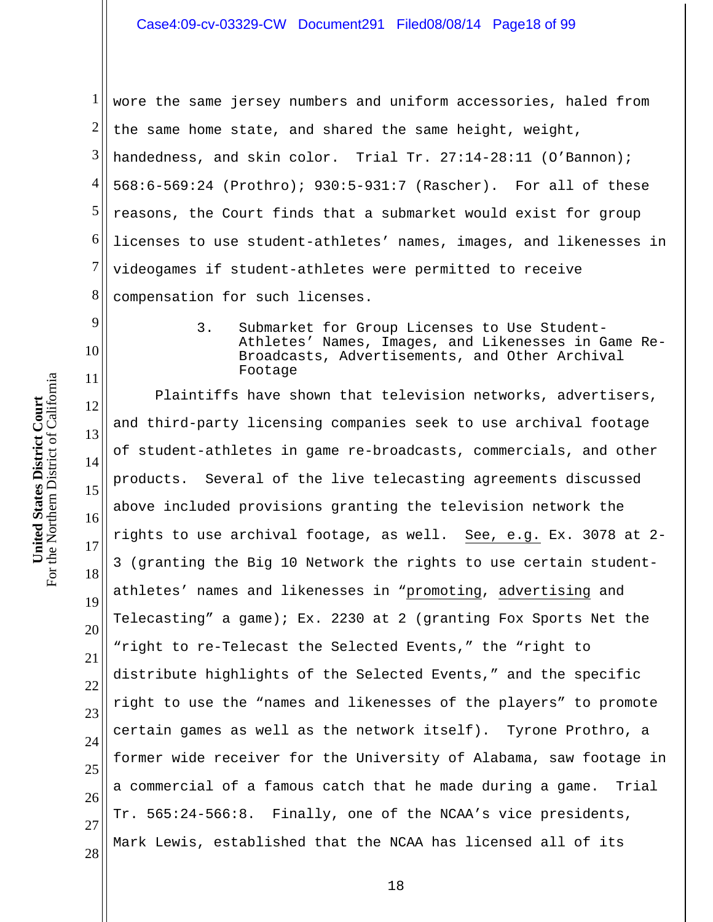1 2 3 4 5 6 7 8 wore the same jersey numbers and uniform accessories, haled from the same home state, and shared the same height, weight, handedness, and skin color. Trial Tr. 27:14-28:11 (O'Bannon); 568:6-569:24 (Prothro); 930:5-931:7 (Rascher). For all of these reasons, the Court finds that a submarket would exist for group licenses to use student-athletes' names, images, and likenesses in videogames if student-athletes were permitted to receive compensation for such licenses.

> 3. Submarket for Group Licenses to Use Student-Athletes' Names, Images, and Likenesses in Game Re-Broadcasts, Advertisements, and Other Archival Footage

12 13 14 15 16 17 18 19 20 21 22 23 24 25 26 27 28 Plaintiffs have shown that television networks, advertisers, and third-party licensing companies seek to use archival footage of student-athletes in game re-broadcasts, commercials, and other products. Several of the live telecasting agreements discussed above included provisions granting the television network the rights to use archival footage, as well. See, e.g. Ex. 3078 at 2- 3 (granting the Big 10 Network the rights to use certain studentathletes' names and likenesses in "promoting, advertising and Telecasting" a game); Ex. 2230 at 2 (granting Fox Sports Net the "right to re-Telecast the Selected Events," the "right to distribute highlights of the Selected Events," and the specific right to use the "names and likenesses of the players" to promote certain games as well as the network itself). Tyrone Prothro, a former wide receiver for the University of Alabama, saw footage in a commercial of a famous catch that he made during a game. Trial Tr. 565:24-566:8. Finally, one of the NCAA's vice presidents, Mark Lewis, established that the NCAA has licensed all of its

9

10

11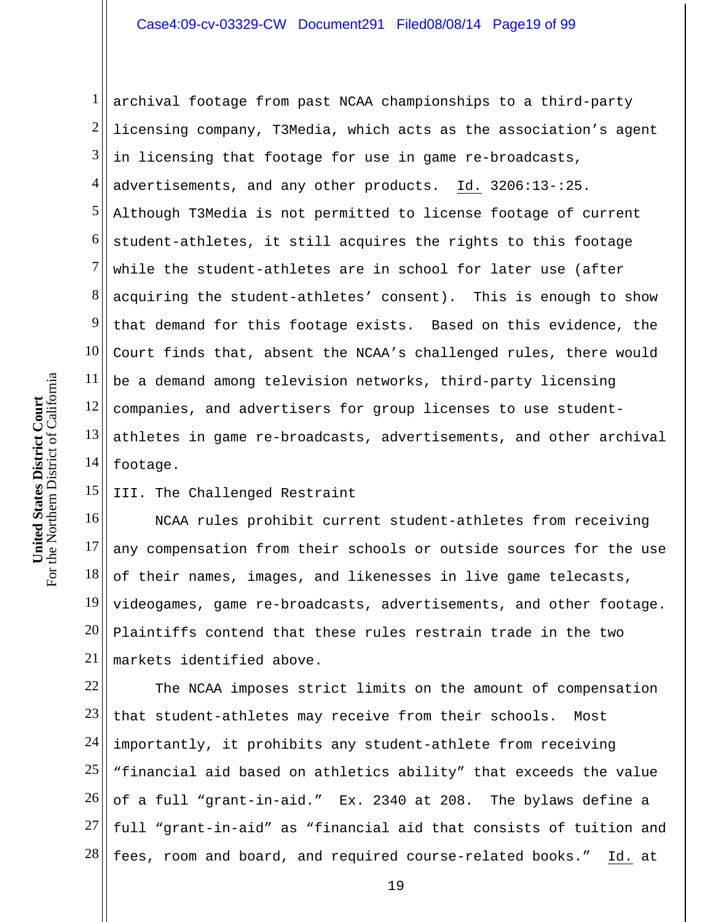1 2 3 4 5 6 7 8 9 10 11 12 13 14 archival footage from past NCAA championships to a third-party licensing company, T3Media, which acts as the association's agent in licensing that footage for use in game re-broadcasts, advertisements, and any other products. Id. 3206:13-:25. Although T3Media is not permitted to license footage of current student-athletes, it still acquires the rights to this footage while the student-athletes are in school for later use (after acquiring the student-athletes' consent). This is enough to show that demand for this footage exists. Based on this evidence, the Court finds that, absent the NCAA's challenged rules, there would be a demand among television networks, third-party licensing companies, and advertisers for group licenses to use studentathletes in game re-broadcasts, advertisements, and other archival footage.

15 III. The Challenged Restraint

16 17 18 19 20 21 NCAA rules prohibit current student-athletes from receiving any compensation from their schools or outside sources for the use of their names, images, and likenesses in live game telecasts, videogames, game re-broadcasts, advertisements, and other footage. Plaintiffs contend that these rules restrain trade in the two markets identified above.

22 23 24 25 26 27 28 The NCAA imposes strict limits on the amount of compensation that student-athletes may receive from their schools. Most importantly, it prohibits any student-athlete from receiving "financial aid based on athletics ability" that exceeds the value of a full "grant-in-aid." Ex. 2340 at 208. The bylaws define a full "grant-in-aid" as "financial aid that consists of tuition and fees, room and board, and required course-related books." Id. at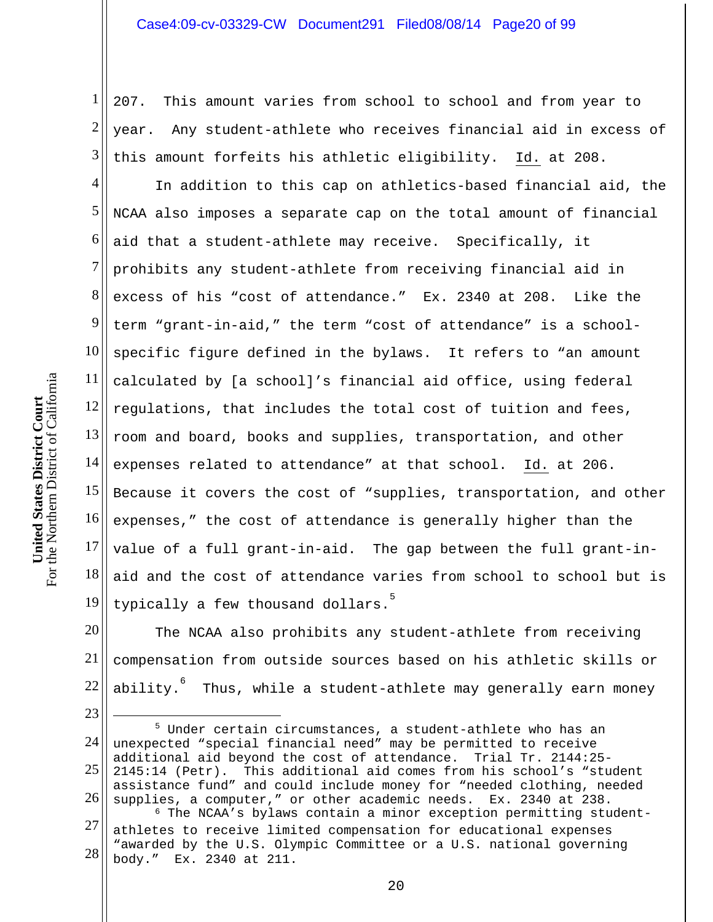1 2 3 207. This amount varies from school to school and from year to year. Any student-athlete who receives financial aid in excess of this amount forfeits his athletic eligibility. Id. at 208.

4 5 6 7 8 9 10 11  $12$  $13$ 14 15 16 17 18 19 In addition to this cap on athletics-based financial aid, the NCAA also imposes a separate cap on the total amount of financial aid that a student-athlete may receive. Specifically, it prohibits any student-athlete from receiving financial aid in excess of his "cost of attendance." Ex. 2340 at 208. Like the term "grant-in-aid," the term "cost of attendance" is a schoolspecific figure defined in the bylaws. It refers to "an amount calculated by [a school]'s financial aid office, using federal regulations, that includes the total cost of tuition and fees, room and board, books and supplies, transportation, and other expenses related to attendance" at that school. Id. at 206. Because it covers the cost of "supplies, transportation, and other expenses," the cost of attendance is generally higher than the value of a full grant-in-aid. The gap between the full grant-inaid and the cost of attendance varies from school to school but is typically a few thousand dollars.<sup>3</sup>

20 21 22 The NCAA also prohibits any student-athlete from receiving compensation from outside sources based on his athletic skills or ability. $^6$  -Thus, while a student-athlete may generally earn money

24 25

23

 $\overline{a}$ 

body." Ex. 2340 at 211.

<sup>26</sup>  27 28 <sup>5</sup> Under certain circumstances, a student-athlete who has an unexpected "special financial need" may be permitted to receive additional aid beyond the cost of attendance. Trial Tr. 2144:25- 2145:14 (Petr). This additional aid comes from his school's "student assistance fund" and could include money for "needed clothing, needed supplies, a computer," or other academic needs. Ex. 2340 at 238. <sup>6</sup> The NCAA's bylaws contain a minor exception permitting studentathletes to receive limited compensation for educational expenses "awarded by the U.S. Olympic Committee or a U.S. national governing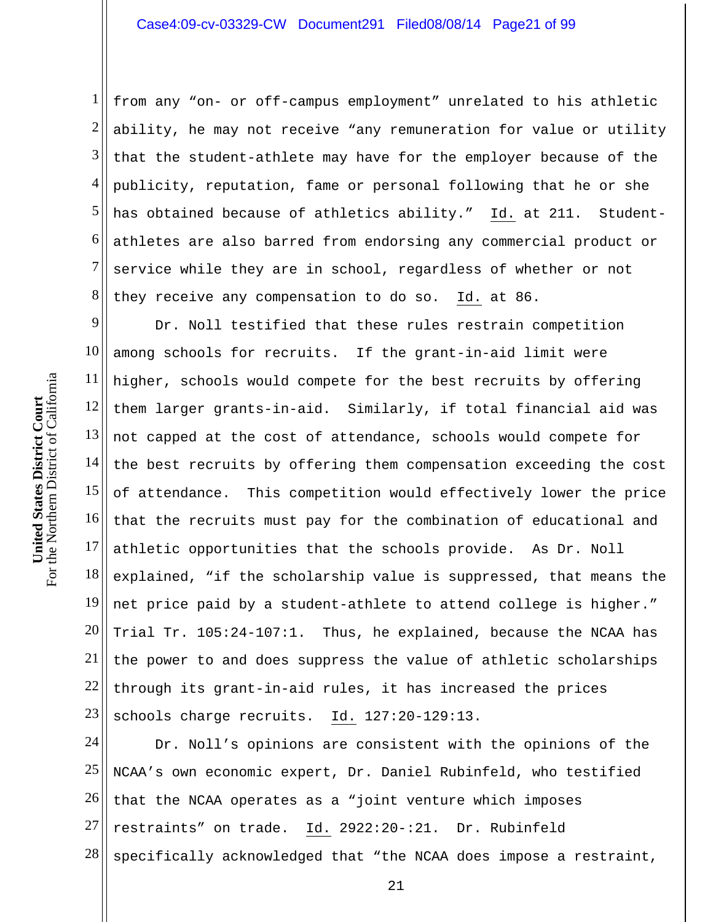1 2 3 4 5 6 7 8 from any "on- or off-campus employment" unrelated to his athletic ability, he may not receive "any remuneration for value or utility that the student-athlete may have for the employer because of the publicity, reputation, fame or personal following that he or she has obtained because of athletics ability." Id. at 211. Studentathletes are also barred from endorsing any commercial product or service while they are in school, regardless of whether or not they receive any compensation to do so. Id. at 86.

9 10 11 12 13 14 15 16 17 18 19 20 21 22 23 Dr. Noll testified that these rules restrain competition among schools for recruits. If the grant-in-aid limit were higher, schools would compete for the best recruits by offering them larger grants-in-aid. Similarly, if total financial aid was not capped at the cost of attendance, schools would compete for the best recruits by offering them compensation exceeding the cost of attendance. This competition would effectively lower the price that the recruits must pay for the combination of educational and athletic opportunities that the schools provide. As Dr. Noll explained, "if the scholarship value is suppressed, that means the net price paid by a student-athlete to attend college is higher." Trial Tr. 105:24-107:1. Thus, he explained, because the NCAA has the power to and does suppress the value of athletic scholarships through its grant-in-aid rules, it has increased the prices schools charge recruits. Id. 127:20-129:13.

24 25 26 27 28 Dr. Noll's opinions are consistent with the opinions of the NCAA's own economic expert, Dr. Daniel Rubinfeld, who testified that the NCAA operates as a "joint venture which imposes restraints" on trade. Id. 2922:20-:21. Dr. Rubinfeld specifically acknowledged that "the NCAA does impose a restraint,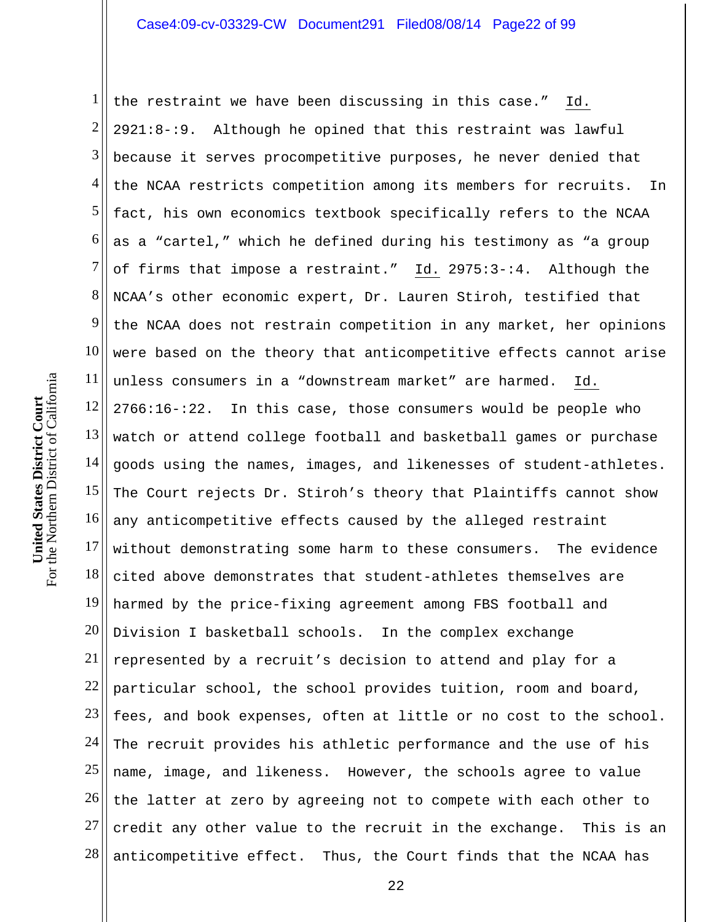1 2 3 4 5 6 7 8 9 10 11 12 13 14 15 16 17 18 19 20 21 22 23 24 25 26 27 28 the restraint we have been discussing in this case." Id. 2921:8-:9. Although he opined that this restraint was lawful because it serves procompetitive purposes, he never denied that the NCAA restricts competition among its members for recruits. In fact, his own economics textbook specifically refers to the NCAA as a "cartel," which he defined during his testimony as "a group of firms that impose a restraint." Id. 2975:3-:4. Although the NCAA's other economic expert, Dr. Lauren Stiroh, testified that the NCAA does not restrain competition in any market, her opinions were based on the theory that anticompetitive effects cannot arise unless consumers in a "downstream market" are harmed. Id. 2766:16-:22. In this case, those consumers would be people who watch or attend college football and basketball games or purchase goods using the names, images, and likenesses of student-athletes. The Court rejects Dr. Stiroh's theory that Plaintiffs cannot show any anticompetitive effects caused by the alleged restraint without demonstrating some harm to these consumers. The evidence cited above demonstrates that student-athletes themselves are harmed by the price-fixing agreement among FBS football and Division I basketball schools. In the complex exchange represented by a recruit's decision to attend and play for a particular school, the school provides tuition, room and board, fees, and book expenses, often at little or no cost to the school. The recruit provides his athletic performance and the use of his name, image, and likeness. However, the schools agree to value the latter at zero by agreeing not to compete with each other to credit any other value to the recruit in the exchange. This is an anticompetitive effect. Thus, the Court finds that the NCAA has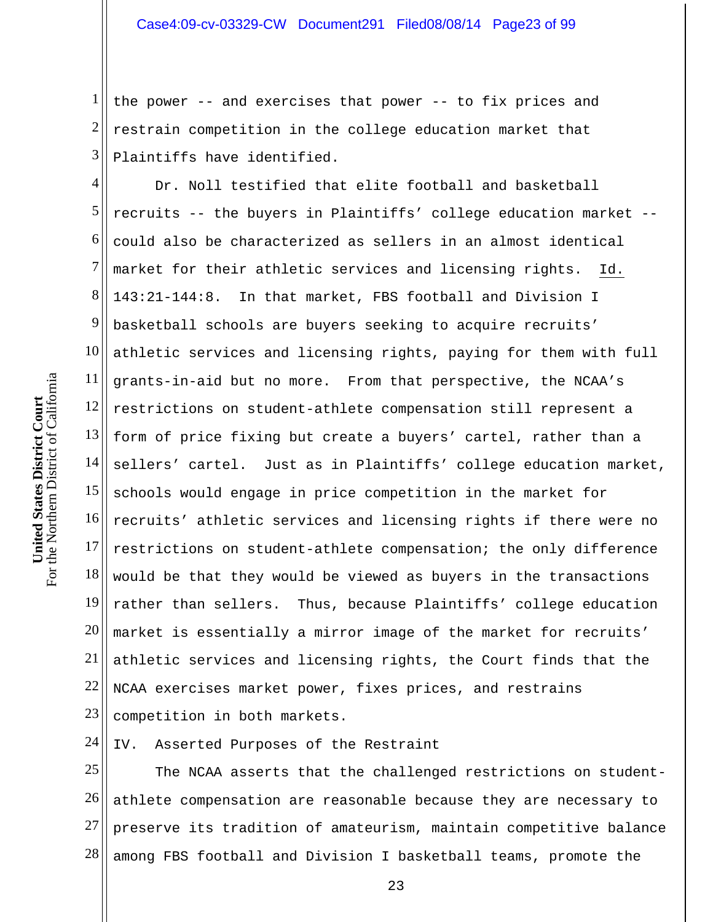1 2 3 the power -- and exercises that power -- to fix prices and restrain competition in the college education market that Plaintiffs have identified.

4 5 6 7 8 9 10 11 12 13 14 15 16 17 18 19 20 21 22 23 Dr. Noll testified that elite football and basketball recruits -- the buyers in Plaintiffs' college education market - could also be characterized as sellers in an almost identical market for their athletic services and licensing rights. Id. 143:21-144:8. In that market, FBS football and Division I basketball schools are buyers seeking to acquire recruits' athletic services and licensing rights, paying for them with full grants-in-aid but no more. From that perspective, the NCAA's restrictions on student-athlete compensation still represent a form of price fixing but create a buyers' cartel, rather than a sellers' cartel. Just as in Plaintiffs' college education market, schools would engage in price competition in the market for recruits' athletic services and licensing rights if there were no restrictions on student-athlete compensation; the only difference would be that they would be viewed as buyers in the transactions rather than sellers. Thus, because Plaintiffs' college education market is essentially a mirror image of the market for recruits' athletic services and licensing rights, the Court finds that the NCAA exercises market power, fixes prices, and restrains competition in both markets.

24 IV. Asserted Purposes of the Restraint

25 26 27 28 The NCAA asserts that the challenged restrictions on studentathlete compensation are reasonable because they are necessary to preserve its tradition of amateurism, maintain competitive balance among FBS football and Division I basketball teams, promote the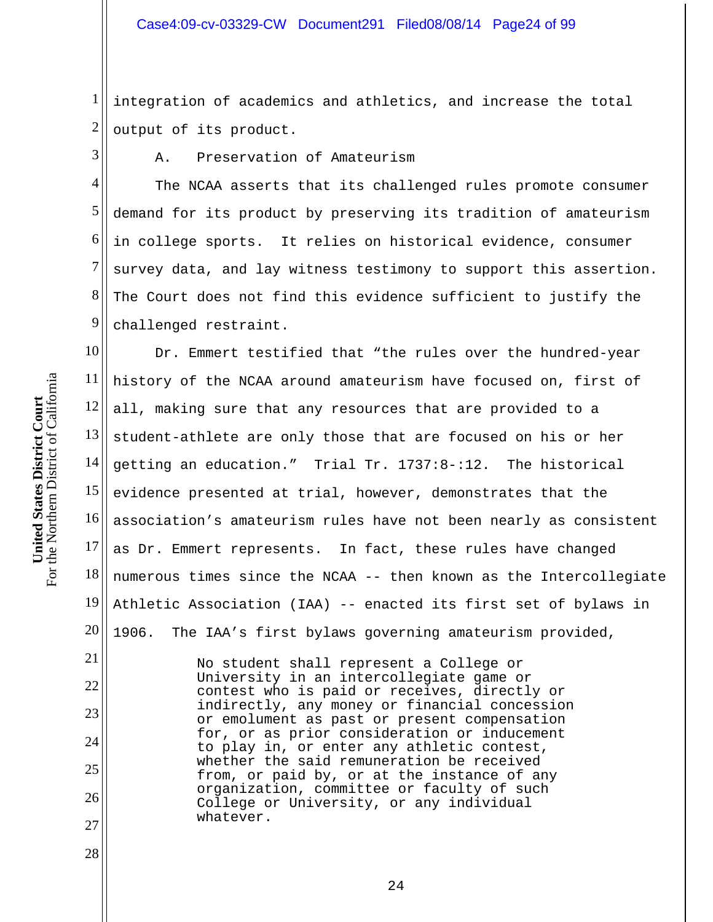1 2 integration of academics and athletics, and increase the total output of its product.

3

A. Preservation of Amateurism

4 5 6 7 8 9 The NCAA asserts that its challenged rules promote consumer demand for its product by preserving its tradition of amateurism in college sports. It relies on historical evidence, consumer survey data, and lay witness testimony to support this assertion. The Court does not find this evidence sufficient to justify the challenged restraint.

10 11 12 13 14 15 16 17 18 19 20 Dr. Emmert testified that "the rules over the hundred-year history of the NCAA around amateurism have focused on, first of all, making sure that any resources that are provided to a student-athlete are only those that are focused on his or her getting an education." Trial Tr. 1737:8-:12. The historical evidence presented at trial, however, demonstrates that the association's amateurism rules have not been nearly as consistent as Dr. Emmert represents. In fact, these rules have changed numerous times since the NCAA -- then known as the Intercollegiate Athletic Association (IAA) -- enacted its first set of bylaws in 1906. The IAA's first bylaws governing amateurism provided,

> No student shall represent a College or University in an intercollegiate game or contest who is paid or receives, directly or indirectly, any money or financial concession or emolument as past or present compensation for, or as prior consideration or inducement to play in, or enter any athletic contest, whether the said remuneration be received from, or paid by, or at the instance of any organization, committee or faculty of such College or University, or any individual whatever.

21

22

23

24

25

26

27

28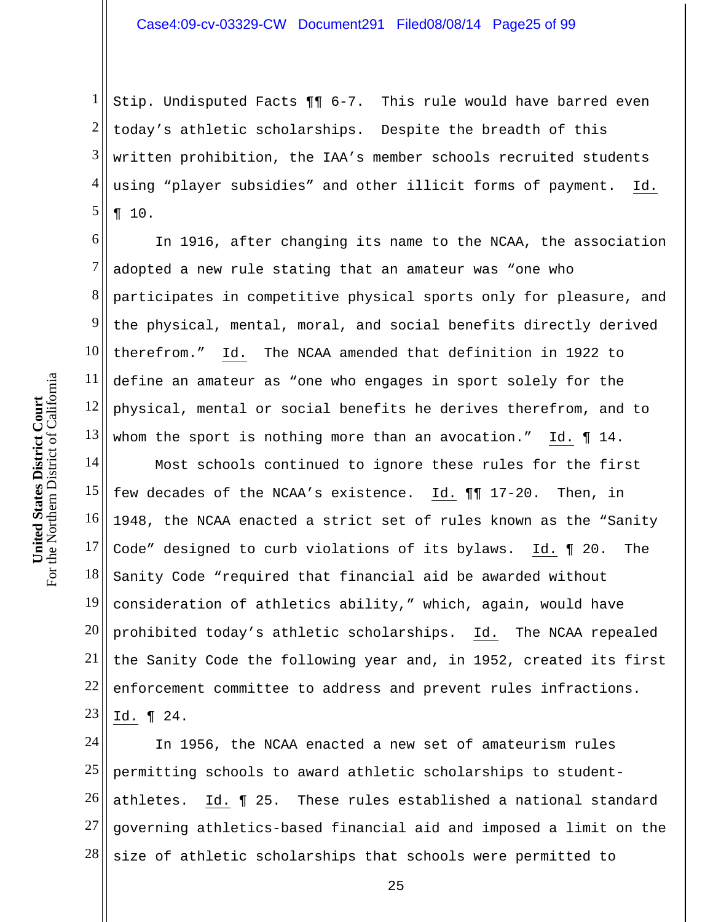1 2 3 4 5 Stip. Undisputed Facts ¶¶ 6-7. This rule would have barred even today's athletic scholarships. Despite the breadth of this written prohibition, the IAA's member schools recruited students using "player subsidies" and other illicit forms of payment. Id. ¶ 10.

6 7 8 9 10 11 12 13 In 1916, after changing its name to the NCAA, the association adopted a new rule stating that an amateur was "one who participates in competitive physical sports only for pleasure, and the physical, mental, moral, and social benefits directly derived therefrom." Id. The NCAA amended that definition in 1922 to define an amateur as "one who engages in sport solely for the physical, mental or social benefits he derives therefrom, and to whom the sport is nothing more than an avocation." Id. ¶ 14.

14 15 16 17 18 19 20 21 22 23 Most schools continued to ignore these rules for the first few decades of the NCAA's existence. Id. ¶¶ 17-20. Then, in 1948, the NCAA enacted a strict set of rules known as the "Sanity Code" designed to curb violations of its bylaws. Id. ¶ 20. The Sanity Code "required that financial aid be awarded without consideration of athletics ability," which, again, would have prohibited today's athletic scholarships. Id. The NCAA repealed the Sanity Code the following year and, in 1952, created its first enforcement committee to address and prevent rules infractions. Id. ¶ 24.

24 25 26 27 28 In 1956, the NCAA enacted a new set of amateurism rules permitting schools to award athletic scholarships to studentathletes. Id. ¶ 25. These rules established a national standard governing athletics-based financial aid and imposed a limit on the size of athletic scholarships that schools were permitted to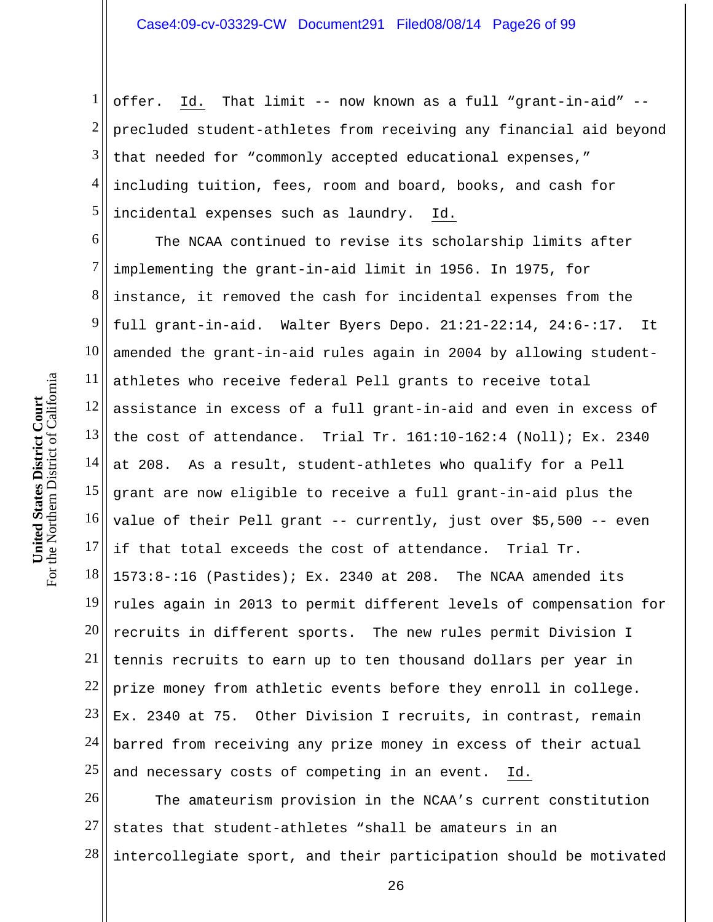1 2 3 4 5 offer. Id. That limit -- now known as a full "grant-in-aid" - precluded student-athletes from receiving any financial aid beyond that needed for "commonly accepted educational expenses," including tuition, fees, room and board, books, and cash for incidental expenses such as laundry. Id.

6 7 8 9 10 11 12 13 14 15 16 17 18 19 20 21 22 23 24 25 The NCAA continued to revise its scholarship limits after implementing the grant-in-aid limit in 1956. In 1975, for instance, it removed the cash for incidental expenses from the full grant-in-aid. Walter Byers Depo. 21:21-22:14, 24:6-:17. It amended the grant-in-aid rules again in 2004 by allowing studentathletes who receive federal Pell grants to receive total assistance in excess of a full grant-in-aid and even in excess of the cost of attendance. Trial Tr. 161:10-162:4 (Noll); Ex. 2340 at 208. As a result, student-athletes who qualify for a Pell grant are now eligible to receive a full grant-in-aid plus the value of their Pell grant -- currently, just over \$5,500 -- even if that total exceeds the cost of attendance. Trial Tr. 1573:8-:16 (Pastides); Ex. 2340 at 208. The NCAA amended its rules again in 2013 to permit different levels of compensation for recruits in different sports. The new rules permit Division I tennis recruits to earn up to ten thousand dollars per year in prize money from athletic events before they enroll in college. Ex. 2340 at 75. Other Division I recruits, in contrast, remain barred from receiving any prize money in excess of their actual and necessary costs of competing in an event. Id.

26 27 28 The amateurism provision in the NCAA's current constitution states that student-athletes "shall be amateurs in an intercollegiate sport, and their participation should be motivated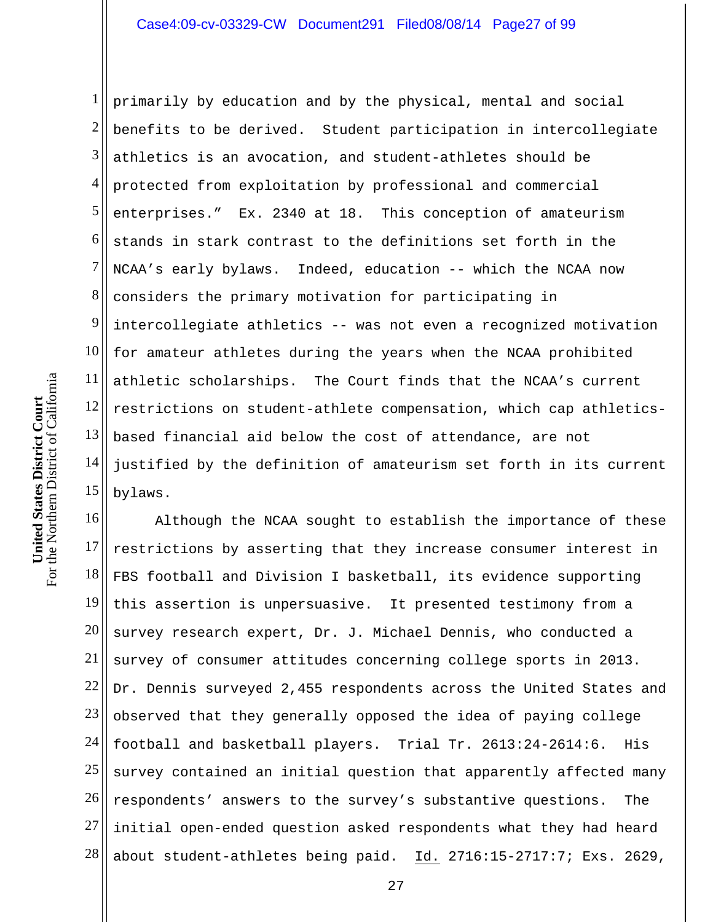1 2 3 4 5 6 7 8 9 10 11 12 13 14 15 primarily by education and by the physical, mental and social benefits to be derived. Student participation in intercollegiate athletics is an avocation, and student-athletes should be protected from exploitation by professional and commercial enterprises." Ex. 2340 at 18. This conception of amateurism stands in stark contrast to the definitions set forth in the NCAA's early bylaws. Indeed, education -- which the NCAA now considers the primary motivation for participating in intercollegiate athletics -- was not even a recognized motivation for amateur athletes during the years when the NCAA prohibited athletic scholarships. The Court finds that the NCAA's current restrictions on student-athlete compensation, which cap athleticsbased financial aid below the cost of attendance, are not justified by the definition of amateurism set forth in its current bylaws.

16 17 18 19 20 21 22 23 24 25 26 27 28 Although the NCAA sought to establish the importance of these restrictions by asserting that they increase consumer interest in FBS football and Division I basketball, its evidence supporting this assertion is unpersuasive. It presented testimony from a survey research expert, Dr. J. Michael Dennis, who conducted a survey of consumer attitudes concerning college sports in 2013. Dr. Dennis surveyed 2,455 respondents across the United States and observed that they generally opposed the idea of paying college football and basketball players. Trial Tr. 2613:24-2614:6. His survey contained an initial question that apparently affected many respondents' answers to the survey's substantive questions. The initial open-ended question asked respondents what they had heard about student-athletes being paid. Id. 2716:15-2717:7; Exs. 2629,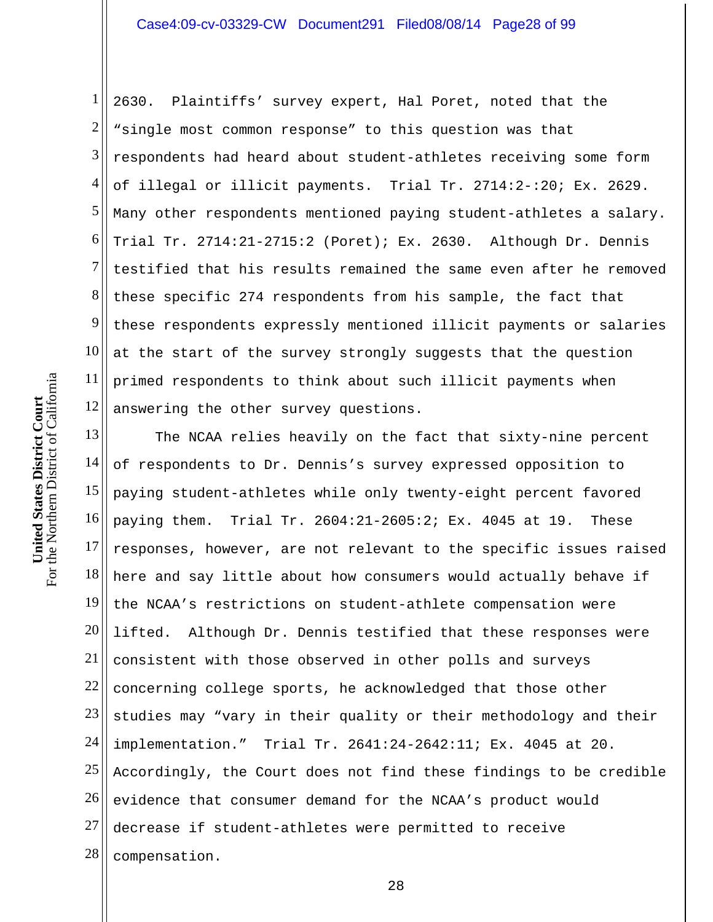1 2 3 4 5 6 7 8 9 10 11 12 2630. Plaintiffs' survey expert, Hal Poret, noted that the "single most common response" to this question was that respondents had heard about student-athletes receiving some form of illegal or illicit payments. Trial Tr. 2714:2-:20; Ex. 2629. Many other respondents mentioned paying student-athletes a salary. Trial Tr. 2714:21-2715:2 (Poret); Ex. 2630. Although Dr. Dennis testified that his results remained the same even after he removed these specific 274 respondents from his sample, the fact that these respondents expressly mentioned illicit payments or salaries at the start of the survey strongly suggests that the question primed respondents to think about such illicit payments when answering the other survey questions.

13 14 15 16 17 18 19 20 21 22 23 24 25 26 27 28 The NCAA relies heavily on the fact that sixty-nine percent of respondents to Dr. Dennis's survey expressed opposition to paying student-athletes while only twenty-eight percent favored paying them. Trial Tr. 2604:21-2605:2; Ex. 4045 at 19. These responses, however, are not relevant to the specific issues raised here and say little about how consumers would actually behave if the NCAA's restrictions on student-athlete compensation were lifted. Although Dr. Dennis testified that these responses were consistent with those observed in other polls and surveys concerning college sports, he acknowledged that those other studies may "vary in their quality or their methodology and their implementation." Trial Tr. 2641:24-2642:11; Ex. 4045 at 20. Accordingly, the Court does not find these findings to be credible evidence that consumer demand for the NCAA's product would decrease if student-athletes were permitted to receive compensation.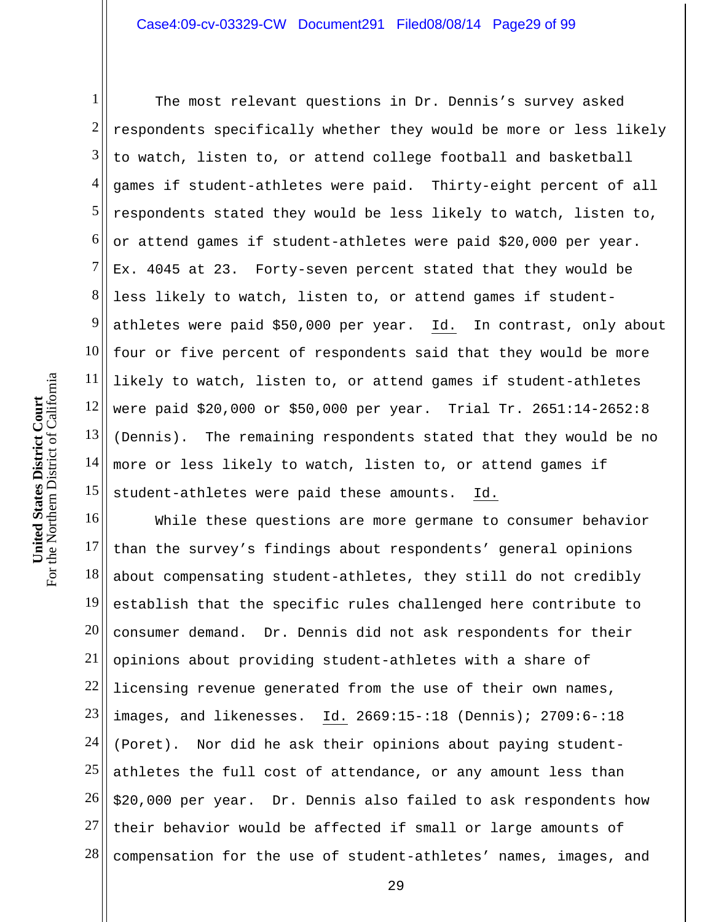1 2 3 4 5 6 7 8 9 10 11 12 13 14 15 The most relevant questions in Dr. Dennis's survey asked respondents specifically whether they would be more or less likely to watch, listen to, or attend college football and basketball games if student-athletes were paid. Thirty-eight percent of all respondents stated they would be less likely to watch, listen to, or attend games if student-athletes were paid \$20,000 per year. Ex. 4045 at 23. Forty-seven percent stated that they would be less likely to watch, listen to, or attend games if studentathletes were paid \$50,000 per year. Id. In contrast, only about four or five percent of respondents said that they would be more likely to watch, listen to, or attend games if student-athletes were paid \$20,000 or \$50,000 per year. Trial Tr. 2651:14-2652:8 (Dennis). The remaining respondents stated that they would be no more or less likely to watch, listen to, or attend games if student-athletes were paid these amounts. Id.

16 17 18 19 20 21 22 23 24 25 26 27 28 While these questions are more germane to consumer behavior than the survey's findings about respondents' general opinions about compensating student-athletes, they still do not credibly establish that the specific rules challenged here contribute to consumer demand. Dr. Dennis did not ask respondents for their opinions about providing student-athletes with a share of licensing revenue generated from the use of their own names, images, and likenesses. Id. 2669:15-:18 (Dennis); 2709:6-:18 (Poret). Nor did he ask their opinions about paying studentathletes the full cost of attendance, or any amount less than \$20,000 per year. Dr. Dennis also failed to ask respondents how their behavior would be affected if small or large amounts of compensation for the use of student-athletes' names, images, and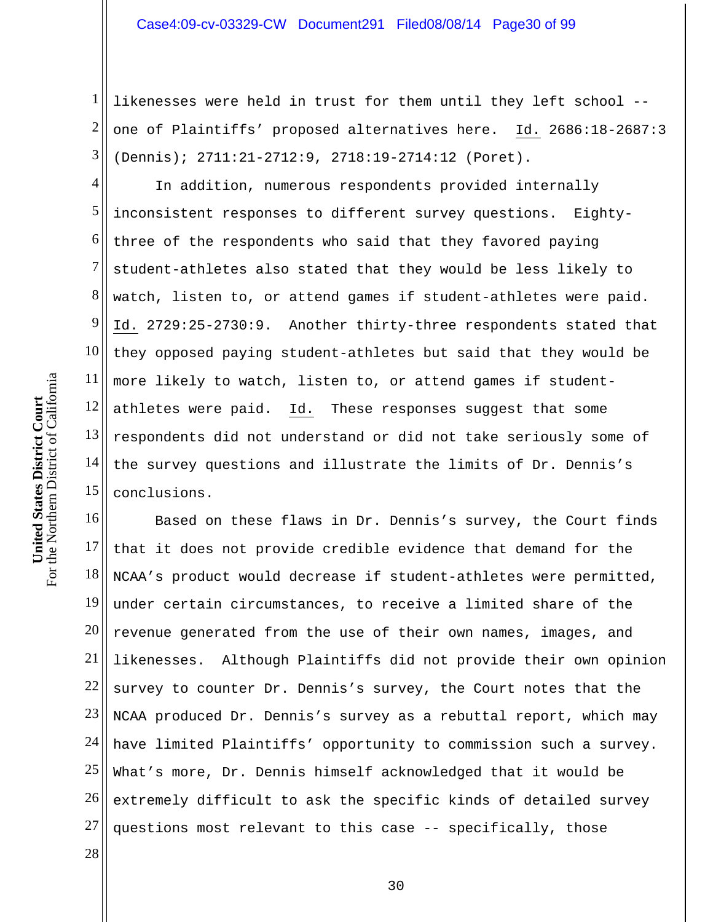1 2 3 likenesses were held in trust for them until they left school - one of Plaintiffs' proposed alternatives here. Id. 2686:18-2687:3 (Dennis); 2711:21-2712:9, 2718:19-2714:12 (Poret).

4 5 6 7 8 9 10 11 12 13 14 15 In addition, numerous respondents provided internally inconsistent responses to different survey questions. Eightythree of the respondents who said that they favored paying student-athletes also stated that they would be less likely to watch, listen to, or attend games if student-athletes were paid. Id. 2729:25-2730:9. Another thirty-three respondents stated that they opposed paying student-athletes but said that they would be more likely to watch, listen to, or attend games if studentathletes were paid. Id. These responses suggest that some respondents did not understand or did not take seriously some of the survey questions and illustrate the limits of Dr. Dennis's conclusions.

16 17 18 19 20 21 22 23 24 25 26 27 Based on these flaws in Dr. Dennis's survey, the Court finds that it does not provide credible evidence that demand for the NCAA's product would decrease if student-athletes were permitted, under certain circumstances, to receive a limited share of the revenue generated from the use of their own names, images, and likenesses. Although Plaintiffs did not provide their own opinion survey to counter Dr. Dennis's survey, the Court notes that the NCAA produced Dr. Dennis's survey as a rebuttal report, which may have limited Plaintiffs' opportunity to commission such a survey. What's more, Dr. Dennis himself acknowledged that it would be extremely difficult to ask the specific kinds of detailed survey questions most relevant to this case -- specifically, those

For the Northern District of California For the Northern District of California **United States District Court**  United States District Court

28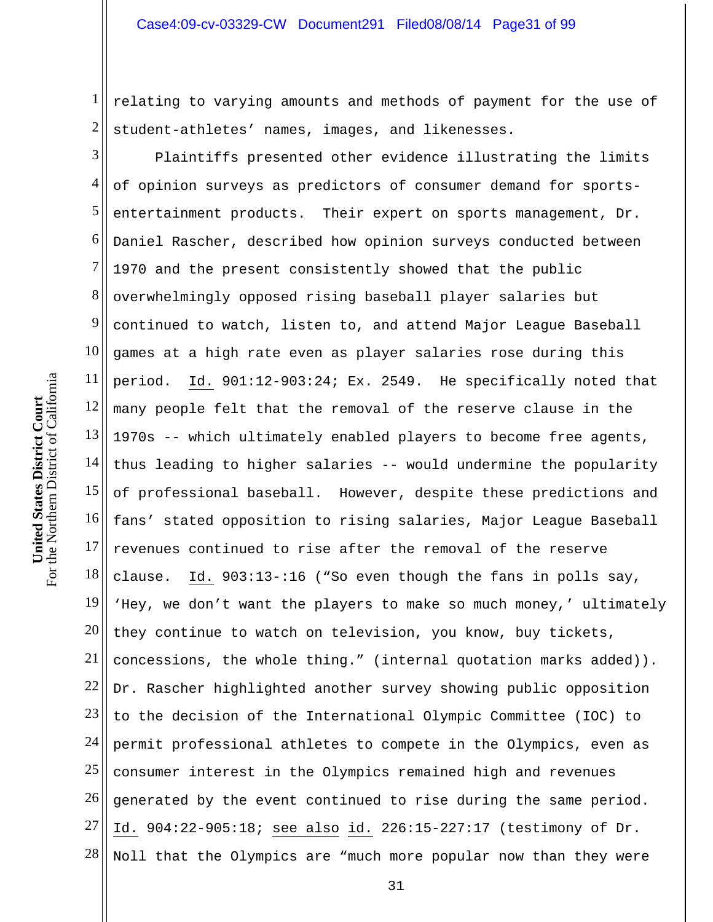1 2 relating to varying amounts and methods of payment for the use of student-athletes' names, images, and likenesses.

3 4 5 6 7 8 9 10 11 12 13 14 15 16 17 18 19 20 21 22 23 24 25 26 27 28 Plaintiffs presented other evidence illustrating the limits of opinion surveys as predictors of consumer demand for sportsentertainment products. Their expert on sports management, Dr. Daniel Rascher, described how opinion surveys conducted between 1970 and the present consistently showed that the public overwhelmingly opposed rising baseball player salaries but continued to watch, listen to, and attend Major League Baseball games at a high rate even as player salaries rose during this period. Id. 901:12-903:24; Ex. 2549. He specifically noted that many people felt that the removal of the reserve clause in the 1970s -- which ultimately enabled players to become free agents, thus leading to higher salaries -- would undermine the popularity of professional baseball. However, despite these predictions and fans' stated opposition to rising salaries, Major League Baseball revenues continued to rise after the removal of the reserve clause. Id. 903:13-:16 ("So even though the fans in polls say, 'Hey, we don't want the players to make so much money,' ultimately they continue to watch on television, you know, buy tickets, concessions, the whole thing." (internal quotation marks added)). Dr. Rascher highlighted another survey showing public opposition to the decision of the International Olympic Committee (IOC) to permit professional athletes to compete in the Olympics, even as consumer interest in the Olympics remained high and revenues generated by the event continued to rise during the same period. Id. 904:22-905:18; see also id. 226:15-227:17 (testimony of Dr. Noll that the Olympics are "much more popular now than they were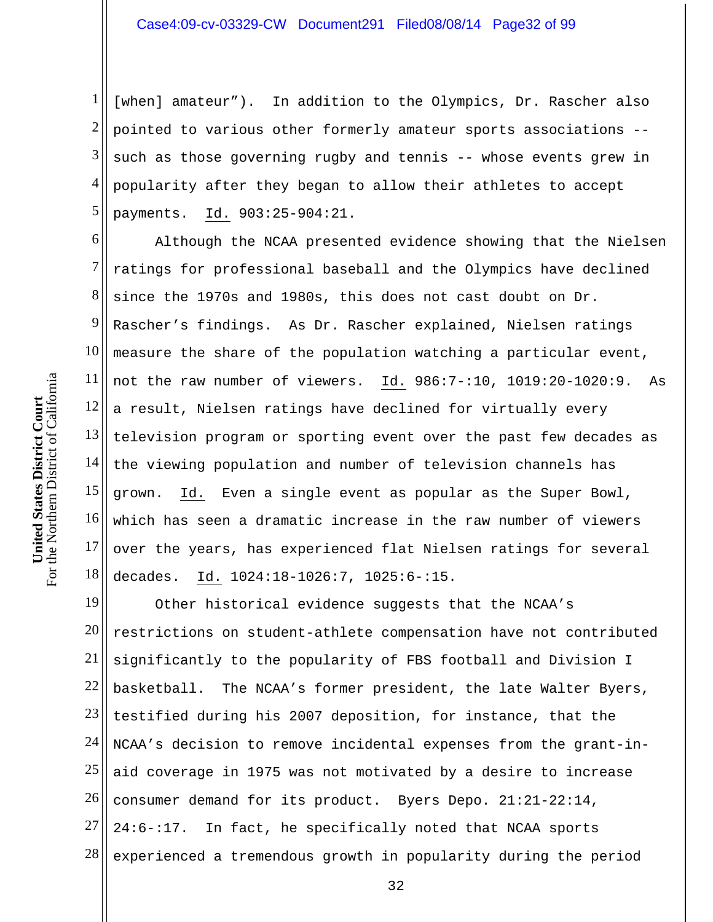1 2 3 4 5 [when] amateur"). In addition to the Olympics, Dr. Rascher also pointed to various other formerly amateur sports associations - such as those governing rugby and tennis -- whose events grew in popularity after they began to allow their athletes to accept payments. Id. 903:25-904:21.

6 7 8 9 10 11 12 13 14 15 16 17 18 Although the NCAA presented evidence showing that the Nielsen ratings for professional baseball and the Olympics have declined since the 1970s and 1980s, this does not cast doubt on Dr. Rascher's findings. As Dr. Rascher explained, Nielsen ratings measure the share of the population watching a particular event, not the raw number of viewers. Id. 986:7-:10, 1019:20-1020:9. As a result, Nielsen ratings have declined for virtually every television program or sporting event over the past few decades as the viewing population and number of television channels has grown. Id. Even a single event as popular as the Super Bowl, which has seen a dramatic increase in the raw number of viewers over the years, has experienced flat Nielsen ratings for several decades. Id. 1024:18-1026:7, 1025:6-:15.

19 20 21 22 23 24 25 26 27 28 Other historical evidence suggests that the NCAA's restrictions on student-athlete compensation have not contributed significantly to the popularity of FBS football and Division I basketball. The NCAA's former president, the late Walter Byers, testified during his 2007 deposition, for instance, that the NCAA's decision to remove incidental expenses from the grant-inaid coverage in 1975 was not motivated by a desire to increase consumer demand for its product. Byers Depo. 21:21-22:14, 24:6-:17. In fact, he specifically noted that NCAA sports experienced a tremendous growth in popularity during the period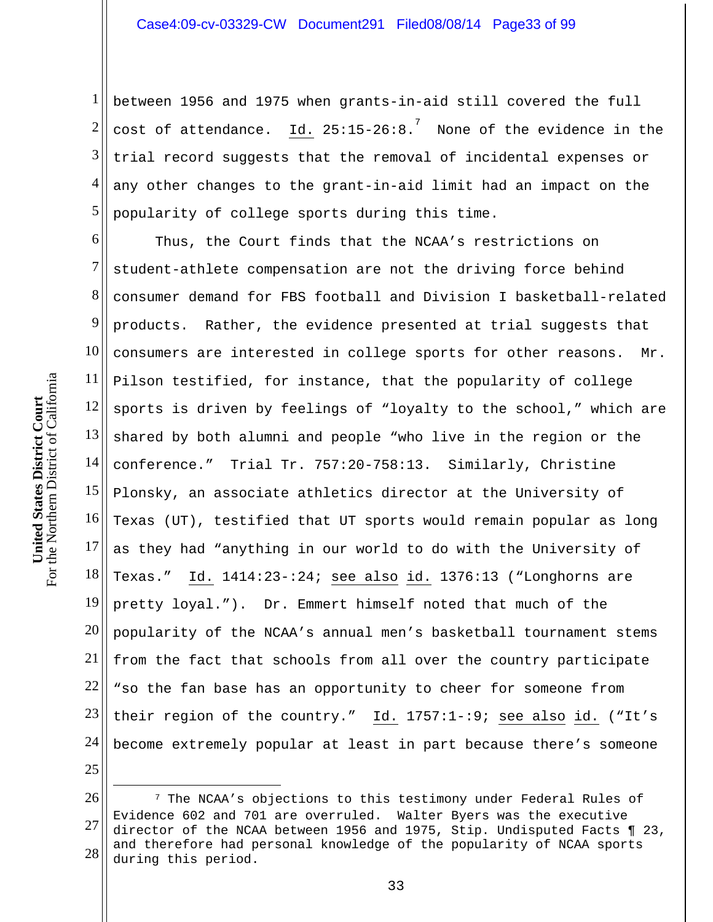1 2 3 4 5 between 1956 and 1975 when grants-in-aid still covered the full cost of attendance.  $^7$  None of the evidence in the trial record suggests that the removal of incidental expenses or any other changes to the grant-in-aid limit had an impact on the popularity of college sports during this time.

6 7 8 9 10 11 12 13 14 15 16 17 18 19 20 21 22 23 24 25 Thus, the Court finds that the NCAA's restrictions on student-athlete compensation are not the driving force behind consumer demand for FBS football and Division I basketball-related products. Rather, the evidence presented at trial suggests that consumers are interested in college sports for other reasons. Mr. Pilson testified, for instance, that the popularity of college sports is driven by feelings of "loyalty to the school," which are shared by both alumni and people "who live in the region or the conference." Trial Tr. 757:20-758:13. Similarly, Christine Plonsky, an associate athletics director at the University of Texas (UT), testified that UT sports would remain popular as long as they had "anything in our world to do with the University of Texas." Id. 1414:23-:24; see also id. 1376:13 ("Longhorns are pretty loyal."). Dr. Emmert himself noted that much of the popularity of the NCAA's annual men's basketball tournament stems from the fact that schools from all over the country participate "so the fan base has an opportunity to cheer for someone from their region of the country." Id. 1757:1-:9; see also id. ("It's become extremely popular at least in part because there's someone

 $\overline{a}$ 

<sup>26</sup>  27 28 7 The NCAA's objections to this testimony under Federal Rules of Evidence 602 and 701 are overruled. Walter Byers was the executive director of the NCAA between 1956 and 1975, Stip. Undisputed Facts ¶ 23, and therefore had personal knowledge of the popularity of NCAA sports during this period.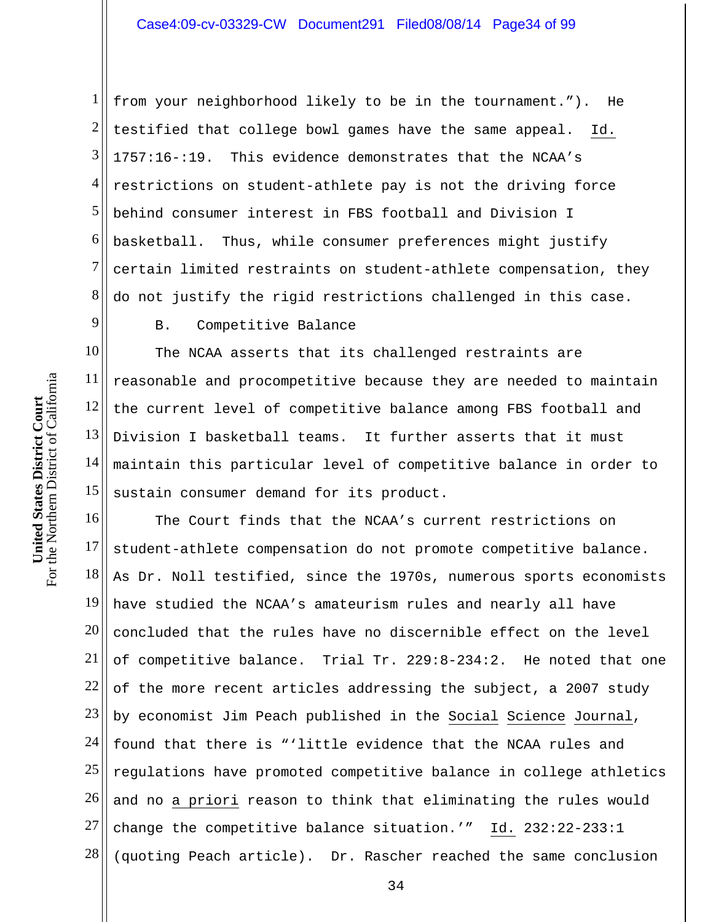1 2 3 4 5 6 7 8 from your neighborhood likely to be in the tournament."). He testified that college bowl games have the same appeal. Id. 1757:16-:19. This evidence demonstrates that the NCAA's restrictions on student-athlete pay is not the driving force behind consumer interest in FBS football and Division I basketball. Thus, while consumer preferences might justify certain limited restraints on student-athlete compensation, they do not justify the rigid restrictions challenged in this case.

9

B. Competitive Balance

10 11 12 13 14 15 The NCAA asserts that its challenged restraints are reasonable and procompetitive because they are needed to maintain the current level of competitive balance among FBS football and Division I basketball teams. It further asserts that it must maintain this particular level of competitive balance in order to sustain consumer demand for its product.

16 17 18 19 20 21 22 23 24 25 26 27 28 The Court finds that the NCAA's current restrictions on student-athlete compensation do not promote competitive balance. As Dr. Noll testified, since the 1970s, numerous sports economists have studied the NCAA's amateurism rules and nearly all have concluded that the rules have no discernible effect on the level of competitive balance. Trial Tr. 229:8-234:2. He noted that one of the more recent articles addressing the subject, a 2007 study by economist Jim Peach published in the Social Science Journal, found that there is "'little evidence that the NCAA rules and regulations have promoted competitive balance in college athletics and no a priori reason to think that eliminating the rules would change the competitive balance situation.'" Id. 232:22-233:1 (quoting Peach article). Dr. Rascher reached the same conclusion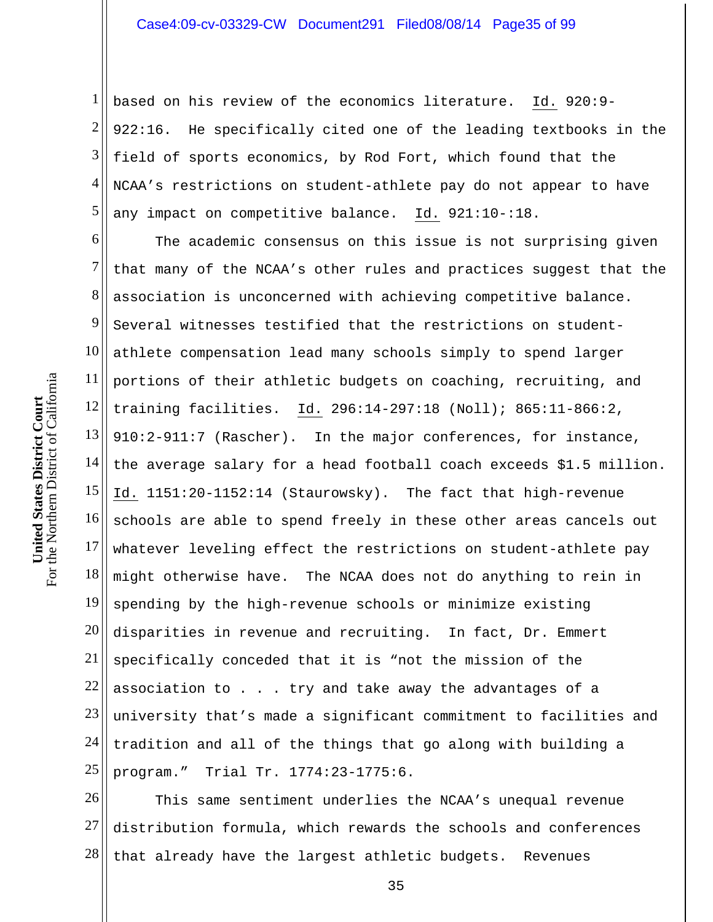1 2 3 4 5 based on his review of the economics literature. Id. 920:9- 922:16. He specifically cited one of the leading textbooks in the field of sports economics, by Rod Fort, which found that the NCAA's restrictions on student-athlete pay do not appear to have any impact on competitive balance. Id. 921:10-:18.

6 7 8 9 10 11 12 13 14 15 16 17 18 19 20 21 22 23 24 25 The academic consensus on this issue is not surprising given that many of the NCAA's other rules and practices suggest that the association is unconcerned with achieving competitive balance. Several witnesses testified that the restrictions on studentathlete compensation lead many schools simply to spend larger portions of their athletic budgets on coaching, recruiting, and training facilities. Id. 296:14-297:18 (Noll); 865:11-866:2, 910:2-911:7 (Rascher). In the major conferences, for instance, the average salary for a head football coach exceeds \$1.5 million. Id. 1151:20-1152:14 (Staurowsky). The fact that high-revenue schools are able to spend freely in these other areas cancels out whatever leveling effect the restrictions on student-athlete pay might otherwise have. The NCAA does not do anything to rein in spending by the high-revenue schools or minimize existing disparities in revenue and recruiting. In fact, Dr. Emmert specifically conceded that it is "not the mission of the association to . . . try and take away the advantages of a university that's made a significant commitment to facilities and tradition and all of the things that go along with building a program." Trial Tr. 1774:23-1775:6.

26 27 28 This same sentiment underlies the NCAA's unequal revenue distribution formula, which rewards the schools and conferences that already have the largest athletic budgets. Revenues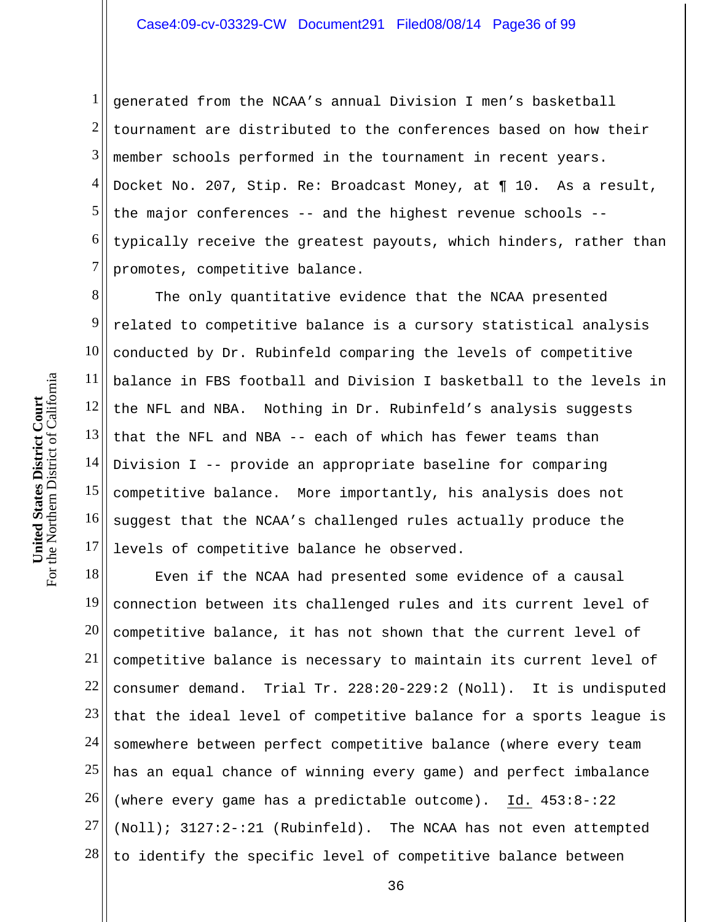1 2 3 4 5 6 7 generated from the NCAA's annual Division I men's basketball tournament are distributed to the conferences based on how their member schools performed in the tournament in recent years. Docket No. 207, Stip. Re: Broadcast Money, at ¶ 10. As a result, the major conferences -- and the highest revenue schools - typically receive the greatest payouts, which hinders, rather than promotes, competitive balance.

8 9 10 11 12 13 14 15 16 17 The only quantitative evidence that the NCAA presented related to competitive balance is a cursory statistical analysis conducted by Dr. Rubinfeld comparing the levels of competitive balance in FBS football and Division I basketball to the levels in the NFL and NBA. Nothing in Dr. Rubinfeld's analysis suggests that the NFL and NBA -- each of which has fewer teams than Division I -- provide an appropriate baseline for comparing competitive balance. More importantly, his analysis does not suggest that the NCAA's challenged rules actually produce the levels of competitive balance he observed.

18 19 20 21 22 23 24 25 26 27 28 Even if the NCAA had presented some evidence of a causal connection between its challenged rules and its current level of competitive balance, it has not shown that the current level of competitive balance is necessary to maintain its current level of consumer demand. Trial Tr. 228:20-229:2 (Noll). It is undisputed that the ideal level of competitive balance for a sports league is somewhere between perfect competitive balance (where every team has an equal chance of winning every game) and perfect imbalance (where every game has a predictable outcome). Id. 453:8-:22 (Noll); 3127:2-:21 (Rubinfeld). The NCAA has not even attempted to identify the specific level of competitive balance between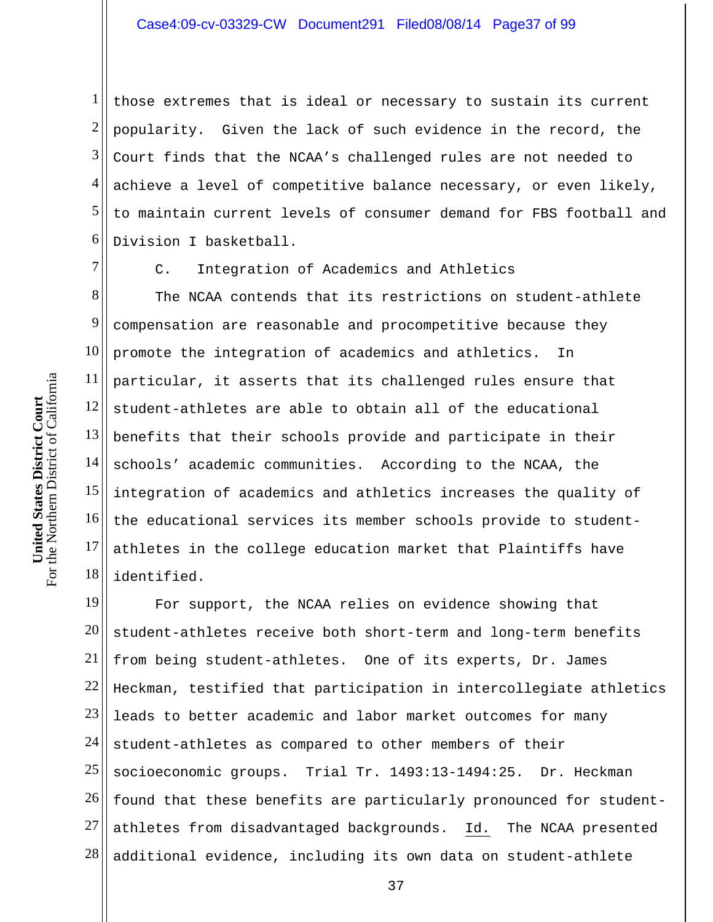1 2 3 4 5 6 those extremes that is ideal or necessary to sustain its current popularity. Given the lack of such evidence in the record, the Court finds that the NCAA's challenged rules are not needed to achieve a level of competitive balance necessary, or even likely, to maintain current levels of consumer demand for FBS football and Division I basketball.

7

C. Integration of Academics and Athletics

8 9 10 11 12 13 14 15 16 17 18 The NCAA contends that its restrictions on student-athlete compensation are reasonable and procompetitive because they promote the integration of academics and athletics. In particular, it asserts that its challenged rules ensure that student-athletes are able to obtain all of the educational benefits that their schools provide and participate in their schools' academic communities. According to the NCAA, the integration of academics and athletics increases the quality of the educational services its member schools provide to studentathletes in the college education market that Plaintiffs have identified.

19 20 21 22 23 24 25 26 27 28 For support, the NCAA relies on evidence showing that student-athletes receive both short-term and long-term benefits from being student-athletes. One of its experts, Dr. James Heckman, testified that participation in intercollegiate athletics leads to better academic and labor market outcomes for many student-athletes as compared to other members of their socioeconomic groups. Trial Tr. 1493:13-1494:25. Dr. Heckman found that these benefits are particularly pronounced for studentathletes from disadvantaged backgrounds. Id. The NCAA presented additional evidence, including its own data on student-athlete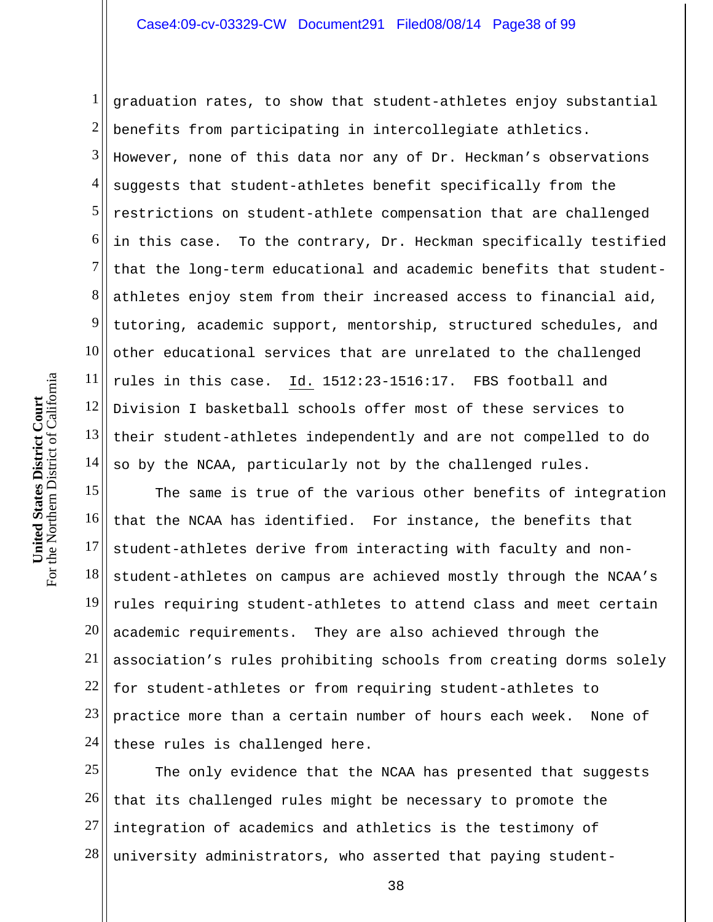1 2 3 4 5 6 7 8 9 10 11 12 13 14 graduation rates, to show that student-athletes enjoy substantial benefits from participating in intercollegiate athletics. However, none of this data nor any of Dr. Heckman's observations suggests that student-athletes benefit specifically from the restrictions on student-athlete compensation that are challenged in this case. To the contrary, Dr. Heckman specifically testified that the long-term educational and academic benefits that studentathletes enjoy stem from their increased access to financial aid, tutoring, academic support, mentorship, structured schedules, and other educational services that are unrelated to the challenged rules in this case. Id. 1512:23-1516:17. FBS football and Division I basketball schools offer most of these services to their student-athletes independently and are not compelled to do so by the NCAA, particularly not by the challenged rules.

15 16 17 18 19 20 21 22 23 24 The same is true of the various other benefits of integration that the NCAA has identified. For instance, the benefits that student-athletes derive from interacting with faculty and nonstudent-athletes on campus are achieved mostly through the NCAA's rules requiring student-athletes to attend class and meet certain academic requirements. They are also achieved through the association's rules prohibiting schools from creating dorms solely for student-athletes or from requiring student-athletes to practice more than a certain number of hours each week. None of these rules is challenged here.

25 26 27 28 The only evidence that the NCAA has presented that suggests that its challenged rules might be necessary to promote the integration of academics and athletics is the testimony of university administrators, who asserted that paying student-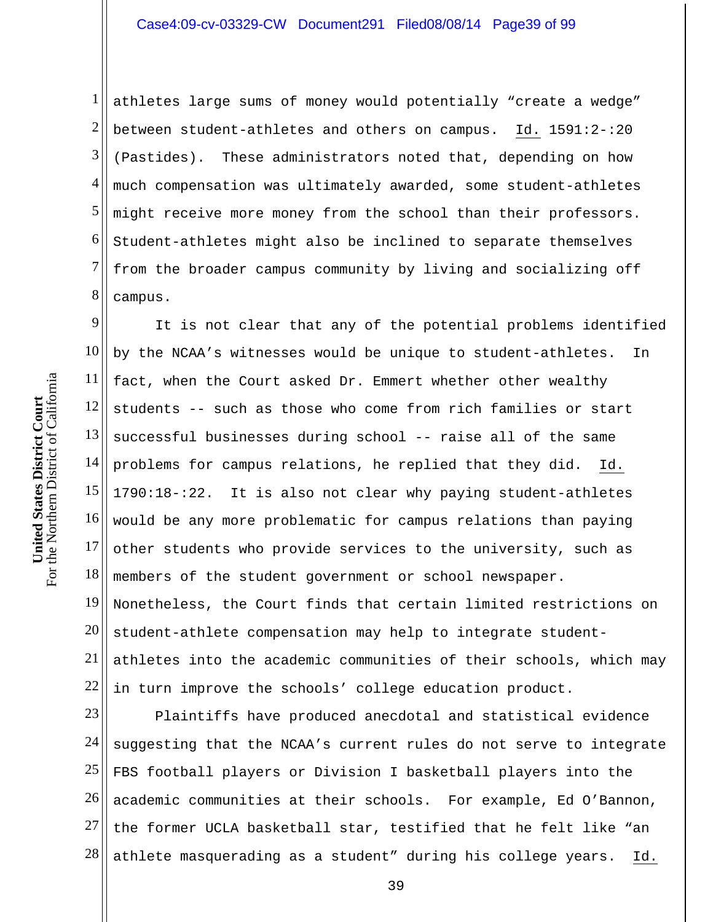1 2 3 4 5 6 7 8 athletes large sums of money would potentially "create a wedge" between student-athletes and others on campus. Id. 1591:2-:20 (Pastides). These administrators noted that, depending on how much compensation was ultimately awarded, some student-athletes might receive more money from the school than their professors. Student-athletes might also be inclined to separate themselves from the broader campus community by living and socializing off campus.

9 10 11 12 13 14 15 16 17 18 19 20 21 22 It is not clear that any of the potential problems identified by the NCAA's witnesses would be unique to student-athletes. In fact, when the Court asked Dr. Emmert whether other wealthy students -- such as those who come from rich families or start successful businesses during school -- raise all of the same problems for campus relations, he replied that they did. Id. 1790:18-:22. It is also not clear why paying student-athletes would be any more problematic for campus relations than paying other students who provide services to the university, such as members of the student government or school newspaper. Nonetheless, the Court finds that certain limited restrictions on student-athlete compensation may help to integrate studentathletes into the academic communities of their schools, which may in turn improve the schools' college education product.

23 24 25 26 27 28 Plaintiffs have produced anecdotal and statistical evidence suggesting that the NCAA's current rules do not serve to integrate FBS football players or Division I basketball players into the academic communities at their schools. For example, Ed O'Bannon, the former UCLA basketball star, testified that he felt like "an athlete masquerading as a student" during his college years. Id.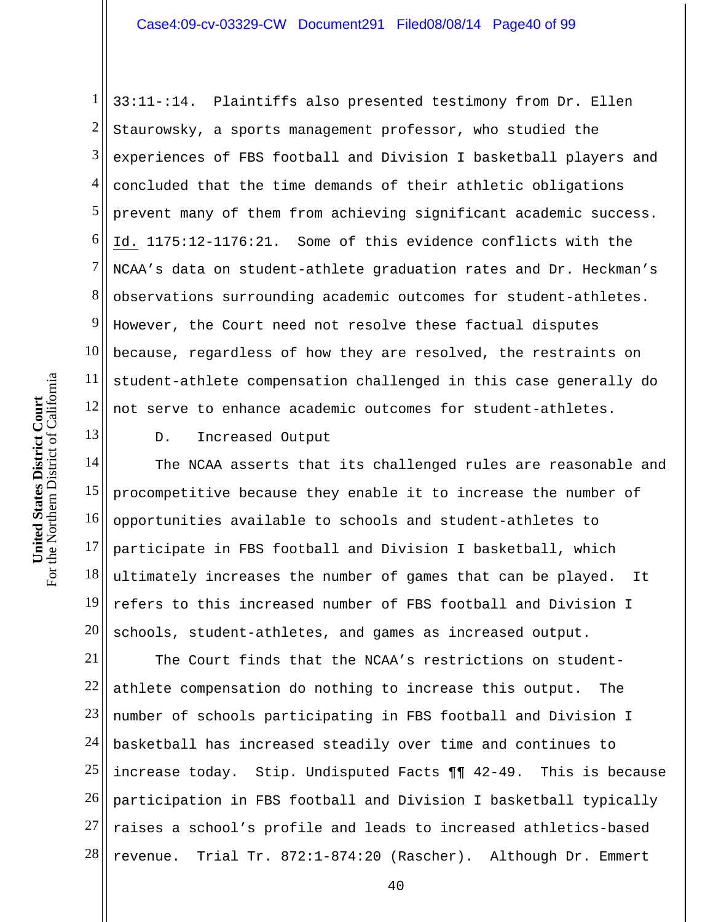1 2 3 4 5 6 7 8 9 10 11 12 33:11-:14. Plaintiffs also presented testimony from Dr. Ellen Staurowsky, a sports management professor, who studied the experiences of FBS football and Division I basketball players and concluded that the time demands of their athletic obligations prevent many of them from achieving significant academic success. Id. 1175:12-1176:21. Some of this evidence conflicts with the NCAA's data on student-athlete graduation rates and Dr. Heckman's observations surrounding academic outcomes for student-athletes. However, the Court need not resolve these factual disputes because, regardless of how they are resolved, the restraints on student-athlete compensation challenged in this case generally do not serve to enhance academic outcomes for student-athletes.

13

D. Increased Output

14 15 16 17 18 19 20 The NCAA asserts that its challenged rules are reasonable and procompetitive because they enable it to increase the number of opportunities available to schools and student-athletes to participate in FBS football and Division I basketball, which ultimately increases the number of games that can be played. It refers to this increased number of FBS football and Division I schools, student-athletes, and games as increased output.

21 22 23 24 25 26 27 28 The Court finds that the NCAA's restrictions on studentathlete compensation do nothing to increase this output. The number of schools participating in FBS football and Division I basketball has increased steadily over time and continues to increase today. Stip. Undisputed Facts ¶¶ 42-49. This is because participation in FBS football and Division I basketball typically raises a school's profile and leads to increased athletics-based revenue. Trial Tr. 872:1-874:20 (Rascher). Although Dr. Emmert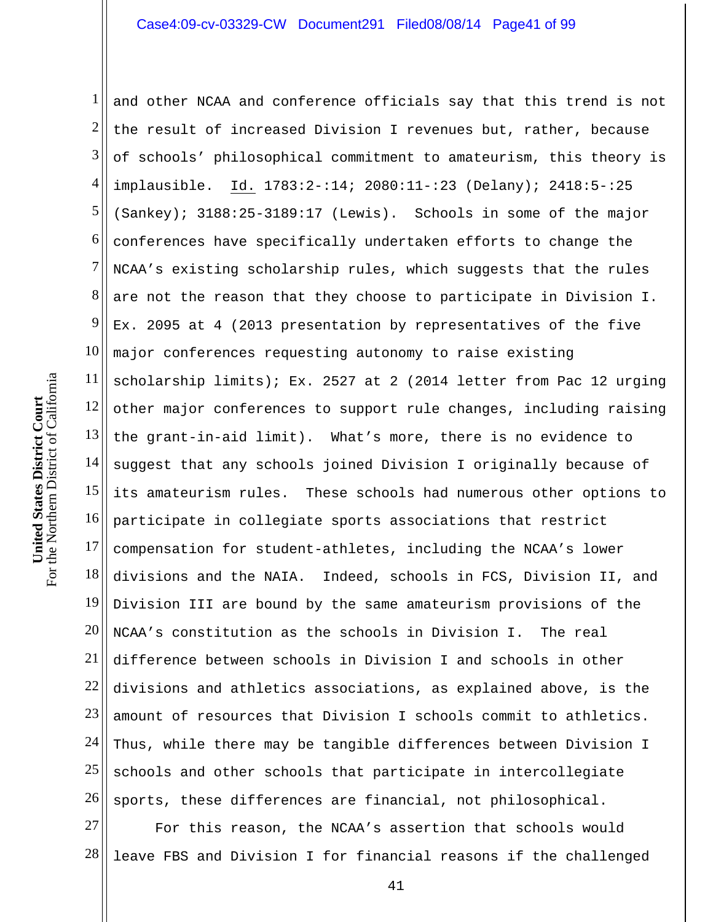1 2 3 4 5 6 7 8 9 10 11 12 13 14 15 16 17 18 19 20 21 22 23 24 25 26 and other NCAA and conference officials say that this trend is not the result of increased Division I revenues but, rather, because of schools' philosophical commitment to amateurism, this theory is implausible. Id. 1783:2-:14; 2080:11-:23 (Delany); 2418:5-:25 (Sankey); 3188:25-3189:17 (Lewis). Schools in some of the major conferences have specifically undertaken efforts to change the NCAA's existing scholarship rules, which suggests that the rules are not the reason that they choose to participate in Division I. Ex. 2095 at 4 (2013 presentation by representatives of the five major conferences requesting autonomy to raise existing scholarship limits); Ex. 2527 at 2 (2014 letter from Pac 12 urging other major conferences to support rule changes, including raising the grant-in-aid limit). What's more, there is no evidence to suggest that any schools joined Division I originally because of its amateurism rules. These schools had numerous other options to participate in collegiate sports associations that restrict compensation for student-athletes, including the NCAA's lower divisions and the NAIA. Indeed, schools in FCS, Division II, and Division III are bound by the same amateurism provisions of the NCAA's constitution as the schools in Division I. The real difference between schools in Division I and schools in other divisions and athletics associations, as explained above, is the amount of resources that Division I schools commit to athletics. Thus, while there may be tangible differences between Division I schools and other schools that participate in intercollegiate sports, these differences are financial, not philosophical.

27 28 For this reason, the NCAA's assertion that schools would leave FBS and Division I for financial reasons if the challenged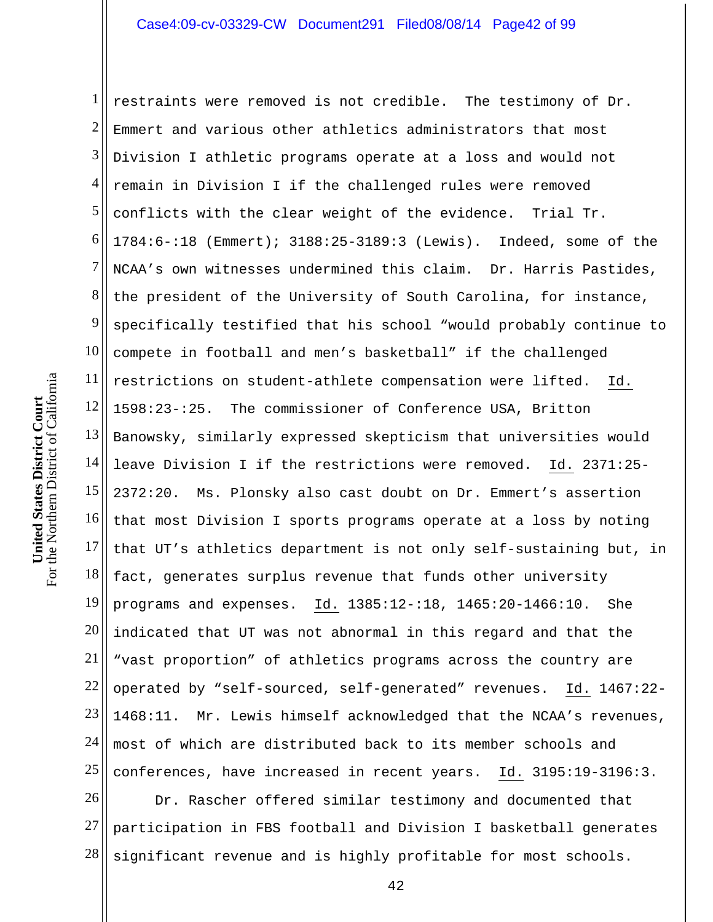1 2 3 4 5 6 7 8 9 10 11 12 13 14 15 16 17 18 19 20 21 22 23 24 25 restraints were removed is not credible. The testimony of Dr. Emmert and various other athletics administrators that most Division I athletic programs operate at a loss and would not remain in Division I if the challenged rules were removed conflicts with the clear weight of the evidence. Trial Tr. 1784:6-:18 (Emmert); 3188:25-3189:3 (Lewis). Indeed, some of the NCAA's own witnesses undermined this claim. Dr. Harris Pastides, the president of the University of South Carolina, for instance, specifically testified that his school "would probably continue to compete in football and men's basketball" if the challenged restrictions on student-athlete compensation were lifted. Id. 1598:23-:25. The commissioner of Conference USA, Britton Banowsky, similarly expressed skepticism that universities would leave Division I if the restrictions were removed. Id. 2371:25- 2372:20. Ms. Plonsky also cast doubt on Dr. Emmert's assertion that most Division I sports programs operate at a loss by noting that UT's athletics department is not only self-sustaining but, in fact, generates surplus revenue that funds other university programs and expenses. Id. 1385:12-:18, 1465:20-1466:10. She indicated that UT was not abnormal in this regard and that the "vast proportion" of athletics programs across the country are operated by "self-sourced, self-generated" revenues. Id. 1467:22- 1468:11. Mr. Lewis himself acknowledged that the NCAA's revenues, most of which are distributed back to its member schools and conferences, have increased in recent years. Id. 3195:19-3196:3.

26 27 28 Dr. Rascher offered similar testimony and documented that participation in FBS football and Division I basketball generates significant revenue and is highly profitable for most schools.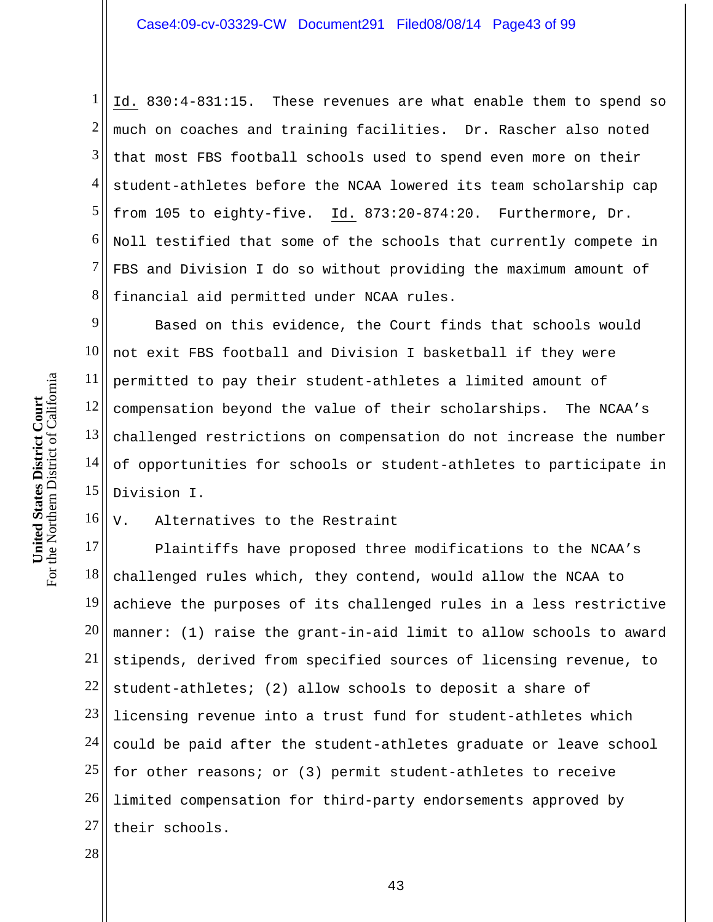1 2 3 4 5 6 7 8 Id. 830:4-831:15. These revenues are what enable them to spend so much on coaches and training facilities. Dr. Rascher also noted that most FBS football schools used to spend even more on their student-athletes before the NCAA lowered its team scholarship cap from 105 to eighty-five. Id. 873:20-874:20. Furthermore, Dr. Noll testified that some of the schools that currently compete in FBS and Division I do so without providing the maximum amount of financial aid permitted under NCAA rules.

9 10 11 12 13 14 15 Based on this evidence, the Court finds that schools would not exit FBS football and Division I basketball if they were permitted to pay their student-athletes a limited amount of compensation beyond the value of their scholarships. The NCAA's challenged restrictions on compensation do not increase the number of opportunities for schools or student-athletes to participate in Division I.

16 V. Alternatives to the Restraint

17 18 19 20 21 22 23 24 25 26 27 Plaintiffs have proposed three modifications to the NCAA's challenged rules which, they contend, would allow the NCAA to achieve the purposes of its challenged rules in a less restrictive manner: (1) raise the grant-in-aid limit to allow schools to award stipends, derived from specified sources of licensing revenue, to student-athletes; (2) allow schools to deposit a share of licensing revenue into a trust fund for student-athletes which could be paid after the student-athletes graduate or leave school for other reasons; or (3) permit student-athletes to receive limited compensation for third-party endorsements approved by their schools.

28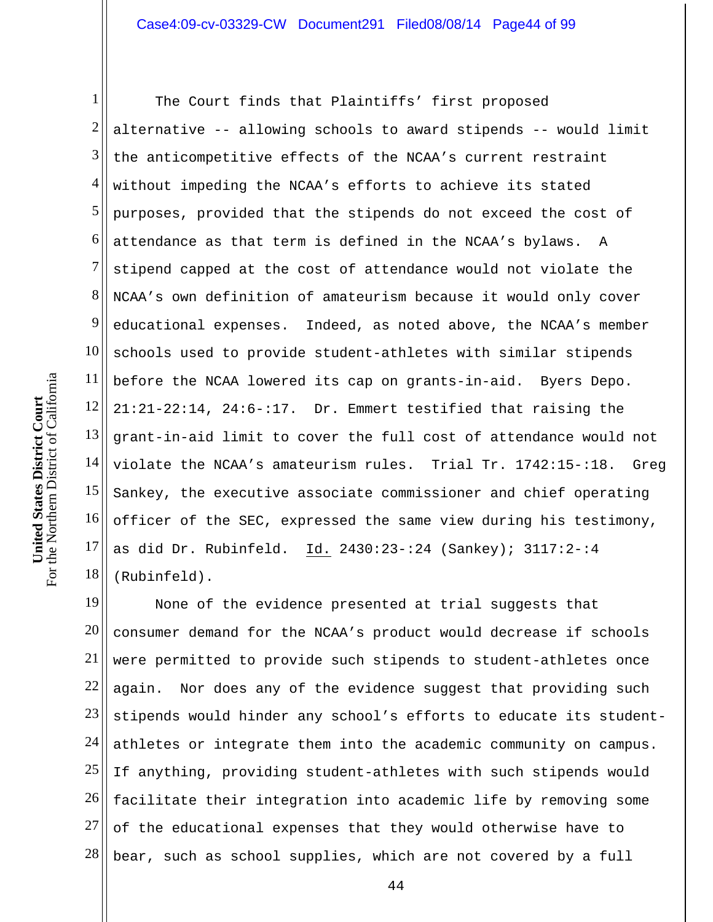1 2 3 4 5 6 7 8 9 10 11 12 13 14 15 16 17 18 The Court finds that Plaintiffs' first proposed alternative -- allowing schools to award stipends -- would limit the anticompetitive effects of the NCAA's current restraint without impeding the NCAA's efforts to achieve its stated purposes, provided that the stipends do not exceed the cost of attendance as that term is defined in the NCAA's bylaws. A stipend capped at the cost of attendance would not violate the NCAA's own definition of amateurism because it would only cover educational expenses. Indeed, as noted above, the NCAA's member schools used to provide student-athletes with similar stipends before the NCAA lowered its cap on grants-in-aid. Byers Depo. 21:21-22:14, 24:6-:17. Dr. Emmert testified that raising the grant-in-aid limit to cover the full cost of attendance would not violate the NCAA's amateurism rules. Trial Tr. 1742:15-:18. Greg Sankey, the executive associate commissioner and chief operating officer of the SEC, expressed the same view during his testimony, as did Dr. Rubinfeld. Id. 2430:23-:24 (Sankey); 3117:2-:4 (Rubinfeld).

19 20 21 22 23 24 25 26 27 28 None of the evidence presented at trial suggests that consumer demand for the NCAA's product would decrease if schools were permitted to provide such stipends to student-athletes once again. Nor does any of the evidence suggest that providing such stipends would hinder any school's efforts to educate its studentathletes or integrate them into the academic community on campus. If anything, providing student-athletes with such stipends would facilitate their integration into academic life by removing some of the educational expenses that they would otherwise have to bear, such as school supplies, which are not covered by a full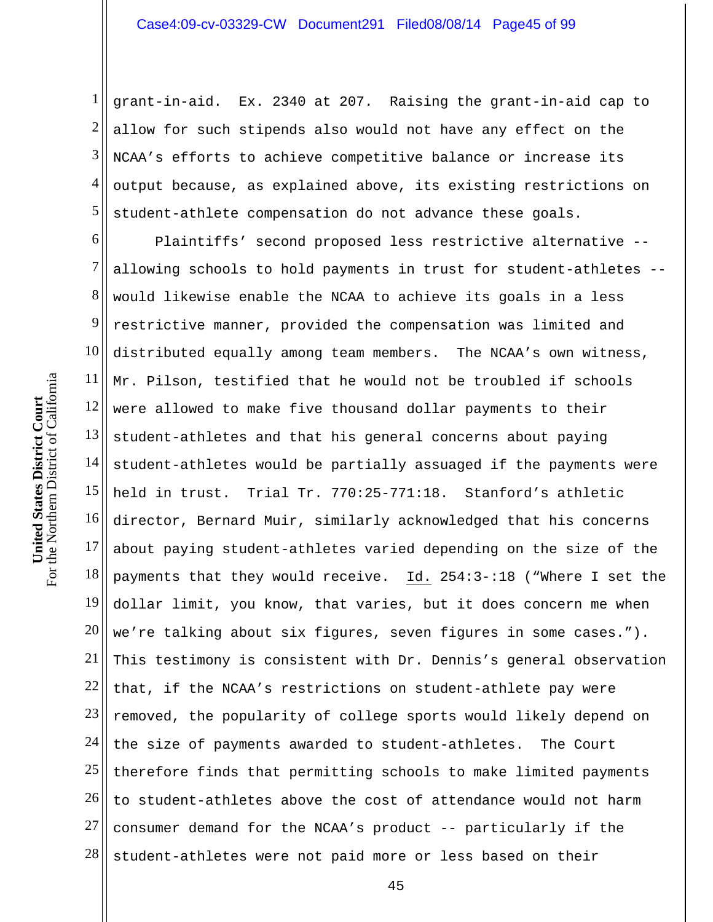1 2 3 4 5 grant-in-aid. Ex. 2340 at 207. Raising the grant-in-aid cap to allow for such stipends also would not have any effect on the NCAA's efforts to achieve competitive balance or increase its output because, as explained above, its existing restrictions on student-athlete compensation do not advance these goals.

6 7 8 9 10 11 12 13 14 15 16 17 18 19 20 21 22 23 24 25 26 27 28 Plaintiffs' second proposed less restrictive alternative - allowing schools to hold payments in trust for student-athletes - would likewise enable the NCAA to achieve its goals in a less restrictive manner, provided the compensation was limited and distributed equally among team members. The NCAA's own witness, Mr. Pilson, testified that he would not be troubled if schools were allowed to make five thousand dollar payments to their student-athletes and that his general concerns about paying student-athletes would be partially assuaged if the payments were held in trust. Trial Tr. 770:25-771:18. Stanford's athletic director, Bernard Muir, similarly acknowledged that his concerns about paying student-athletes varied depending on the size of the payments that they would receive. Id. 254:3-:18 ("Where I set the dollar limit, you know, that varies, but it does concern me when we're talking about six figures, seven figures in some cases."). This testimony is consistent with Dr. Dennis's general observation that, if the NCAA's restrictions on student-athlete pay were removed, the popularity of college sports would likely depend on the size of payments awarded to student-athletes. The Court therefore finds that permitting schools to make limited payments to student-athletes above the cost of attendance would not harm consumer demand for the NCAA's product -- particularly if the student-athletes were not paid more or less based on their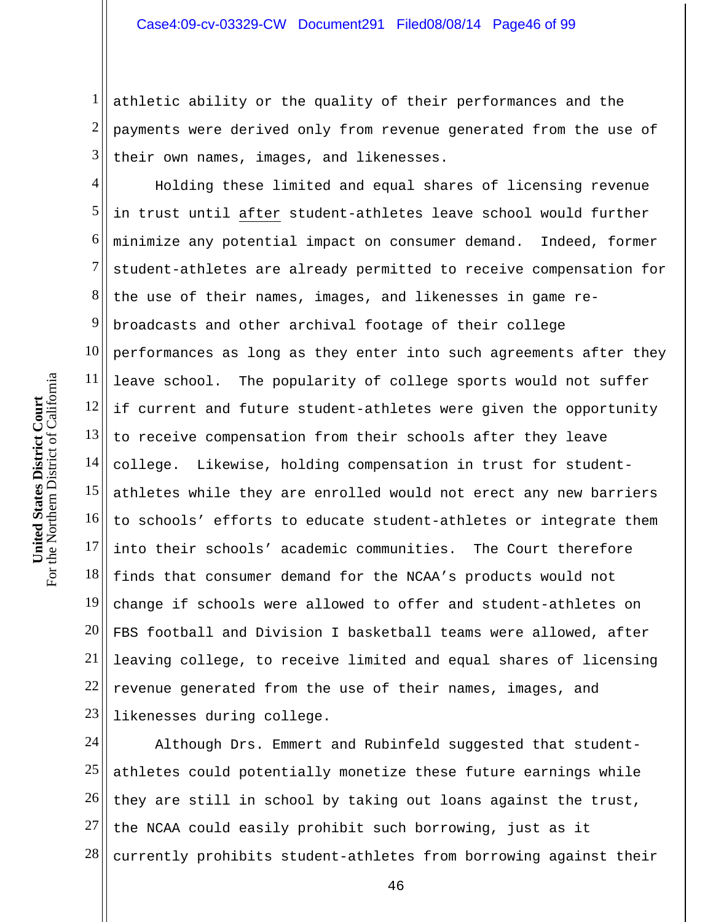1 2 3 athletic ability or the quality of their performances and the payments were derived only from revenue generated from the use of their own names, images, and likenesses.

4 5 6 7 8 9 10 11 12 13 14 15 16 17 18 19 20 21 22 23 Holding these limited and equal shares of licensing revenue in trust until after student-athletes leave school would further minimize any potential impact on consumer demand. Indeed, former student-athletes are already permitted to receive compensation for the use of their names, images, and likenesses in game rebroadcasts and other archival footage of their college performances as long as they enter into such agreements after they leave school. The popularity of college sports would not suffer if current and future student-athletes were given the opportunity to receive compensation from their schools after they leave college. Likewise, holding compensation in trust for studentathletes while they are enrolled would not erect any new barriers to schools' efforts to educate student-athletes or integrate them into their schools' academic communities. The Court therefore finds that consumer demand for the NCAA's products would not change if schools were allowed to offer and student-athletes on FBS football and Division I basketball teams were allowed, after leaving college, to receive limited and equal shares of licensing revenue generated from the use of their names, images, and likenesses during college.

24 25 26 27 28 Although Drs. Emmert and Rubinfeld suggested that studentathletes could potentially monetize these future earnings while they are still in school by taking out loans against the trust, the NCAA could easily prohibit such borrowing, just as it currently prohibits student-athletes from borrowing against their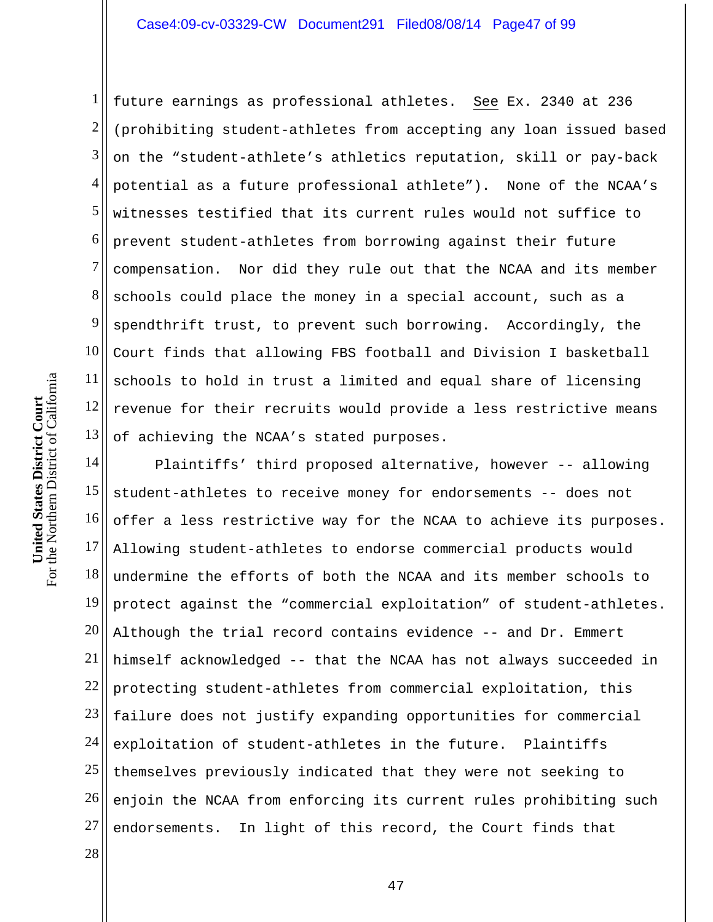## Case4:09-cv-03329-CW Document291 Filed08/08/14 Page47 of 99

1 2 3 4 5 6 7 8 9 10 11 12 13 future earnings as professional athletes. See Ex. 2340 at 236 (prohibiting student-athletes from accepting any loan issued based on the "student-athlete's athletics reputation, skill or pay-back potential as a future professional athlete"). None of the NCAA's witnesses testified that its current rules would not suffice to prevent student-athletes from borrowing against their future compensation. Nor did they rule out that the NCAA and its member schools could place the money in a special account, such as a spendthrift trust, to prevent such borrowing. Accordingly, the Court finds that allowing FBS football and Division I basketball schools to hold in trust a limited and equal share of licensing revenue for their recruits would provide a less restrictive means of achieving the NCAA's stated purposes.

14 15 16 17 18 19 20 21 22 23 24 25 26 27 Plaintiffs' third proposed alternative, however -- allowing student-athletes to receive money for endorsements -- does not offer a less restrictive way for the NCAA to achieve its purposes. Allowing student-athletes to endorse commercial products would undermine the efforts of both the NCAA and its member schools to protect against the "commercial exploitation" of student-athletes. Although the trial record contains evidence -- and Dr. Emmert himself acknowledged -- that the NCAA has not always succeeded in protecting student-athletes from commercial exploitation, this failure does not justify expanding opportunities for commercial exploitation of student-athletes in the future. Plaintiffs themselves previously indicated that they were not seeking to enjoin the NCAA from enforcing its current rules prohibiting such endorsements. In light of this record, the Court finds that

28

For the Northern District of California For the Northern District of California **United States District Court**  United States District Court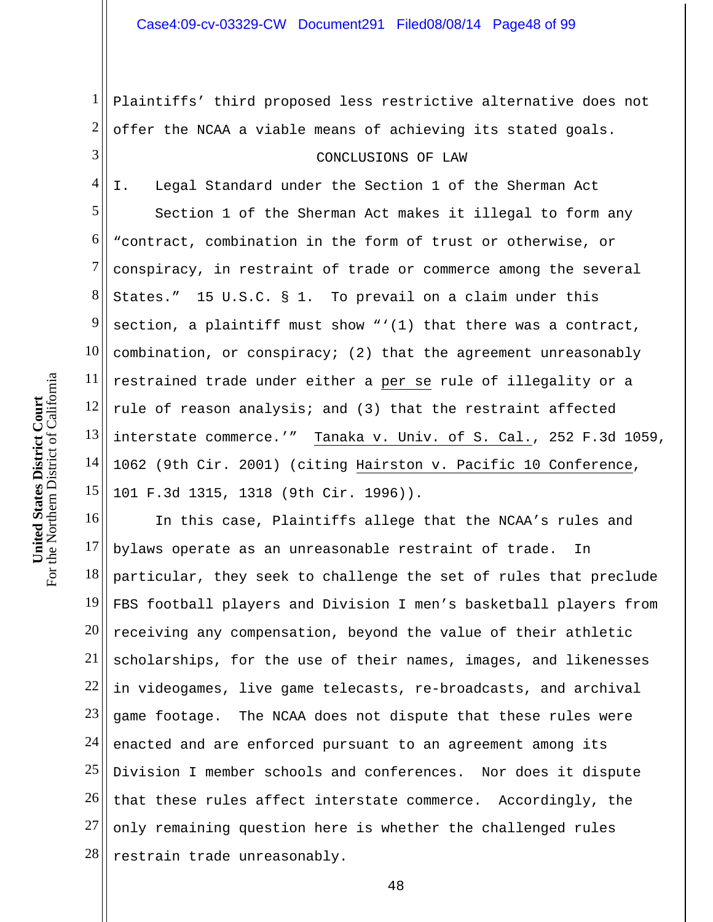1 2 3 Plaintiffs' third proposed less restrictive alternative does not offer the NCAA a viable means of achieving its stated goals. CONCLUSIONS OF LAW

4 5 6 7 8 9 10 11 12 13 14 15 I. Legal Standard under the Section 1 of the Sherman Act Section 1 of the Sherman Act makes it illegal to form any "contract, combination in the form of trust or otherwise, or conspiracy, in restraint of trade or commerce among the several States." 15 U.S.C. § 1. To prevail on a claim under this section, a plaintiff must show "'(1) that there was a contract, combination, or conspiracy; (2) that the agreement unreasonably restrained trade under either a per se rule of illegality or a rule of reason analysis; and (3) that the restraint affected interstate commerce.'" Tanaka v. Univ. of S. Cal., 252 F.3d 1059, 1062 (9th Cir. 2001) (citing Hairston v. Pacific 10 Conference, 101 F.3d 1315, 1318 (9th Cir. 1996)).

16 17 18 19 20 21 22 23 24 25 26 27 28 In this case, Plaintiffs allege that the NCAA's rules and bylaws operate as an unreasonable restraint of trade. In particular, they seek to challenge the set of rules that preclude FBS football players and Division I men's basketball players from receiving any compensation, beyond the value of their athletic scholarships, for the use of their names, images, and likenesses in videogames, live game telecasts, re-broadcasts, and archival game footage. The NCAA does not dispute that these rules were enacted and are enforced pursuant to an agreement among its Division I member schools and conferences. Nor does it dispute that these rules affect interstate commerce. Accordingly, the only remaining question here is whether the challenged rules restrain trade unreasonably.

For the Northern District of California For the Northern District of California **United States District Court**  United States District Court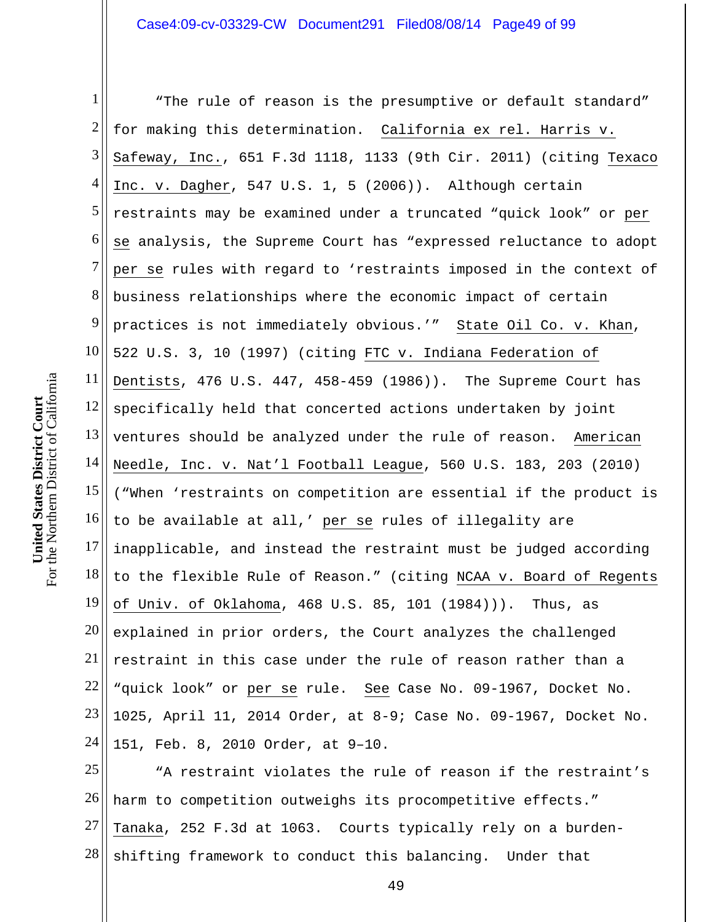1 2 3 4 5 6 7 8 9 10 11 12 13 14 15 16 17 18 19 20 21 22 23 24 "The rule of reason is the presumptive or default standard" for making this determination. California ex rel. Harris v. Safeway, Inc., 651 F.3d 1118, 1133 (9th Cir. 2011) (citing Texaco Inc. v. Dagher, 547 U.S. 1, 5 (2006)). Although certain restraints may be examined under a truncated "quick look" or per se analysis, the Supreme Court has "expressed reluctance to adopt per se rules with regard to 'restraints imposed in the context of business relationships where the economic impact of certain practices is not immediately obvious.'" State Oil Co. v. Khan, 522 U.S. 3, 10 (1997) (citing FTC v. Indiana Federation of Dentists, 476 U.S. 447, 458-459 (1986)). The Supreme Court has specifically held that concerted actions undertaken by joint ventures should be analyzed under the rule of reason. American Needle, Inc. v. Nat'l Football League, 560 U.S. 183, 203 (2010) ("When 'restraints on competition are essential if the product is to be available at all,' per se rules of illegality are inapplicable, and instead the restraint must be judged according to the flexible Rule of Reason." (citing NCAA v. Board of Regents of Univ. of Oklahoma, 468 U.S. 85, 101 (1984))). Thus, as explained in prior orders, the Court analyzes the challenged restraint in this case under the rule of reason rather than a "quick look" or per se rule. See Case No. 09-1967, Docket No. 1025, April 11, 2014 Order, at 8-9; Case No. 09-1967, Docket No. 151, Feb. 8, 2010 Order, at 9–10.

25 26 27 28 "A restraint violates the rule of reason if the restraint's harm to competition outweighs its procompetitive effects." Tanaka, 252 F.3d at 1063. Courts typically rely on a burdenshifting framework to conduct this balancing. Under that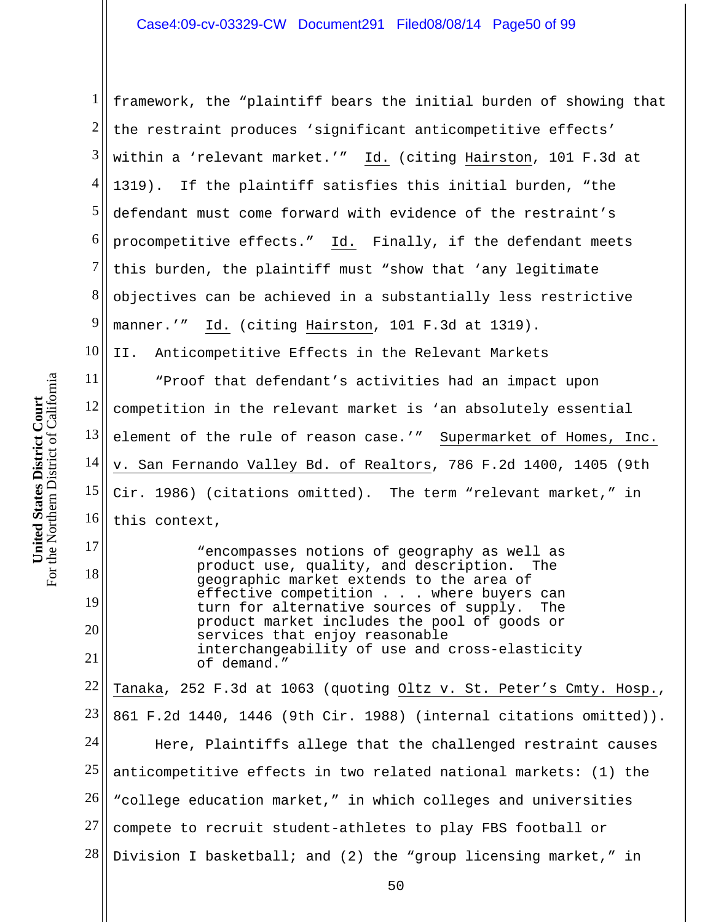1 2 3 4 5 6 7 8 9 10 11 12 13 14 15 16 17 18 19 framework, the "plaintiff bears the initial burden of showing that the restraint produces 'significant anticompetitive effects' within a 'relevant market.'" Id. (citing Hairston, 101 F.3d at 1319). If the plaintiff satisfies this initial burden, "the defendant must come forward with evidence of the restraint's procompetitive effects." Id. Finally, if the defendant meets this burden, the plaintiff must "show that 'any legitimate objectives can be achieved in a substantially less restrictive manner.'" Id. (citing Hairston, 101 F.3d at 1319). II. Anticompetitive Effects in the Relevant Markets "Proof that defendant's activities had an impact upon competition in the relevant market is 'an absolutely essential element of the rule of reason case.'" Supermarket of Homes, Inc. v. San Fernando Valley Bd. of Realtors, 786 F.2d 1400, 1405 (9th Cir. 1986) (citations omitted). The term "relevant market," in this context, "encompasses notions of geography as well as product use, quality, and description. The geographic market extends to the area of effective competition . . . where buyers can turn for alternative sources of supply. The product market includes the pool of goods or

20 21 services that enjoy reasonable interchangeability of use and cross-elasticity of demand."

22 23 24 25 26 27 28 Tanaka, 252 F.3d at 1063 (quoting Oltz v. St. Peter's Cmty. Hosp., 861 F.2d 1440, 1446 (9th Cir. 1988) (internal citations omitted)). Here, Plaintiffs allege that the challenged restraint causes anticompetitive effects in two related national markets: (1) the "college education market," in which colleges and universities compete to recruit student-athletes to play FBS football or Division I basketball; and (2) the "group licensing market," in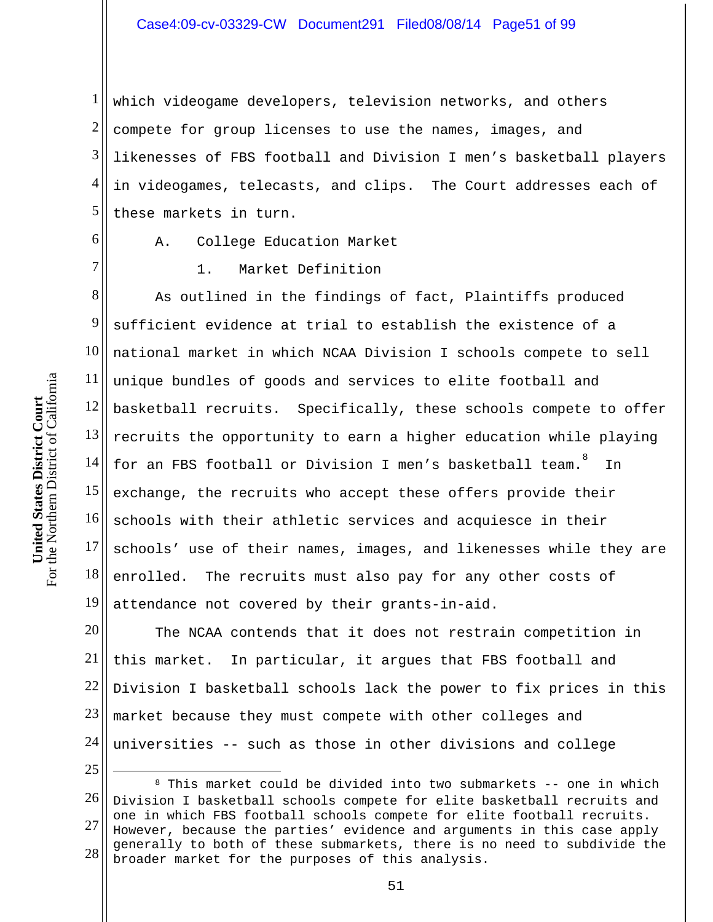1 2 3 4 5 which videogame developers, television networks, and others compete for group licenses to use the names, images, and likenesses of FBS football and Division I men's basketball players in videogames, telecasts, and clips. The Court addresses each of these markets in turn.

6

7

- A. College Education Market
- 1. Market Definition

8 9 10 11 12 13 14 15 16 17 18 19 As outlined in the findings of fact, Plaintiffs produced sufficient evidence at trial to establish the existence of a national market in which NCAA Division I schools compete to sell unique bundles of goods and services to elite football and basketball recruits. Specifically, these schools compete to offer recruits the opportunity to earn a higher education while playing for an FBS football or Division I men's basketball team. In exchange, the recruits who accept these offers provide their schools with their athletic services and acquiesce in their schools' use of their names, images, and likenesses while they are enrolled. The recruits must also pay for any other costs of attendance not covered by their grants-in-aid.

20 21 22 23 24 The NCAA contends that it does not restrain competition in this market. In particular, it argues that FBS football and Division I basketball schools lack the power to fix prices in this market because they must compete with other colleges and universities -- such as those in other divisions and college

25

 $\overline{a}$ 

<sup>26</sup>  27 28 8 This market could be divided into two submarkets -- one in which Division I basketball schools compete for elite basketball recruits and one in which FBS football schools compete for elite football recruits. However, because the parties' evidence and arguments in this case apply generally to both of these submarkets, there is no need to subdivide the broader market for the purposes of this analysis.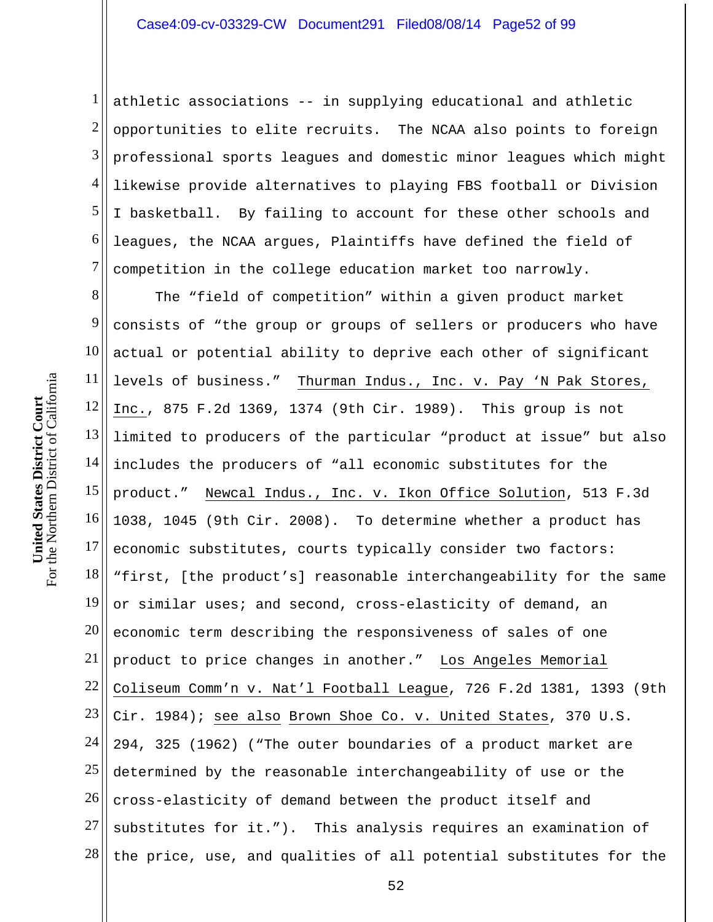1 2 3 4 5 6 7 athletic associations -- in supplying educational and athletic opportunities to elite recruits. The NCAA also points to foreign professional sports leagues and domestic minor leagues which might likewise provide alternatives to playing FBS football or Division I basketball. By failing to account for these other schools and leagues, the NCAA argues, Plaintiffs have defined the field of competition in the college education market too narrowly.

8 9 10 11 12 13 14 15 16 17 18 19 20 21 22 23 24 25 26 27 28 The "field of competition" within a given product market consists of "the group or groups of sellers or producers who have actual or potential ability to deprive each other of significant levels of business." Thurman Indus., Inc. v. Pay 'N Pak Stores, Inc., 875 F.2d 1369, 1374 (9th Cir. 1989). This group is not limited to producers of the particular "product at issue" but also includes the producers of "all economic substitutes for the product." Newcal Indus., Inc. v. Ikon Office Solution, 513 F.3d 1038, 1045 (9th Cir. 2008). To determine whether a product has economic substitutes, courts typically consider two factors: "first, [the product's] reasonable interchangeability for the same or similar uses; and second, cross-elasticity of demand, an economic term describing the responsiveness of sales of one product to price changes in another." Los Angeles Memorial Coliseum Comm'n v. Nat'l Football League, 726 F.2d 1381, 1393 (9th Cir. 1984); see also Brown Shoe Co. v. United States, 370 U.S. 294, 325 (1962) ("The outer boundaries of a product market are determined by the reasonable interchangeability of use or the cross-elasticity of demand between the product itself and substitutes for it."). This analysis requires an examination of the price, use, and qualities of all potential substitutes for the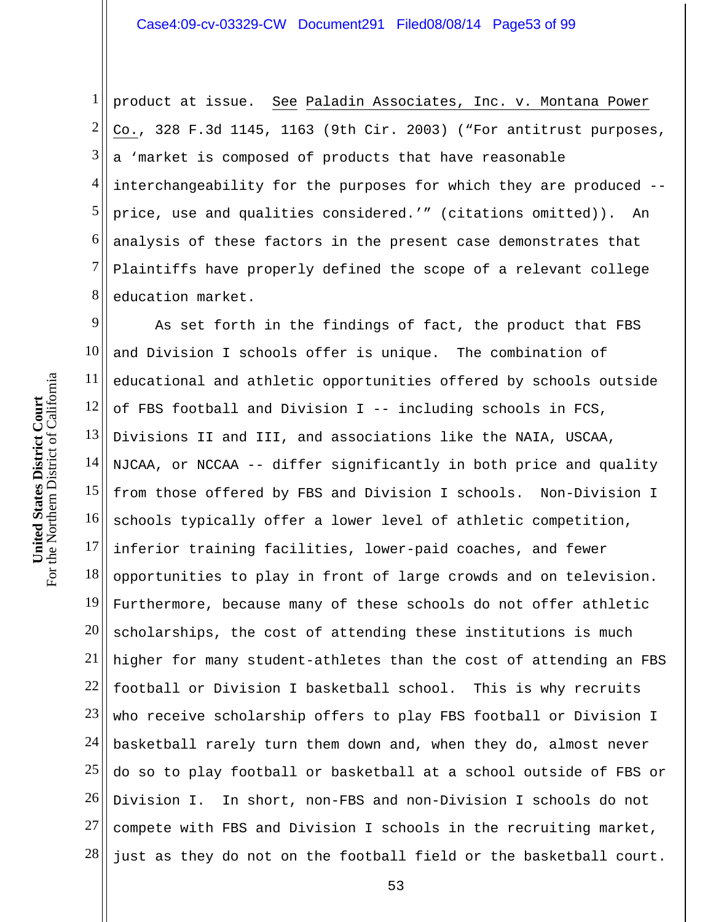1 2 3 4 5 6 7 8 product at issue. See Paladin Associates, Inc. v. Montana Power Co., 328 F.3d 1145, 1163 (9th Cir. 2003) ("For antitrust purposes, a 'market is composed of products that have reasonable interchangeability for the purposes for which they are produced - price, use and qualities considered.'" (citations omitted)). An analysis of these factors in the present case demonstrates that Plaintiffs have properly defined the scope of a relevant college education market.

9 10 11 12 13 14 15 16 17 18 19 20 21 22 23 24 25 26 27 28 As set forth in the findings of fact, the product that FBS and Division I schools offer is unique. The combination of educational and athletic opportunities offered by schools outside of FBS football and Division I -- including schools in FCS, Divisions II and III, and associations like the NAIA, USCAA, NJCAA, or NCCAA -- differ significantly in both price and quality from those offered by FBS and Division I schools. Non-Division I schools typically offer a lower level of athletic competition, inferior training facilities, lower-paid coaches, and fewer opportunities to play in front of large crowds and on television. Furthermore, because many of these schools do not offer athletic scholarships, the cost of attending these institutions is much higher for many student-athletes than the cost of attending an FBS football or Division I basketball school. This is why recruits who receive scholarship offers to play FBS football or Division I basketball rarely turn them down and, when they do, almost never do so to play football or basketball at a school outside of FBS or Division I. In short, non-FBS and non-Division I schools do not compete with FBS and Division I schools in the recruiting market, just as they do not on the football field or the basketball court.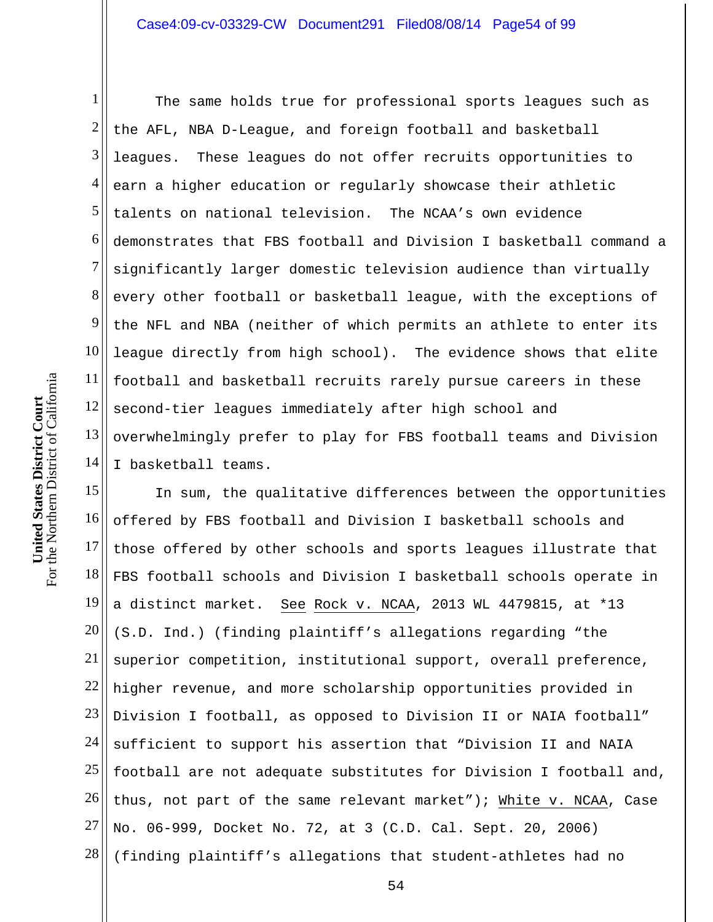1 2 3 4 5 6 7 8 9 10 11 12 13 14 The same holds true for professional sports leagues such as the AFL, NBA D-League, and foreign football and basketball leagues. These leagues do not offer recruits opportunities to earn a higher education or regularly showcase their athletic talents on national television. The NCAA's own evidence demonstrates that FBS football and Division I basketball command a significantly larger domestic television audience than virtually every other football or basketball league, with the exceptions of the NFL and NBA (neither of which permits an athlete to enter its league directly from high school). The evidence shows that elite football and basketball recruits rarely pursue careers in these second-tier leagues immediately after high school and overwhelmingly prefer to play for FBS football teams and Division I basketball teams.

15 16 17 18 19 20 21 22 23 24 25 26 27 28 In sum, the qualitative differences between the opportunities offered by FBS football and Division I basketball schools and those offered by other schools and sports leagues illustrate that FBS football schools and Division I basketball schools operate in a distinct market. See Rock v. NCAA, 2013 WL 4479815, at \*13 (S.D. Ind.) (finding plaintiff's allegations regarding "the superior competition, institutional support, overall preference, higher revenue, and more scholarship opportunities provided in Division I football, as opposed to Division II or NAIA football" sufficient to support his assertion that "Division II and NAIA football are not adequate substitutes for Division I football and, thus, not part of the same relevant market"); White v. NCAA, Case No. 06-999, Docket No. 72, at 3 (C.D. Cal. Sept. 20, 2006) (finding plaintiff's allegations that student-athletes had no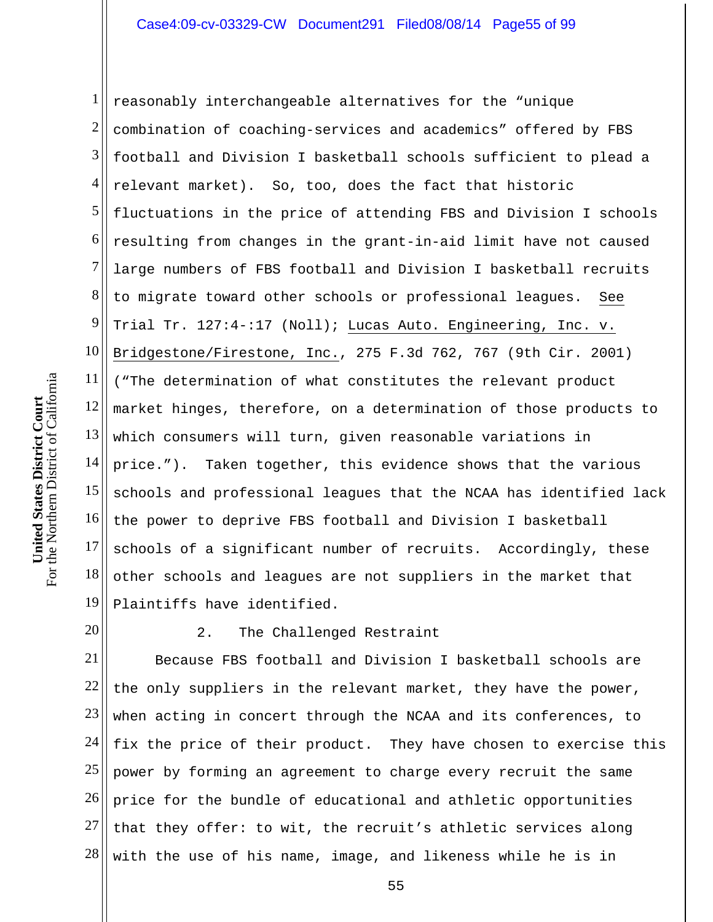1 2 3 4 5 6 7 8 9 10 11 12 13 14 15 16 17 18 19 reasonably interchangeable alternatives for the "unique combination of coaching-services and academics" offered by FBS football and Division I basketball schools sufficient to plead a relevant market). So, too, does the fact that historic fluctuations in the price of attending FBS and Division I schools resulting from changes in the grant-in-aid limit have not caused large numbers of FBS football and Division I basketball recruits to migrate toward other schools or professional leagues. See Trial Tr. 127:4-:17 (Noll); Lucas Auto. Engineering, Inc. v. Bridgestone/Firestone, Inc., 275 F.3d 762, 767 (9th Cir. 2001) ("The determination of what constitutes the relevant product market hinges, therefore, on a determination of those products to which consumers will turn, given reasonable variations in price."). Taken together, this evidence shows that the various schools and professional leagues that the NCAA has identified lack the power to deprive FBS football and Division I basketball schools of a significant number of recruits. Accordingly, these other schools and leagues are not suppliers in the market that Plaintiffs have identified.

20

## 2. The Challenged Restraint

21 22 23 24 25 26 27 28 Because FBS football and Division I basketball schools are the only suppliers in the relevant market, they have the power, when acting in concert through the NCAA and its conferences, to fix the price of their product. They have chosen to exercise this power by forming an agreement to charge every recruit the same price for the bundle of educational and athletic opportunities that they offer: to wit, the recruit's athletic services along with the use of his name, image, and likeness while he is in

For the Northern District of California For the Northern District of California **United States District Court**  United States District Court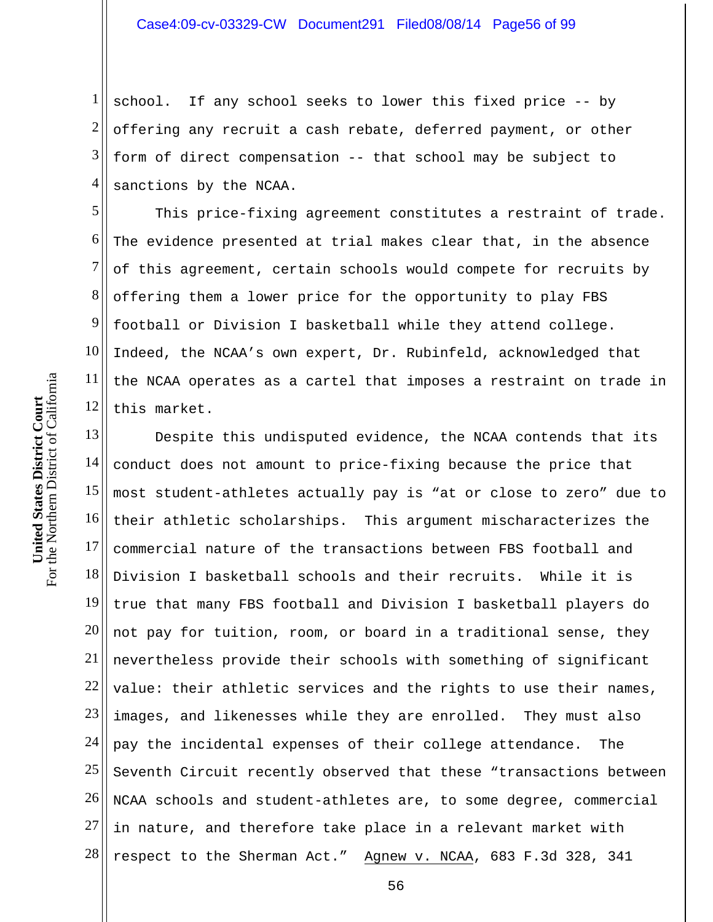1 2 3 4 school. If any school seeks to lower this fixed price -- by offering any recruit a cash rebate, deferred payment, or other form of direct compensation -- that school may be subject to sanctions by the NCAA.

5 6 7 8 9 10 11 12 This price-fixing agreement constitutes a restraint of trade. The evidence presented at trial makes clear that, in the absence of this agreement, certain schools would compete for recruits by offering them a lower price for the opportunity to play FBS football or Division I basketball while they attend college. Indeed, the NCAA's own expert, Dr. Rubinfeld, acknowledged that the NCAA operates as a cartel that imposes a restraint on trade in this market.

13 14 15 16 17 18 19 20 21 22 23 24 25 26 27 28 Despite this undisputed evidence, the NCAA contends that its conduct does not amount to price-fixing because the price that most student-athletes actually pay is "at or close to zero" due to their athletic scholarships. This argument mischaracterizes the commercial nature of the transactions between FBS football and Division I basketball schools and their recruits. While it is true that many FBS football and Division I basketball players do not pay for tuition, room, or board in a traditional sense, they nevertheless provide their schools with something of significant value: their athletic services and the rights to use their names, images, and likenesses while they are enrolled. They must also pay the incidental expenses of their college attendance. The Seventh Circuit recently observed that these "transactions between NCAA schools and student-athletes are, to some degree, commercial in nature, and therefore take place in a relevant market with respect to the Sherman Act." Agnew v. NCAA, 683 F.3d 328, 341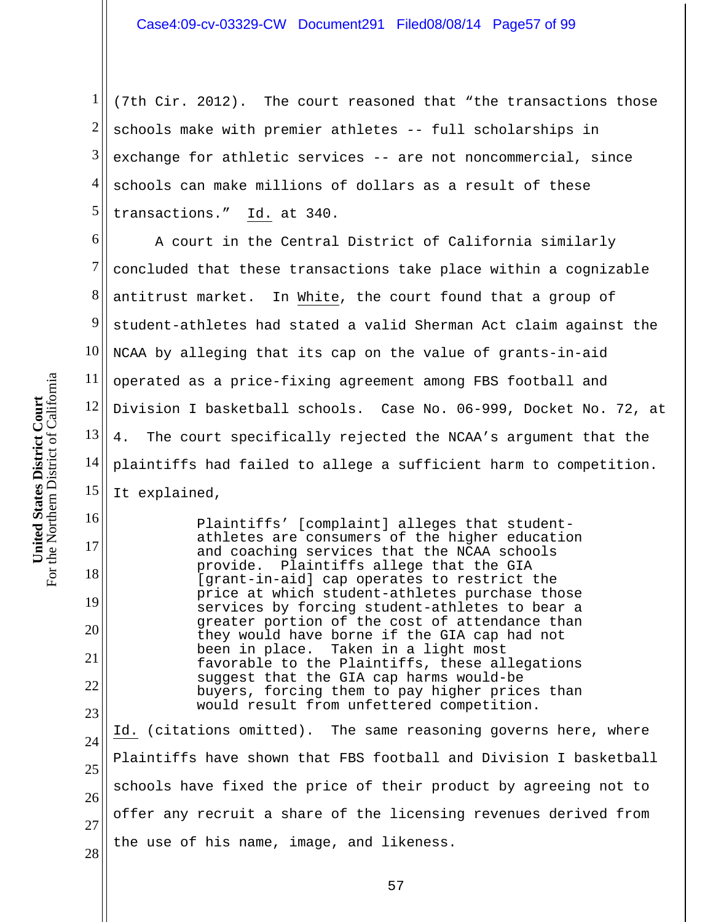1 2 3 4 5 (7th Cir. 2012). The court reasoned that "the transactions those schools make with premier athletes -- full scholarships in exchange for athletic services -- are not noncommercial, since schools can make millions of dollars as a result of these transactions." Id. at 340.

6 7 8 9 10 11 12 13 14 15 A court in the Central District of California similarly concluded that these transactions take place within a cognizable antitrust market. In White, the court found that a group of student-athletes had stated a valid Sherman Act claim against the NCAA by alleging that its cap on the value of grants-in-aid operated as a price-fixing agreement among FBS football and Division I basketball schools. Case No. 06-999, Docket No. 72, at 4. The court specifically rejected the NCAA's argument that the plaintiffs had failed to allege a sufficient harm to competition. It explained,

Plaintiffs' [complaint] alleges that studentathletes are consumers of the higher education and coaching services that the NCAA schools provide. Plaintiffs allege that the GIA [grant-in-aid] cap operates to restrict the price at which student-athletes purchase those services by forcing student-athletes to bear a greater portion of the cost of attendance than they would have borne if the GIA cap had not<br>been in place. Taken in a light most Taken in a light most favorable to the Plaintiffs, these allegations suggest that the GIA cap harms would-be buyers, forcing them to pay higher prices than would result from unfettered competition. Id. (citations omitted). The same reasoning governs here, where

24 25 26 27 28 Plaintiffs have shown that FBS football and Division I basketball schools have fixed the price of their product by agreeing not to offer any recruit a share of the licensing revenues derived from the use of his name, image, and likeness.

16

17

18

19

20

21

22

23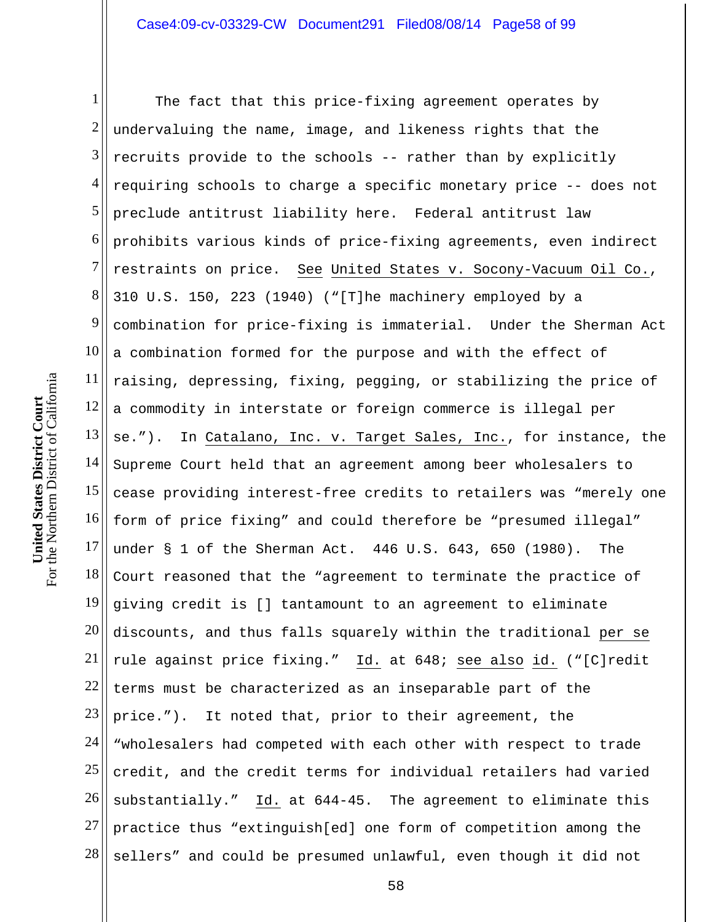1 2 3 4 5 6 7 8 9 10 11 12 13 14 15 16 17 18 19 20 21 22 23 24 25 26 27 28 The fact that this price-fixing agreement operates by undervaluing the name, image, and likeness rights that the recruits provide to the schools -- rather than by explicitly requiring schools to charge a specific monetary price -- does not preclude antitrust liability here. Federal antitrust law prohibits various kinds of price-fixing agreements, even indirect restraints on price. See United States v. Socony-Vacuum Oil Co., 310 U.S. 150, 223 (1940) ("[T]he machinery employed by a combination for price-fixing is immaterial. Under the Sherman Act a combination formed for the purpose and with the effect of raising, depressing, fixing, pegging, or stabilizing the price of a commodity in interstate or foreign commerce is illegal per se."). In Catalano, Inc. v. Target Sales, Inc., for instance, the Supreme Court held that an agreement among beer wholesalers to cease providing interest-free credits to retailers was "merely one form of price fixing" and could therefore be "presumed illegal" under § 1 of the Sherman Act. 446 U.S. 643, 650 (1980). The Court reasoned that the "agreement to terminate the practice of giving credit is [] tantamount to an agreement to eliminate discounts, and thus falls squarely within the traditional per se rule against price fixing." Id. at 648; see also id. ("[C]redit terms must be characterized as an inseparable part of the price."). It noted that, prior to their agreement, the "wholesalers had competed with each other with respect to trade credit, and the credit terms for individual retailers had varied substantially." Id. at 644-45. The agreement to eliminate this practice thus "extinguish[ed] one form of competition among the sellers" and could be presumed unlawful, even though it did not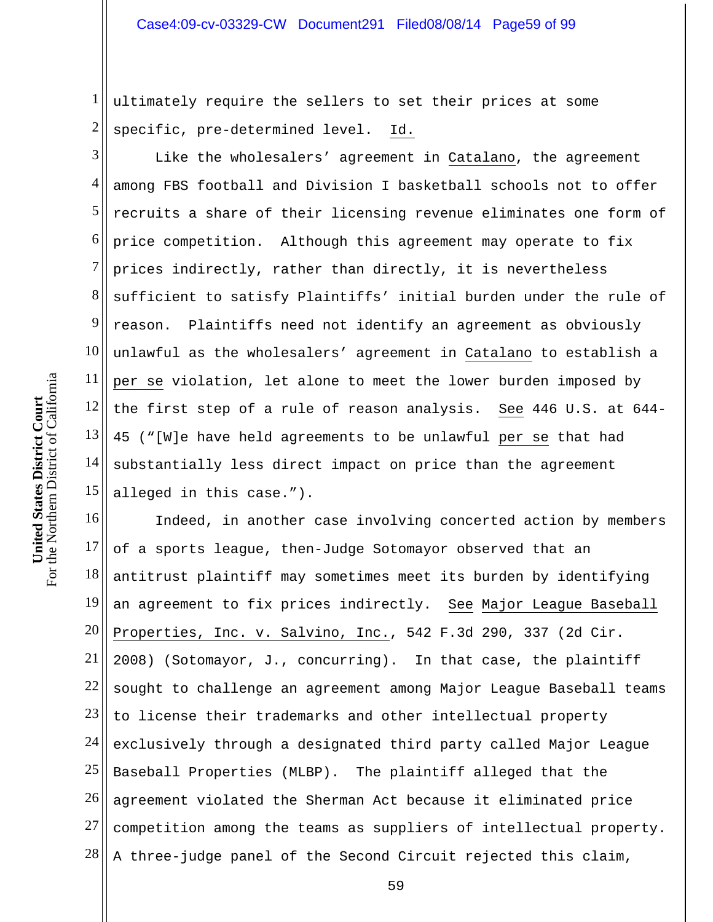1 2 ultimately require the sellers to set their prices at some specific, pre-determined level. Id.

3 4 5 6 7 8 9 10 11 12  $13$ 14 15 Like the wholesalers' agreement in Catalano, the agreement among FBS football and Division I basketball schools not to offer recruits a share of their licensing revenue eliminates one form of price competition. Although this agreement may operate to fix prices indirectly, rather than directly, it is nevertheless sufficient to satisfy Plaintiffs' initial burden under the rule of reason. Plaintiffs need not identify an agreement as obviously unlawful as the wholesalers' agreement in Catalano to establish a per se violation, let alone to meet the lower burden imposed by the first step of a rule of reason analysis. See 446 U.S. at 644- 45 ("[W]e have held agreements to be unlawful per se that had substantially less direct impact on price than the agreement alleged in this case.").

16 17 18 19 20 21 22 23 24 25 26 27 28 Indeed, in another case involving concerted action by members of a sports league, then-Judge Sotomayor observed that an antitrust plaintiff may sometimes meet its burden by identifying an agreement to fix prices indirectly. See Major League Baseball Properties, Inc. v. Salvino, Inc., 542 F.3d 290, 337 (2d Cir. 2008) (Sotomayor, J., concurring). In that case, the plaintiff sought to challenge an agreement among Major League Baseball teams to license their trademarks and other intellectual property exclusively through a designated third party called Major League Baseball Properties (MLBP). The plaintiff alleged that the agreement violated the Sherman Act because it eliminated price competition among the teams as suppliers of intellectual property. A three-judge panel of the Second Circuit rejected this claim,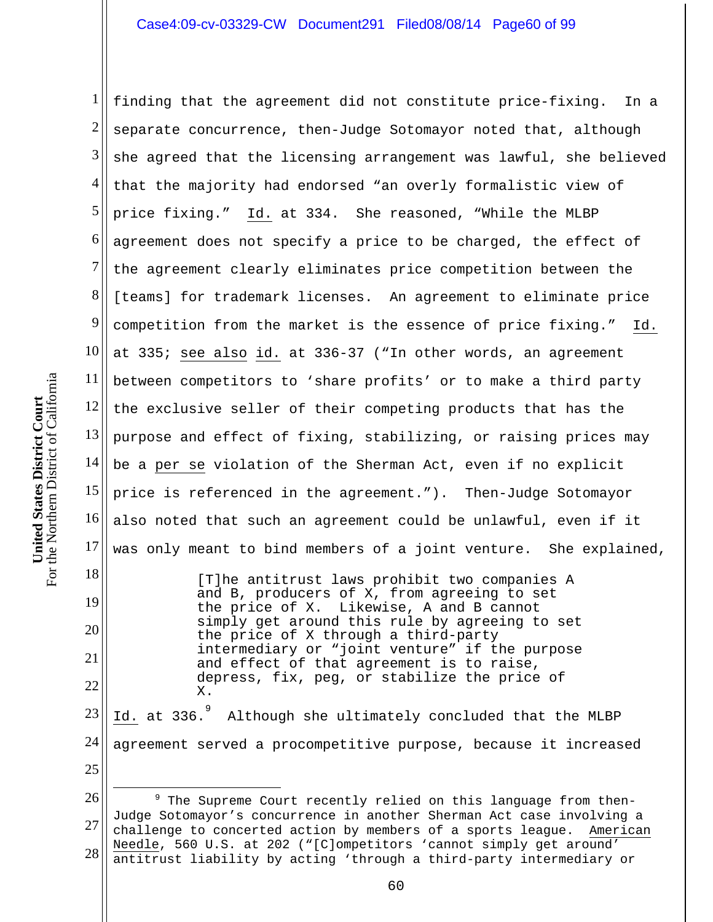1 2 3 4 5 6 7 8 9 10<sup>|</sup> 11 12 13 14 15 16 17 18 19 finding that the agreement did not constitute price-fixing. In a separate concurrence, then-Judge Sotomayor noted that, although she agreed that the licensing arrangement was lawful, she believed that the majority had endorsed "an overly formalistic view of price fixing." Id. at 334. She reasoned, "While the MLBP agreement does not specify a price to be charged, the effect of the agreement clearly eliminates price competition between the [teams] for trademark licenses. An agreement to eliminate price competition from the market is the essence of price fixing." Id. at 335; see also id. at 336-37 ("In other words, an agreement between competitors to 'share profits' or to make a third party the exclusive seller of their competing products that has the purpose and effect of fixing, stabilizing, or raising prices may be a per se violation of the Sherman Act, even if no explicit price is referenced in the agreement."). Then-Judge Sotomayor also noted that such an agreement could be unlawful, even if it was only meant to bind members of a joint venture. She explained, [T]he antitrust laws prohibit two companies A

and B, producers of X, from agreeing to set the price of X. Likewise, A and B cannot simply get around this rule by agreeing to set the price of X through a third-party intermediary or "joint venture" if the purpose and effect of that agreement is to raise, depress, fix, peg, or stabilize the price of X.

23 24 25 Id. at 336.<sup>9</sup> Although she ultimately concluded that the MLBP agreement served a procompetitive purpose, because it increased

20

21

22

 $\overline{a}$ 

<sup>26</sup>  27 28 <sup>9</sup> The Supreme Court recently relied on this language from then-Judge Sotomayor's concurrence in another Sherman Act case involving a challenge to concerted action by members of a sports league. American Needle, 560 U.S. at 202 ("[C]ompetitors 'cannot simply get around' antitrust liability by acting 'through a third-party intermediary or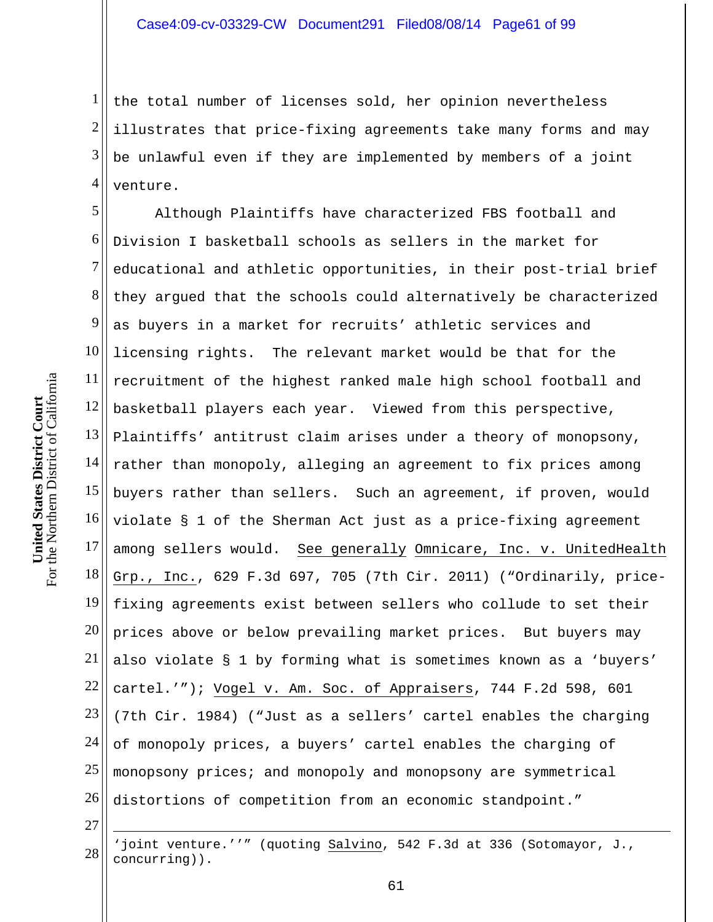1 2 3 4 the total number of licenses sold, her opinion nevertheless illustrates that price-fixing agreements take many forms and may be unlawful even if they are implemented by members of a joint venture.

5 6 7 8 9 10 11 12 13 14 15 16 17 18 19 20 21 22 23 24 25 26 Although Plaintiffs have characterized FBS football and Division I basketball schools as sellers in the market for educational and athletic opportunities, in their post-trial brief they argued that the schools could alternatively be characterized as buyers in a market for recruits' athletic services and licensing rights. The relevant market would be that for the recruitment of the highest ranked male high school football and basketball players each year. Viewed from this perspective, Plaintiffs' antitrust claim arises under a theory of monopsony, rather than monopoly, alleging an agreement to fix prices among buyers rather than sellers. Such an agreement, if proven, would violate § 1 of the Sherman Act just as a price-fixing agreement among sellers would. See generally Omnicare, Inc. v. UnitedHealth Grp., Inc., 629 F.3d 697, 705 (7th Cir. 2011) ("Ordinarily, pricefixing agreements exist between sellers who collude to set their prices above or below prevailing market prices. But buyers may also violate § 1 by forming what is sometimes known as a 'buyers' cartel.'"); Vogel v. Am. Soc. of Appraisers, 744 F.2d 598, 601 (7th Cir. 1984) ("Just as a sellers' cartel enables the charging of monopoly prices, a buyers' cartel enables the charging of monopsony prices; and monopoly and monopsony are symmetrical distortions of competition from an economic standpoint."

27

 $\overline{a}$ 

28 'joint venture.''" (quoting Salvino, 542 F.3d at 336 (Sotomayor, J., concurring)).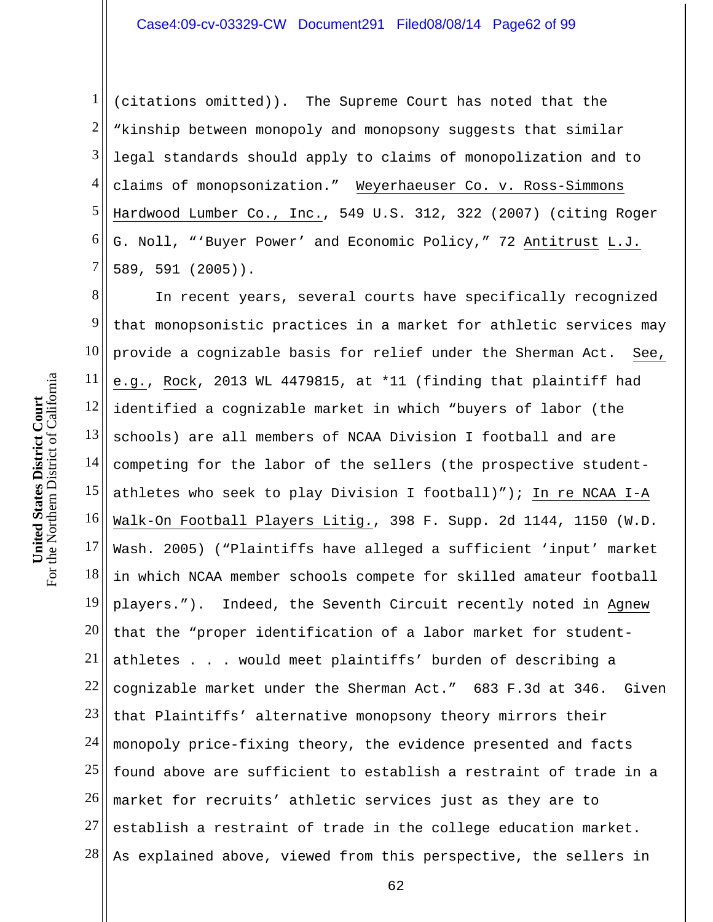1 2 3 4 5 6 7 (citations omitted)). The Supreme Court has noted that the "kinship between monopoly and monopsony suggests that similar legal standards should apply to claims of monopolization and to claims of monopsonization." Weyerhaeuser Co. v. Ross-Simmons Hardwood Lumber Co., Inc., 549 U.S. 312, 322 (2007) (citing Roger G. Noll, "'Buyer Power' and Economic Policy," 72 Antitrust L.J. 589, 591 (2005)).

8 9 10 11 12 13 14 15 16 17 18 19 20 21 22 23 24 25 26 27 28 In recent years, several courts have specifically recognized that monopsonistic practices in a market for athletic services may provide a cognizable basis for relief under the Sherman Act. See, e.g., Rock, 2013 WL 4479815, at \*11 (finding that plaintiff had identified a cognizable market in which "buyers of labor (the schools) are all members of NCAA Division I football and are competing for the labor of the sellers (the prospective studentathletes who seek to play Division I football)"); In re NCAA I-A Walk-On Football Players Litig., 398 F. Supp. 2d 1144, 1150 (W.D. Wash. 2005) ("Plaintiffs have alleged a sufficient 'input' market in which NCAA member schools compete for skilled amateur football players."). Indeed, the Seventh Circuit recently noted in Agnew that the "proper identification of a labor market for studentathletes . . . would meet plaintiffs' burden of describing a cognizable market under the Sherman Act." 683 F.3d at 346. Given that Plaintiffs' alternative monopsony theory mirrors their monopoly price-fixing theory, the evidence presented and facts found above are sufficient to establish a restraint of trade in a market for recruits' athletic services just as they are to establish a restraint of trade in the college education market. As explained above, viewed from this perspective, the sellers in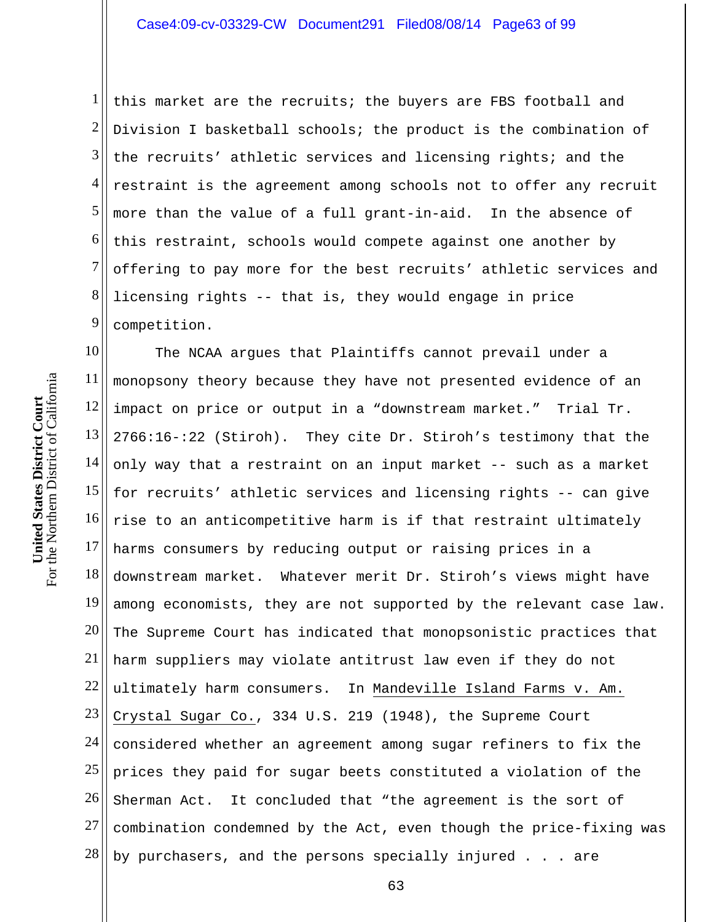1 2 3 4 5 6 7 8 9 this market are the recruits; the buyers are FBS football and Division I basketball schools; the product is the combination of the recruits' athletic services and licensing rights; and the restraint is the agreement among schools not to offer any recruit more than the value of a full grant-in-aid. In the absence of this restraint, schools would compete against one another by offering to pay more for the best recruits' athletic services and licensing rights -- that is, they would engage in price competition.

10 11 12 13 14 15 16 17 18 19 20 21 22 23 24 25 26 27 28 The NCAA argues that Plaintiffs cannot prevail under a monopsony theory because they have not presented evidence of an impact on price or output in a "downstream market." Trial Tr. 2766:16-:22 (Stiroh). They cite Dr. Stiroh's testimony that the only way that a restraint on an input market -- such as a market for recruits' athletic services and licensing rights -- can give rise to an anticompetitive harm is if that restraint ultimately harms consumers by reducing output or raising prices in a downstream market. Whatever merit Dr. Stiroh's views might have among economists, they are not supported by the relevant case law. The Supreme Court has indicated that monopsonistic practices that harm suppliers may violate antitrust law even if they do not ultimately harm consumers. In Mandeville Island Farms v. Am. Crystal Sugar Co., 334 U.S. 219 (1948), the Supreme Court considered whether an agreement among sugar refiners to fix the prices they paid for sugar beets constituted a violation of the Sherman Act. It concluded that "the agreement is the sort of combination condemned by the Act, even though the price-fixing was by purchasers, and the persons specially injured . . . are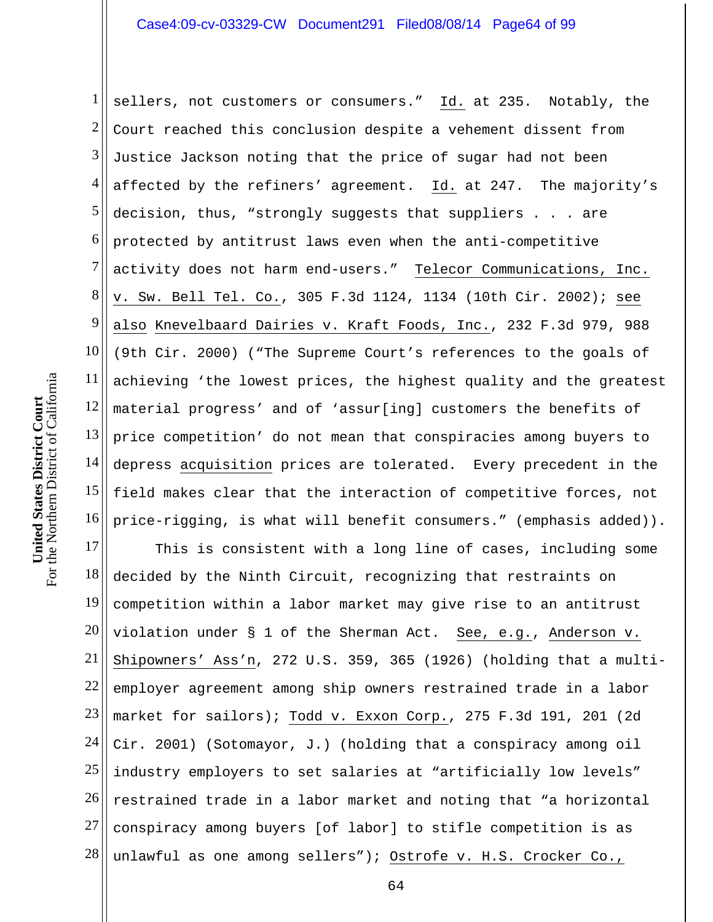1 2 3 4 5 6 7 8 9 10 11 12 13 14 15 16 sellers, not customers or consumers." Id. at 235. Notably, the Court reached this conclusion despite a vehement dissent from Justice Jackson noting that the price of sugar had not been affected by the refiners' agreement. Id. at 247. The majority's decision, thus, "strongly suggests that suppliers . . . are protected by antitrust laws even when the anti-competitive activity does not harm end-users." Telecor Communications, Inc. v. Sw. Bell Tel. Co., 305 F.3d 1124, 1134 (10th Cir. 2002); see also Knevelbaard Dairies v. Kraft Foods, Inc., 232 F.3d 979, 988 (9th Cir. 2000) ("The Supreme Court's references to the goals of achieving 'the lowest prices, the highest quality and the greatest material progress' and of 'assur[ing] customers the benefits of price competition' do not mean that conspiracies among buyers to depress acquisition prices are tolerated. Every precedent in the field makes clear that the interaction of competitive forces, not price-rigging, is what will benefit consumers." (emphasis added)).

17 18 19 20 21 22 23 24 25 26 27 28 This is consistent with a long line of cases, including some decided by the Ninth Circuit, recognizing that restraints on competition within a labor market may give rise to an antitrust violation under § 1 of the Sherman Act. See, e.g., Anderson v. Shipowners' Ass'n, 272 U.S. 359, 365 (1926) (holding that a multiemployer agreement among ship owners restrained trade in a labor market for sailors); Todd v. Exxon Corp., 275 F.3d 191, 201 (2d Cir. 2001) (Sotomayor, J.) (holding that a conspiracy among oil industry employers to set salaries at "artificially low levels" restrained trade in a labor market and noting that "a horizontal conspiracy among buyers [of labor] to stifle competition is as unlawful as one among sellers"); Ostrofe v. H.S. Crocker Co.,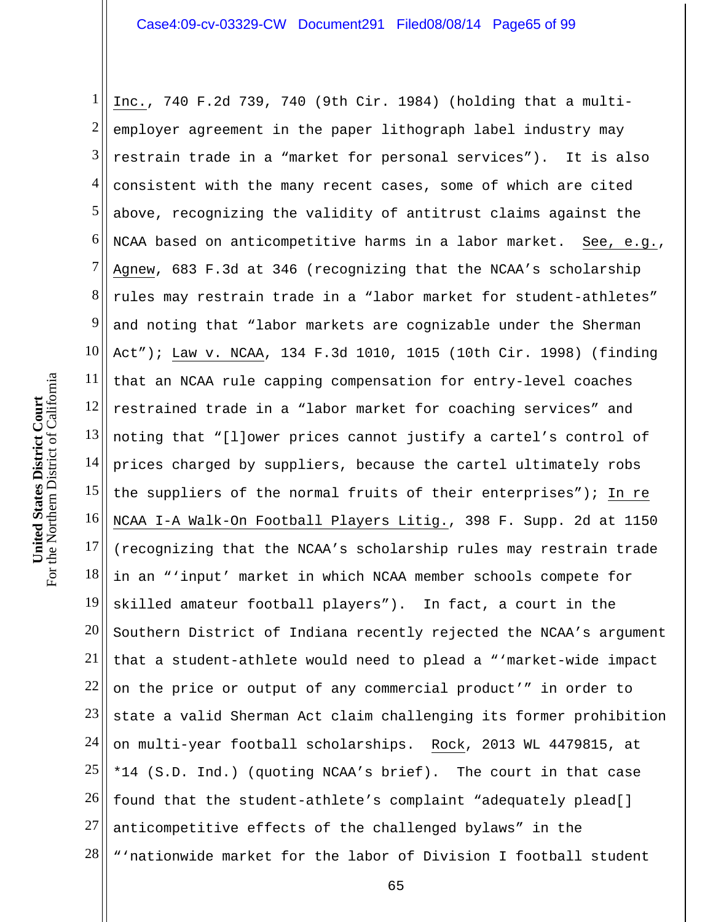1 2 3 4 5 6 7 8 9 10 11 12 13 14 15 16 17 18 19 20 21 22 23 24 25 26 27 28 Inc., 740 F.2d 739, 740 (9th Cir. 1984) (holding that a multiemployer agreement in the paper lithograph label industry may restrain trade in a "market for personal services"). It is also consistent with the many recent cases, some of which are cited above, recognizing the validity of antitrust claims against the NCAA based on anticompetitive harms in a labor market. See, e.g., Agnew, 683 F.3d at 346 (recognizing that the NCAA's scholarship rules may restrain trade in a "labor market for student-athletes" and noting that "labor markets are cognizable under the Sherman Act"); Law v. NCAA, 134 F.3d 1010, 1015 (10th Cir. 1998) (finding that an NCAA rule capping compensation for entry-level coaches restrained trade in a "labor market for coaching services" and noting that "[l]ower prices cannot justify a cartel's control of prices charged by suppliers, because the cartel ultimately robs the suppliers of the normal fruits of their enterprises"); In re NCAA I-A Walk-On Football Players Litig., 398 F. Supp. 2d at 1150 (recognizing that the NCAA's scholarship rules may restrain trade in an "'input' market in which NCAA member schools compete for skilled amateur football players"). In fact, a court in the Southern District of Indiana recently rejected the NCAA's argument that a student-athlete would need to plead a "'market-wide impact on the price or output of any commercial product'" in order to state a valid Sherman Act claim challenging its former prohibition on multi-year football scholarships. Rock, 2013 WL 4479815, at \*14 (S.D. Ind.) (quoting NCAA's brief). The court in that case found that the student-athlete's complaint "adequately plead[] anticompetitive effects of the challenged bylaws" in the "'nationwide market for the labor of Division I football student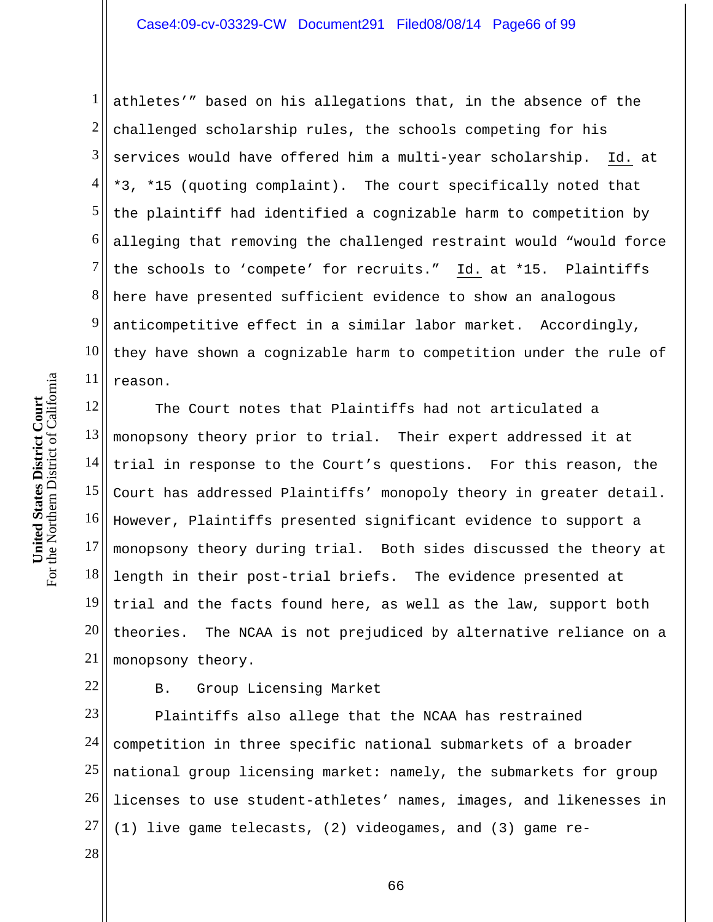1 2 3 4 5 6 7 8 9 10 11 athletes'" based on his allegations that, in the absence of the challenged scholarship rules, the schools competing for his services would have offered him a multi-year scholarship. Id. at \*3, \*15 (quoting complaint). The court specifically noted that the plaintiff had identified a cognizable harm to competition by alleging that removing the challenged restraint would "would force the schools to 'compete' for recruits." Id. at \*15. Plaintiffs here have presented sufficient evidence to show an analogous anticompetitive effect in a similar labor market. Accordingly, they have shown a cognizable harm to competition under the rule of reason.

12 13 14 15 16 17 18 19 20 21 The Court notes that Plaintiffs had not articulated a monopsony theory prior to trial. Their expert addressed it at trial in response to the Court's questions. For this reason, the Court has addressed Plaintiffs' monopoly theory in greater detail. However, Plaintiffs presented significant evidence to support a monopsony theory during trial. Both sides discussed the theory at length in their post-trial briefs. The evidence presented at trial and the facts found here, as well as the law, support both theories. The NCAA is not prejudiced by alternative reliance on a monopsony theory.

22

B. Group Licensing Market

23 24 25 26 27 Plaintiffs also allege that the NCAA has restrained competition in three specific national submarkets of a broader national group licensing market: namely, the submarkets for group licenses to use student-athletes' names, images, and likenesses in (1) live game telecasts, (2) videogames, and (3) game re-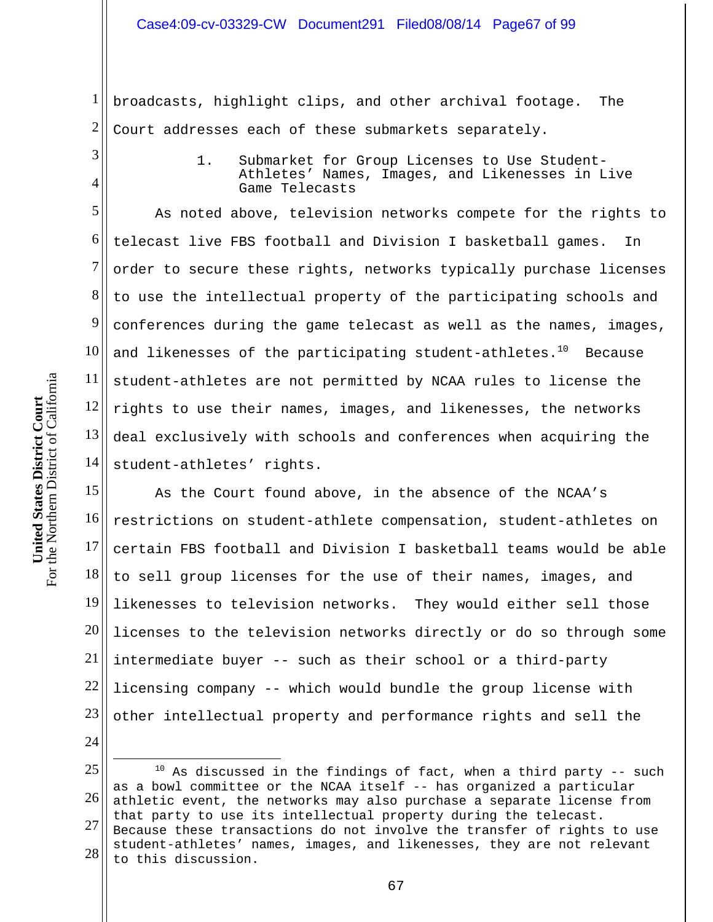1 2 broadcasts, highlight clips, and other archival footage. The Court addresses each of these submarkets separately.

3

4

1. Submarket for Group Licenses to Use Student-Athletes' Names, Images, and Likenesses in Live Game Telecasts

5 6 7 8 9 10 11 12 13 14 As noted above, television networks compete for the rights to telecast live FBS football and Division I basketball games. In order to secure these rights, networks typically purchase licenses to use the intellectual property of the participating schools and conferences during the game telecast as well as the names, images, and likenesses of the participating student-athletes. $10$  Because student-athletes are not permitted by NCAA rules to license the rights to use their names, images, and likenesses, the networks deal exclusively with schools and conferences when acquiring the student-athletes' rights.

15 16 17 18 19 20 21 22 23 As the Court found above, in the absence of the NCAA's restrictions on student-athlete compensation, student-athletes on certain FBS football and Division I basketball teams would be able to sell group licenses for the use of their names, images, and likenesses to television networks. They would either sell those licenses to the television networks directly or do so through some intermediate buyer -- such as their school or a third-party licensing company -- which would bundle the group license with other intellectual property and performance rights and sell the

24

 $\overline{a}$ 

<sup>25</sup>  26 27 28  $10$  As discussed in the findings of fact, when a third party -- such as a bowl committee or the NCAA itself -- has organized a particular athletic event, the networks may also purchase a separate license from that party to use its intellectual property during the telecast. Because these transactions do not involve the transfer of rights to use student-athletes' names, images, and likenesses, they are not relevant to this discussion.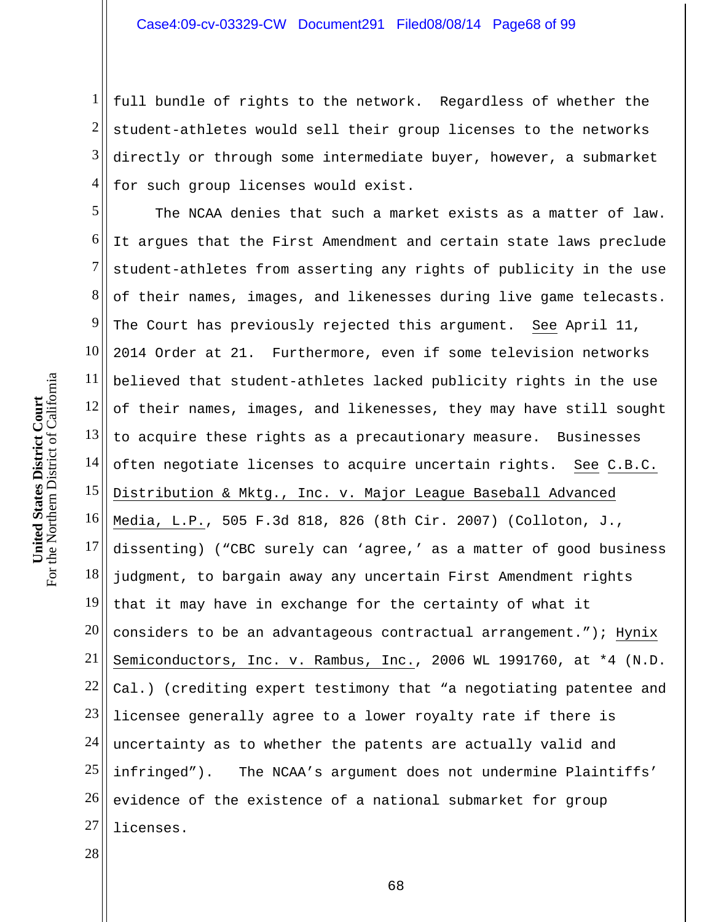1 2 3 4 full bundle of rights to the network. Regardless of whether the student-athletes would sell their group licenses to the networks directly or through some intermediate buyer, however, a submarket for such group licenses would exist.

5 6 7 8 9 10 11 12 13 14 15 16 17 18 19 20 21 22 23 24 25 26 27 The NCAA denies that such a market exists as a matter of law. It argues that the First Amendment and certain state laws preclude student-athletes from asserting any rights of publicity in the use of their names, images, and likenesses during live game telecasts. The Court has previously rejected this argument. See April 11, 2014 Order at 21. Furthermore, even if some television networks believed that student-athletes lacked publicity rights in the use of their names, images, and likenesses, they may have still sought to acquire these rights as a precautionary measure. Businesses often negotiate licenses to acquire uncertain rights. See C.B.C. Distribution & Mktg., Inc. v. Major League Baseball Advanced Media, L.P., 505 F.3d 818, 826 (8th Cir. 2007) (Colloton, J., dissenting) ("CBC surely can 'agree,' as a matter of good business judgment, to bargain away any uncertain First Amendment rights that it may have in exchange for the certainty of what it considers to be an advantageous contractual arrangement."); Hynix Semiconductors, Inc. v. Rambus, Inc., 2006 WL 1991760, at \*4 (N.D. Cal.) (crediting expert testimony that "a negotiating patentee and licensee generally agree to a lower royalty rate if there is uncertainty as to whether the patents are actually valid and infringed"). The NCAA's argument does not undermine Plaintiffs' evidence of the existence of a national submarket for group licenses.

28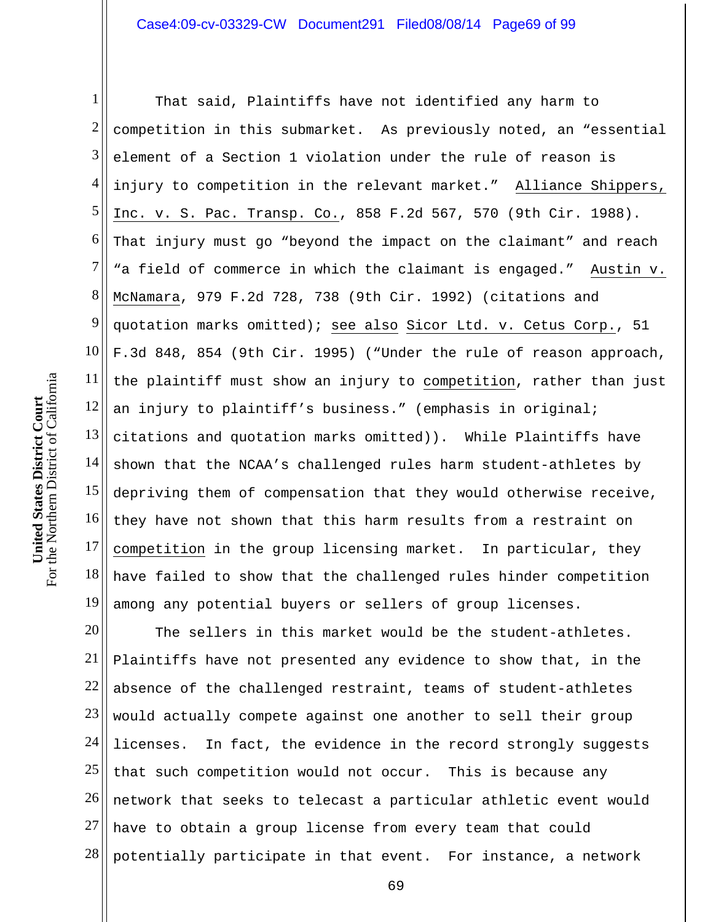1 2 3 4 5 6 7 8 9 10 11 12 13 14 15 16 17 18 19 That said, Plaintiffs have not identified any harm to competition in this submarket. As previously noted, an "essential element of a Section 1 violation under the rule of reason is injury to competition in the relevant market." Alliance Shippers, Inc. v. S. Pac. Transp. Co., 858 F.2d 567, 570 (9th Cir. 1988). That injury must go "beyond the impact on the claimant" and reach "a field of commerce in which the claimant is engaged." Austin v. McNamara, 979 F.2d 728, 738 (9th Cir. 1992) (citations and quotation marks omitted); see also Sicor Ltd. v. Cetus Corp., 51 F.3d 848, 854 (9th Cir. 1995) ("Under the rule of reason approach, the plaintiff must show an injury to competition, rather than just an injury to plaintiff's business." (emphasis in original; citations and quotation marks omitted)). While Plaintiffs have shown that the NCAA's challenged rules harm student-athletes by depriving them of compensation that they would otherwise receive, they have not shown that this harm results from a restraint on competition in the group licensing market. In particular, they have failed to show that the challenged rules hinder competition among any potential buyers or sellers of group licenses.

20 21 22 23 24 25 26 27 28 The sellers in this market would be the student-athletes. Plaintiffs have not presented any evidence to show that, in the absence of the challenged restraint, teams of student-athletes would actually compete against one another to sell their group licenses. In fact, the evidence in the record strongly suggests that such competition would not occur. This is because any network that seeks to telecast a particular athletic event would have to obtain a group license from every team that could potentially participate in that event. For instance, a network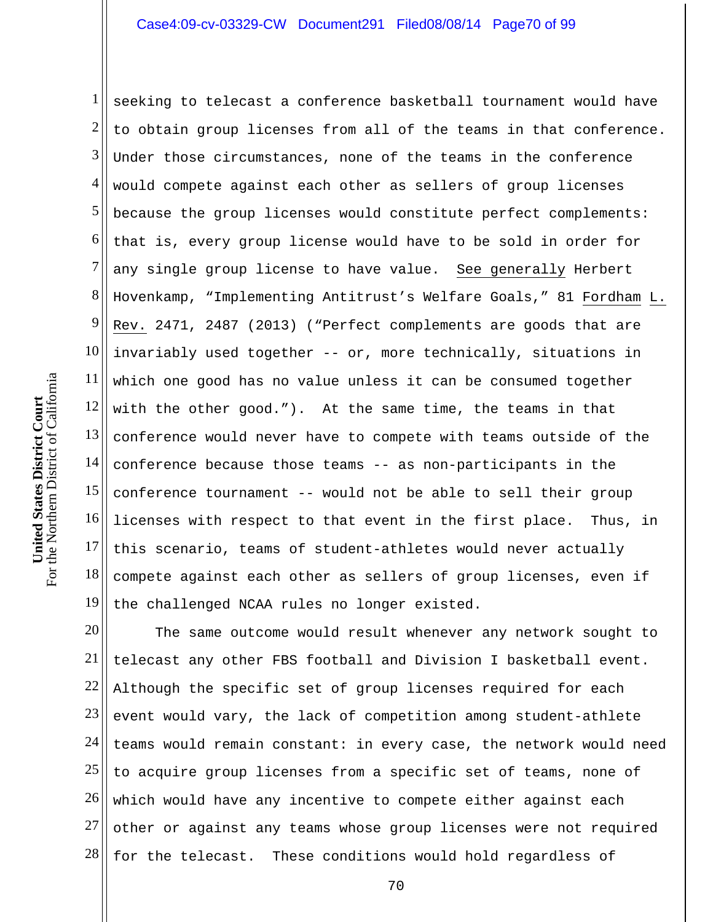1 2 3 4 5 6 7 8 9 10 11 12 13 14 15 16 17 18 19 seeking to telecast a conference basketball tournament would have to obtain group licenses from all of the teams in that conference. Under those circumstances, none of the teams in the conference would compete against each other as sellers of group licenses because the group licenses would constitute perfect complements: that is, every group license would have to be sold in order for any single group license to have value. See generally Herbert Hovenkamp, "Implementing Antitrust's Welfare Goals," 81 Fordham L. Rev. 2471, 2487 (2013) ("Perfect complements are goods that are invariably used together -- or, more technically, situations in which one good has no value unless it can be consumed together with the other good."). At the same time, the teams in that conference would never have to compete with teams outside of the conference because those teams -- as non-participants in the conference tournament -- would not be able to sell their group licenses with respect to that event in the first place. Thus, in this scenario, teams of student-athletes would never actually compete against each other as sellers of group licenses, even if the challenged NCAA rules no longer existed.

20 21 22 23 24 25 26 27 28 The same outcome would result whenever any network sought to telecast any other FBS football and Division I basketball event. Although the specific set of group licenses required for each event would vary, the lack of competition among student-athlete teams would remain constant: in every case, the network would need to acquire group licenses from a specific set of teams, none of which would have any incentive to compete either against each other or against any teams whose group licenses were not required for the telecast. These conditions would hold regardless of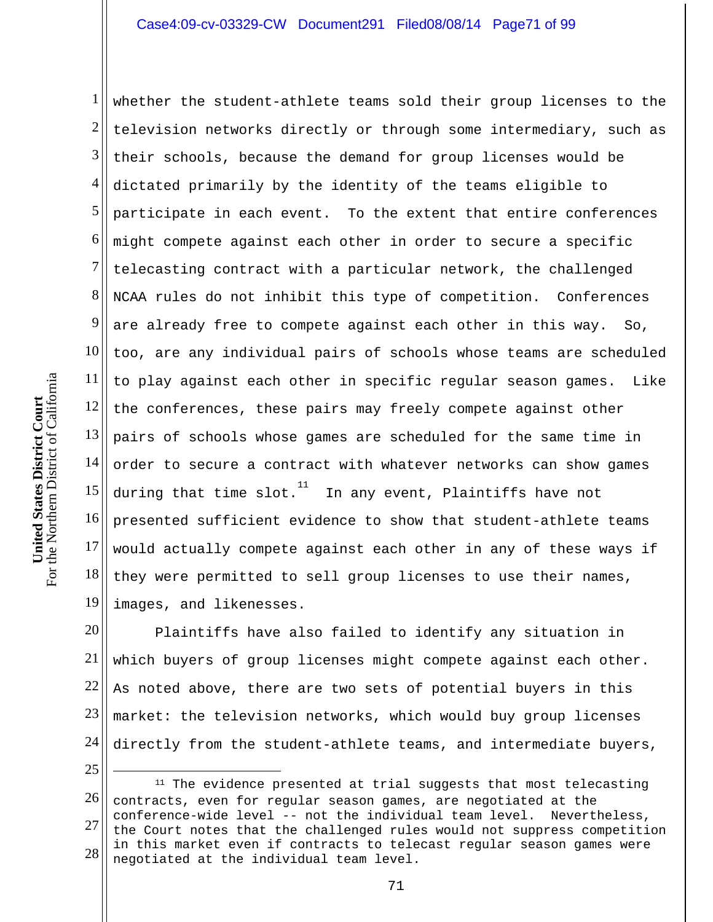1 2 3 4 5 6 7 8 9 10 11 12 13 14 15 16 17 18 19 whether the student-athlete teams sold their group licenses to the television networks directly or through some intermediary, such as their schools, because the demand for group licenses would be dictated primarily by the identity of the teams eligible to participate in each event. To the extent that entire conferences might compete against each other in order to secure a specific telecasting contract with a particular network, the challenged NCAA rules do not inhibit this type of competition. Conferences are already free to compete against each other in this way. So, too, are any individual pairs of schools whose teams are scheduled to play against each other in specific regular season games. Like the conferences, these pairs may freely compete against other pairs of schools whose games are scheduled for the same time in order to secure a contract with whatever networks can show games during that time  ${\rm slot.}^{11}$  In any event, Plaintiffs have not presented sufficient evidence to show that student-athlete teams would actually compete against each other in any of these ways if they were permitted to sell group licenses to use their names, images, and likenesses.

20 21 22 23 24 25 Plaintiffs have also failed to identify any situation in which buyers of group licenses might compete against each other. As noted above, there are two sets of potential buyers in this market: the television networks, which would buy group licenses directly from the student-athlete teams, and intermediate buyers,  $\overline{a}$ 

<sup>26</sup>  27 28 <sup>11</sup> The evidence presented at trial suggests that most telecasting contracts, even for regular season games, are negotiated at the conference-wide level -- not the individual team level. Nevertheless, the Court notes that the challenged rules would not suppress competition in this market even if contracts to telecast regular season games were negotiated at the individual team level.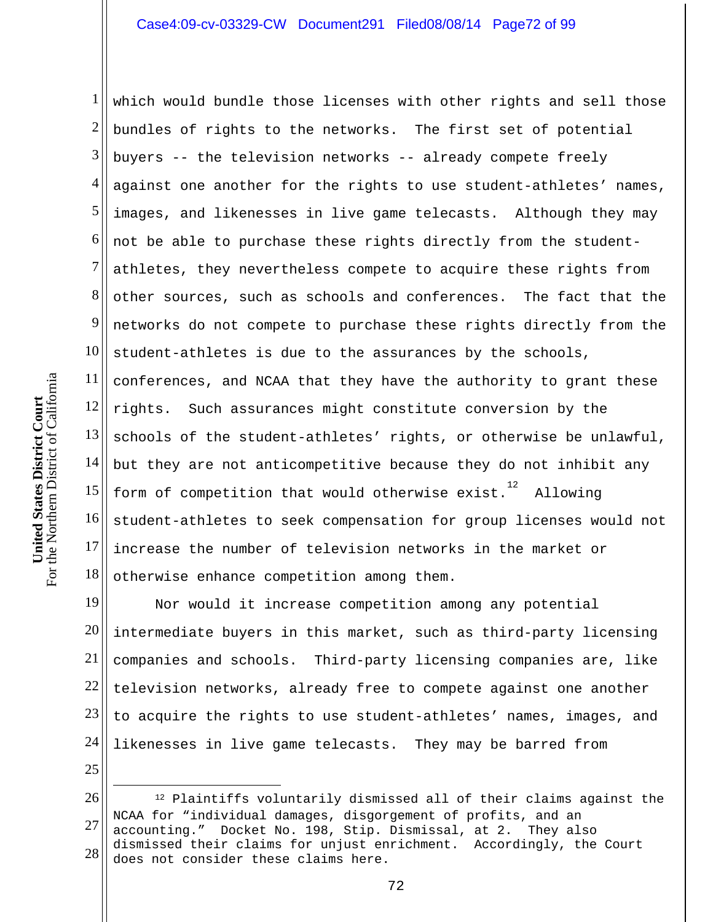1 2 3 4 5 6 7 8 9 10 11 12 13 14 15 16 17 18 which would bundle those licenses with other rights and sell those bundles of rights to the networks. The first set of potential buyers -- the television networks -- already compete freely against one another for the rights to use student-athletes' names, images, and likenesses in live game telecasts. Although they may not be able to purchase these rights directly from the studentathletes, they nevertheless compete to acquire these rights from other sources, such as schools and conferences. The fact that the networks do not compete to purchase these rights directly from the student-athletes is due to the assurances by the schools, conferences, and NCAA that they have the authority to grant these rights. Such assurances might constitute conversion by the schools of the student-athletes' rights, or otherwise be unlawful, but they are not anticompetitive because they do not inhibit any form of competition that would otherwise exist. $12$  Allowing student-athletes to seek compensation for group licenses would not increase the number of television networks in the market or otherwise enhance competition among them.

19 20 21 22 23 24 25 Nor would it increase competition among any potential intermediate buyers in this market, such as third-party licensing companies and schools. Third-party licensing companies are, like television networks, already free to compete against one another to acquire the rights to use student-athletes' names, images, and likenesses in live game telecasts. They may be barred from

 $\overline{a}$ 

<sup>26</sup>  27 28 12 Plaintiffs voluntarily dismissed all of their claims against the NCAA for "individual damages, disgorgement of profits, and an accounting." Docket No. 198, Stip. Dismissal, at 2. They also dismissed their claims for unjust enrichment. Accordingly, the Court does not consider these claims here.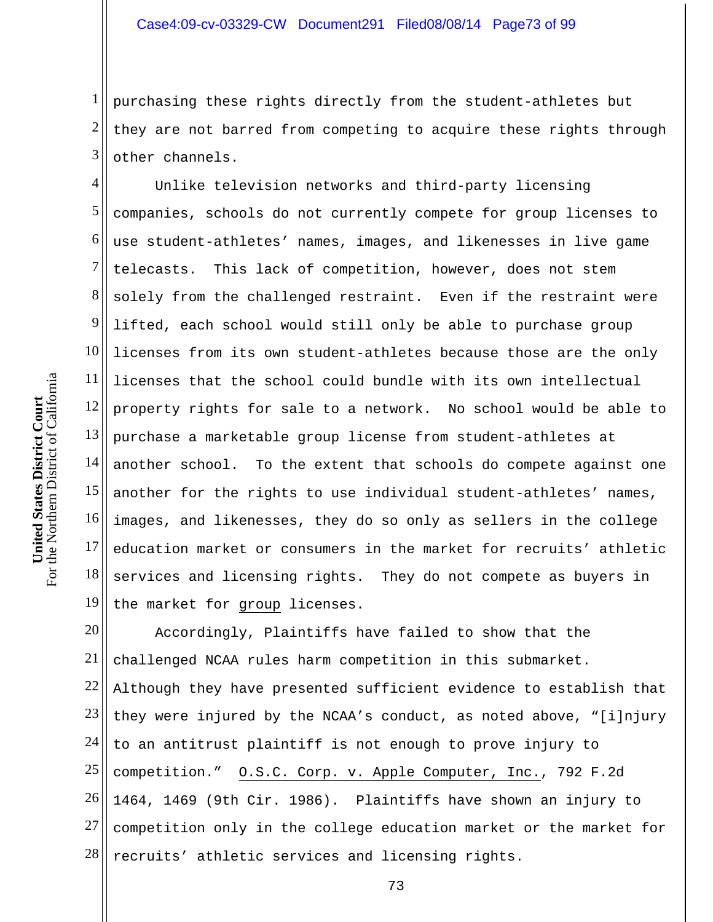1 2 3 purchasing these rights directly from the student-athletes but they are not barred from competing to acquire these rights through other channels.

4 5 6 7 8 9 10 11 12 13 14 15 16 17 18 19 Unlike television networks and third-party licensing companies, schools do not currently compete for group licenses to use student-athletes' names, images, and likenesses in live game telecasts. This lack of competition, however, does not stem solely from the challenged restraint. Even if the restraint were lifted, each school would still only be able to purchase group licenses from its own student-athletes because those are the only licenses that the school could bundle with its own intellectual property rights for sale to a network. No school would be able to purchase a marketable group license from student-athletes at another school. To the extent that schools do compete against one another for the rights to use individual student-athletes' names, images, and likenesses, they do so only as sellers in the college education market or consumers in the market for recruits' athletic services and licensing rights. They do not compete as buyers in the market for group licenses.

20 21 22 23 24 25 26 27 28 Accordingly, Plaintiffs have failed to show that the challenged NCAA rules harm competition in this submarket. Although they have presented sufficient evidence to establish that they were injured by the NCAA's conduct, as noted above, "[i]njury to an antitrust plaintiff is not enough to prove injury to competition." O.S.C. Corp. v. Apple Computer, Inc., 792 F.2d 1464, 1469 (9th Cir. 1986). Plaintiffs have shown an injury to competition only in the college education market or the market for recruits' athletic services and licensing rights.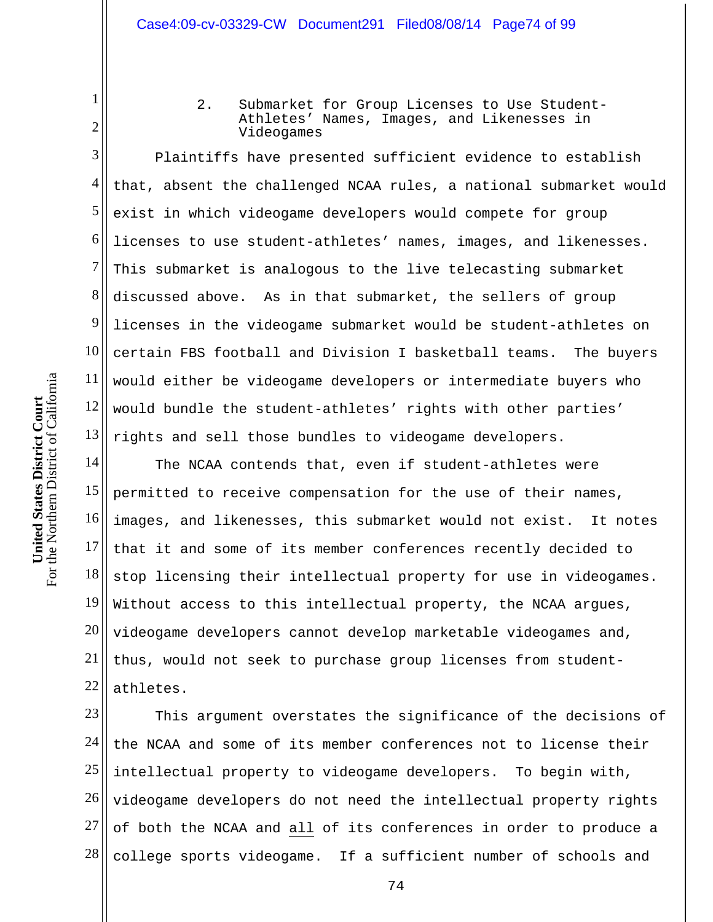2. Submarket for Group Licenses to Use Student-Athletes' Names, Images, and Likenesses in Videogames

2 3

11

1

4 5 6 7 8 9 10 12 13 Plaintiffs have presented sufficient evidence to establish that, absent the challenged NCAA rules, a national submarket would exist in which videogame developers would compete for group licenses to use student-athletes' names, images, and likenesses. This submarket is analogous to the live telecasting submarket discussed above. As in that submarket, the sellers of group licenses in the videogame submarket would be student-athletes on certain FBS football and Division I basketball teams. The buyers would either be videogame developers or intermediate buyers who would bundle the student-athletes' rights with other parties' rights and sell those bundles to videogame developers.

14 15 16 17 18 19 20 21 22 The NCAA contends that, even if student-athletes were permitted to receive compensation for the use of their names, images, and likenesses, this submarket would not exist. It notes that it and some of its member conferences recently decided to stop licensing their intellectual property for use in videogames. Without access to this intellectual property, the NCAA argues, videogame developers cannot develop marketable videogames and, thus, would not seek to purchase group licenses from studentathletes.

23 24 25 26 27 28 This argument overstates the significance of the decisions of the NCAA and some of its member conferences not to license their intellectual property to videogame developers. To begin with, videogame developers do not need the intellectual property rights of both the NCAA and all of its conferences in order to produce a college sports videogame. If a sufficient number of schools and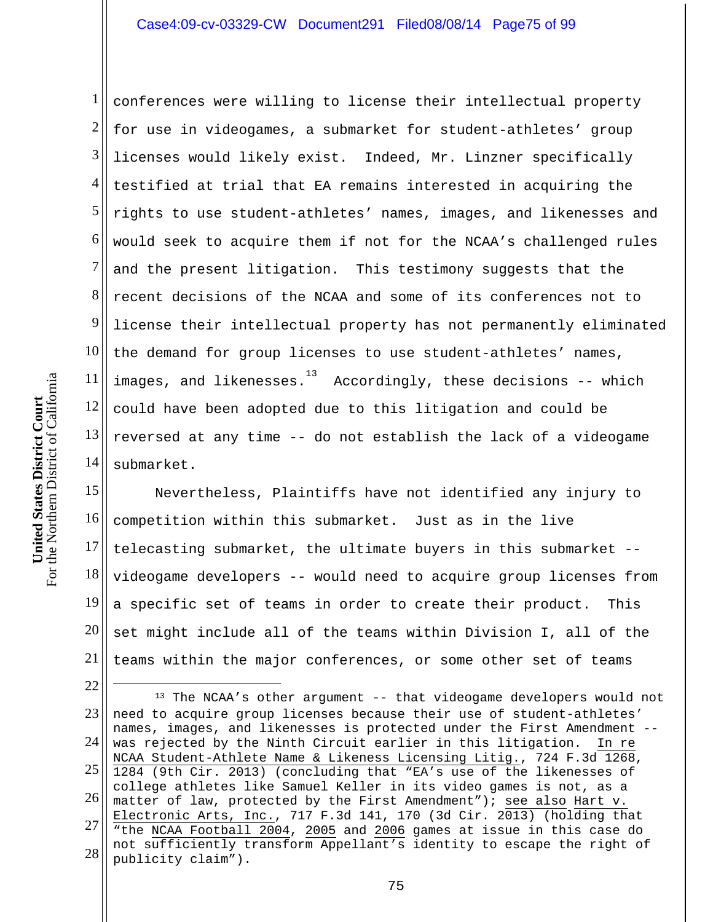1 2 3 4 5 6 7 8 9 10 11 12 13 14 conferences were willing to license their intellectual property for use in videogames, a submarket for student-athletes' group licenses would likely exist. Indeed, Mr. Linzner specifically testified at trial that EA remains interested in acquiring the rights to use student-athletes' names, images, and likenesses and would seek to acquire them if not for the NCAA's challenged rules and the present litigation. This testimony suggests that the recent decisions of the NCAA and some of its conferences not to license their intellectual property has not permanently eliminated the demand for group licenses to use student-athletes' names, images, and likenesses.<sup>13</sup> Accordingly, these decisions -- which could have been adopted due to this litigation and could be reversed at any time -- do not establish the lack of a videogame submarket.

15 16 17 18 19 20 21 Nevertheless, Plaintiffs have not identified any injury to competition within this submarket. Just as in the live telecasting submarket, the ultimate buyers in this submarket - videogame developers -- would need to acquire group licenses from a specific set of teams in order to create their product. This set might include all of the teams within Division I, all of the teams within the major conferences, or some other set of teams

22 23 24 25 26 27 28  $\overline{a}$ <sup>13</sup> The NCAA's other argument -- that videogame developers would not need to acquire group licenses because their use of student-athletes' names, images, and likenesses is protected under the First Amendment - was rejected by the Ninth Circuit earlier in this litigation. In re NCAA Student-Athlete Name & Likeness Licensing Litig., 724 F.3d 1268, 1284 (9th Cir. 2013) (concluding that "EA's use of the likenesses of college athletes like Samuel Keller in its video games is not, as a matter of law, protected by the First Amendment"); see also Hart v. Electronic Arts, Inc., 717 F.3d 141, 170 (3d Cir. 2013) (holding that "the NCAA Football 2004, 2005 and 2006 games at issue in this case do not sufficiently transform Appellant's identity to escape the right of publicity claim").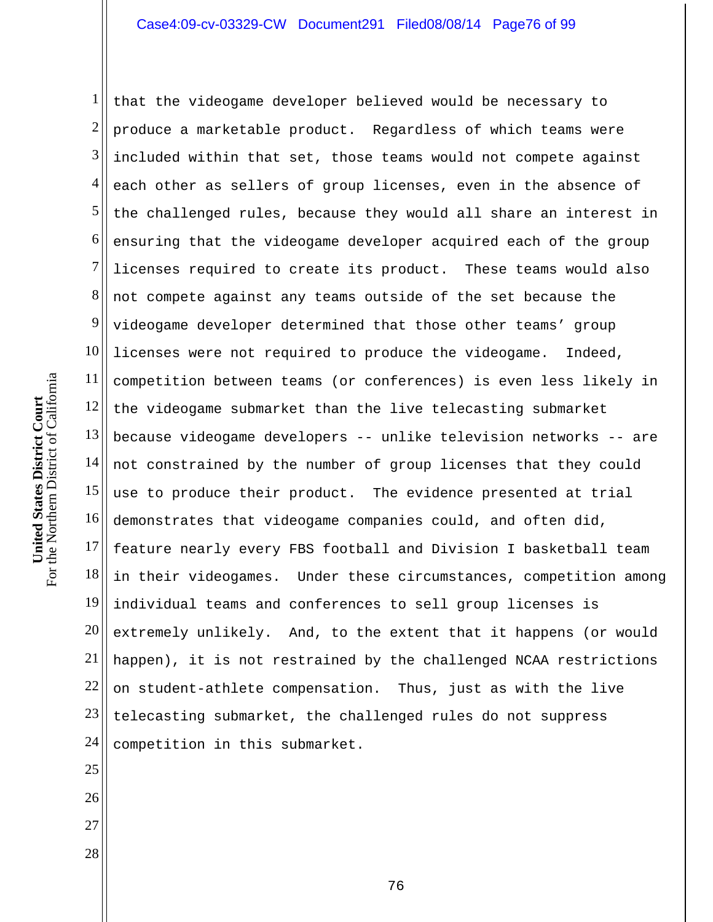1 2 3 4 5 6 7 8 9 10 11 12 13 14 15 16 17 18 19 20 21 22 23 24 that the videogame developer believed would be necessary to produce a marketable product. Regardless of which teams were included within that set, those teams would not compete against each other as sellers of group licenses, even in the absence of the challenged rules, because they would all share an interest in ensuring that the videogame developer acquired each of the group licenses required to create its product. These teams would also not compete against any teams outside of the set because the videogame developer determined that those other teams' group licenses were not required to produce the videogame. Indeed, competition between teams (or conferences) is even less likely in the videogame submarket than the live telecasting submarket because videogame developers -- unlike television networks -- are not constrained by the number of group licenses that they could use to produce their product. The evidence presented at trial demonstrates that videogame companies could, and often did, feature nearly every FBS football and Division I basketball team in their videogames. Under these circumstances, competition among individual teams and conferences to sell group licenses is extremely unlikely. And, to the extent that it happens (or would happen), it is not restrained by the challenged NCAA restrictions on student-athlete compensation. Thus, just as with the live telecasting submarket, the challenged rules do not suppress competition in this submarket.

For the Northern District of California For the Northern District of California **United States District Court**  United States District Court

25

26

27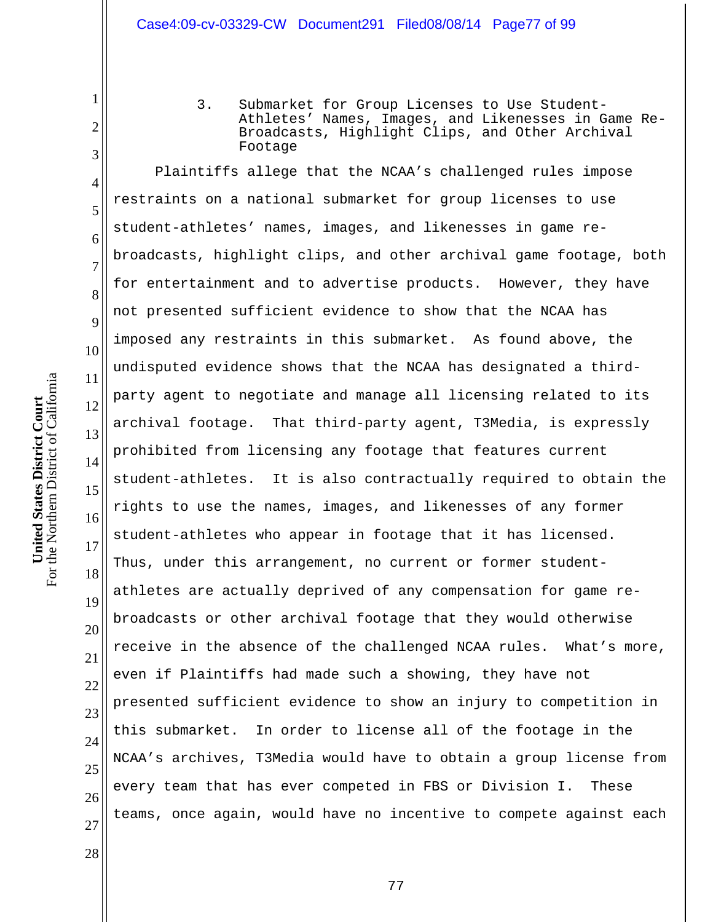3. Submarket for Group Licenses to Use Student-Athletes' Names, Images, and Likenesses in Game Re-Broadcasts, Highlight Clips, and Other Archival Footage

4 5 6 7 8 9 10 12 13 14 15 16 17 18 19 20 22 23 24 25 26 Plaintiffs allege that the NCAA's challenged rules impose restraints on a national submarket for group licenses to use student-athletes' names, images, and likenesses in game rebroadcasts, highlight clips, and other archival game footage, both for entertainment and to advertise products. However, they have not presented sufficient evidence to show that the NCAA has imposed any restraints in this submarket. As found above, the undisputed evidence shows that the NCAA has designated a thirdparty agent to negotiate and manage all licensing related to its archival footage. That third-party agent, T3Media, is expressly prohibited from licensing any footage that features current student-athletes. It is also contractually required to obtain the rights to use the names, images, and likenesses of any former student-athletes who appear in footage that it has licensed. Thus, under this arrangement, no current or former studentathletes are actually deprived of any compensation for game rebroadcasts or other archival footage that they would otherwise receive in the absence of the challenged NCAA rules. What's more, even if Plaintiffs had made such a showing, they have not presented sufficient evidence to show an injury to competition in this submarket. In order to license all of the footage in the NCAA's archives, T3Media would have to obtain a group license from every team that has ever competed in FBS or Division I. These teams, once again, would have no incentive to compete against each

1

2

3

11

21

27

28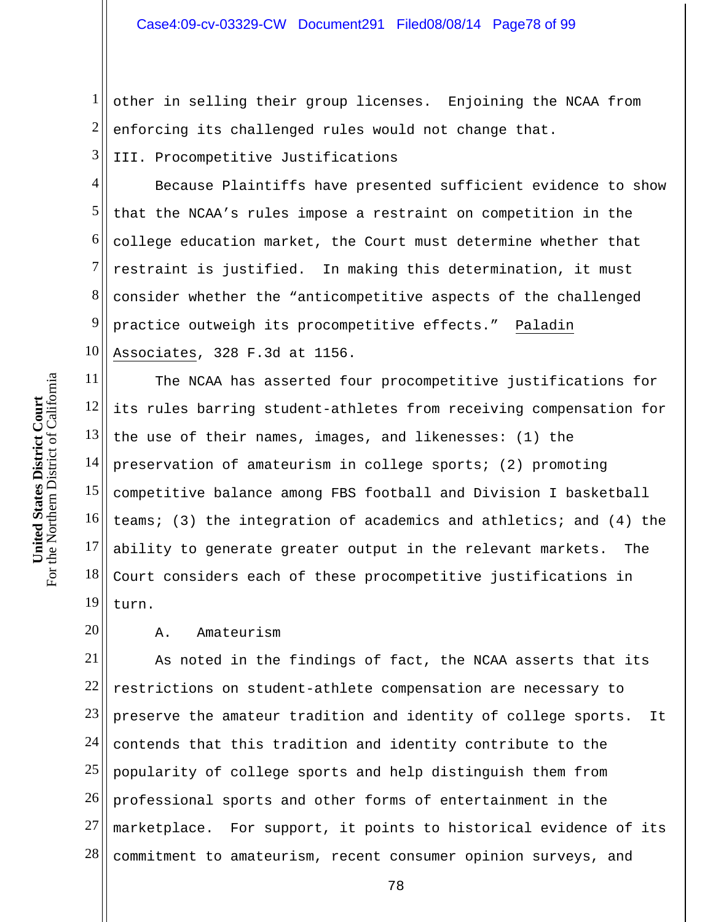1 2 other in selling their group licenses. Enjoining the NCAA from enforcing its challenged rules would not change that.

3 III. Procompetitive Justifications

4 5 6 7 8 9 10 Because Plaintiffs have presented sufficient evidence to show that the NCAA's rules impose a restraint on competition in the college education market, the Court must determine whether that restraint is justified. In making this determination, it must consider whether the "anticompetitive aspects of the challenged practice outweigh its procompetitive effects." Paladin Associates, 328 F.3d at 1156.

11 12 13 14 15 16 17 18 19 The NCAA has asserted four procompetitive justifications for its rules barring student-athletes from receiving compensation for the use of their names, images, and likenesses: (1) the preservation of amateurism in college sports; (2) promoting competitive balance among FBS football and Division I basketball teams; (3) the integration of academics and athletics; and (4) the ability to generate greater output in the relevant markets. The Court considers each of these procompetitive justifications in turn.

## 20 A. Amateurism

21 22 23 24 25 26 27 28 As noted in the findings of fact, the NCAA asserts that its restrictions on student-athlete compensation are necessary to preserve the amateur tradition and identity of college sports. It contends that this tradition and identity contribute to the popularity of college sports and help distinguish them from professional sports and other forms of entertainment in the marketplace. For support, it points to historical evidence of its commitment to amateurism, recent consumer opinion surveys, and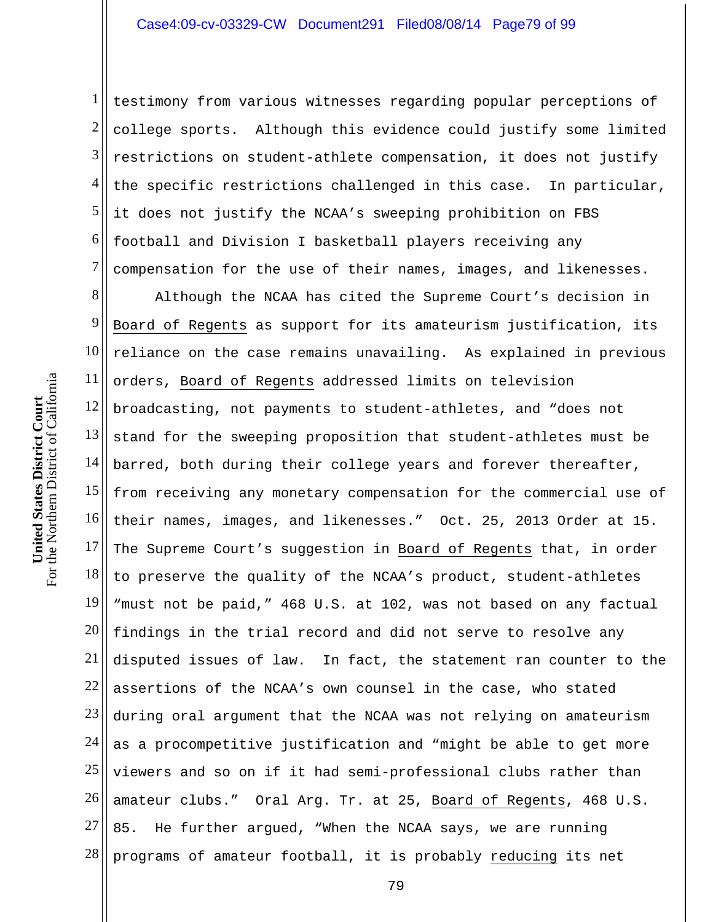1 2 3 4 5 6 7 testimony from various witnesses regarding popular perceptions of college sports. Although this evidence could justify some limited restrictions on student-athlete compensation, it does not justify the specific restrictions challenged in this case. In particular, it does not justify the NCAA's sweeping prohibition on FBS football and Division I basketball players receiving any compensation for the use of their names, images, and likenesses.

8 9 10 11 12 13 14 15 16 17 18 19 20 21 22 23 24 25 26 27 28 Although the NCAA has cited the Supreme Court's decision in Board of Regents as support for its amateurism justification, its reliance on the case remains unavailing. As explained in previous orders, Board of Regents addressed limits on television broadcasting, not payments to student-athletes, and "does not stand for the sweeping proposition that student-athletes must be barred, both during their college years and forever thereafter, from receiving any monetary compensation for the commercial use of their names, images, and likenesses." Oct. 25, 2013 Order at 15. The Supreme Court's suggestion in Board of Regents that, in order to preserve the quality of the NCAA's product, student-athletes "must not be paid," 468 U.S. at 102, was not based on any factual findings in the trial record and did not serve to resolve any disputed issues of law. In fact, the statement ran counter to the assertions of the NCAA's own counsel in the case, who stated during oral argument that the NCAA was not relying on amateurism as a procompetitive justification and "might be able to get more viewers and so on if it had semi-professional clubs rather than amateur clubs." Oral Arg. Tr. at 25, Board of Regents, 468 U.S. 85. He further argued, "When the NCAA says, we are running programs of amateur football, it is probably reducing its net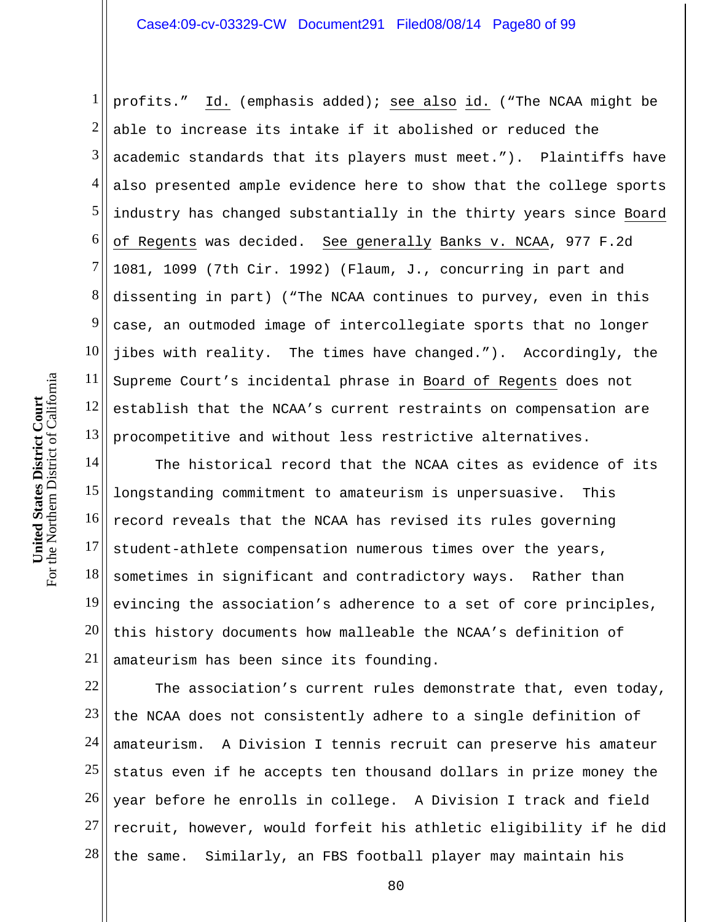1 2 3 4 5 6 7 8 9 10 11 12 13 profits." Id. (emphasis added); see also id. ("The NCAA might be able to increase its intake if it abolished or reduced the academic standards that its players must meet."). Plaintiffs have also presented ample evidence here to show that the college sports industry has changed substantially in the thirty years since Board of Regents was decided. See generally Banks v. NCAA, 977 F.2d 1081, 1099 (7th Cir. 1992) (Flaum, J., concurring in part and dissenting in part) ("The NCAA continues to purvey, even in this case, an outmoded image of intercollegiate sports that no longer jibes with reality. The times have changed."). Accordingly, the Supreme Court's incidental phrase in Board of Regents does not establish that the NCAA's current restraints on compensation are procompetitive and without less restrictive alternatives.

14 15 16 17 18 19 20 21 The historical record that the NCAA cites as evidence of its longstanding commitment to amateurism is unpersuasive. This record reveals that the NCAA has revised its rules governing student-athlete compensation numerous times over the years, sometimes in significant and contradictory ways. Rather than evincing the association's adherence to a set of core principles, this history documents how malleable the NCAA's definition of amateurism has been since its founding.

22 23 24 25 26 27 28 The association's current rules demonstrate that, even today, the NCAA does not consistently adhere to a single definition of amateurism. A Division I tennis recruit can preserve his amateur status even if he accepts ten thousand dollars in prize money the year before he enrolls in college. A Division I track and field recruit, however, would forfeit his athletic eligibility if he did the same. Similarly, an FBS football player may maintain his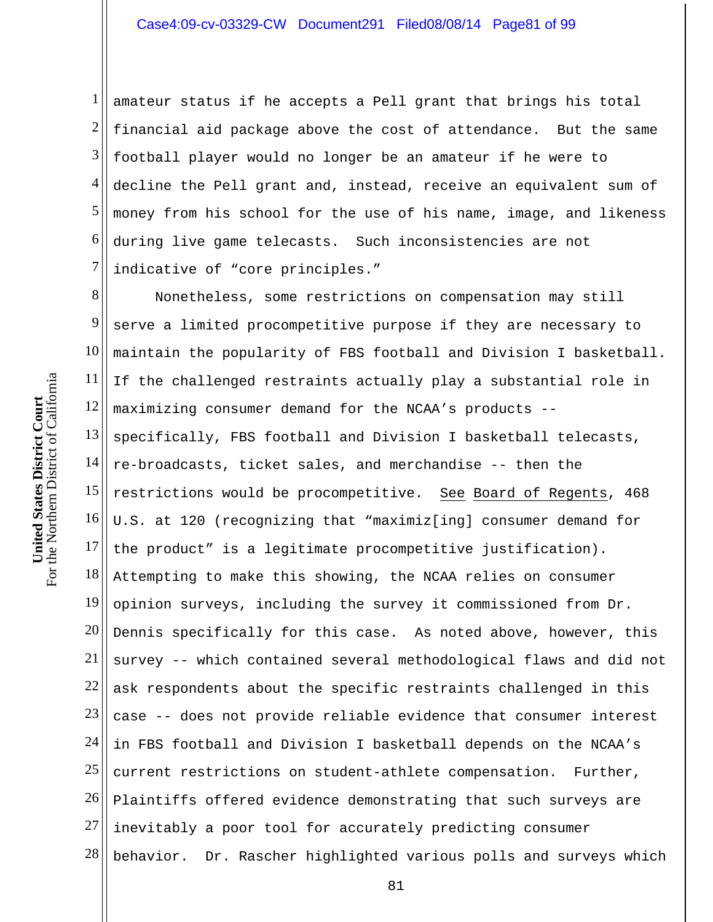1 2 3 4 5 6 7 amateur status if he accepts a Pell grant that brings his total financial aid package above the cost of attendance. But the same football player would no longer be an amateur if he were to decline the Pell grant and, instead, receive an equivalent sum of money from his school for the use of his name, image, and likeness during live game telecasts. Such inconsistencies are not indicative of "core principles."

8 9 10 11 12 13 14 15 16 17 18 19 20 21 22 23 24 25 26 27 28 Nonetheless, some restrictions on compensation may still serve a limited procompetitive purpose if they are necessary to maintain the popularity of FBS football and Division I basketball. If the challenged restraints actually play a substantial role in maximizing consumer demand for the NCAA's products - specifically, FBS football and Division I basketball telecasts, re-broadcasts, ticket sales, and merchandise -- then the restrictions would be procompetitive. See Board of Regents, 468 U.S. at 120 (recognizing that "maximiz[ing] consumer demand for the product" is a legitimate procompetitive justification). Attempting to make this showing, the NCAA relies on consumer opinion surveys, including the survey it commissioned from Dr. Dennis specifically for this case. As noted above, however, this survey -- which contained several methodological flaws and did not ask respondents about the specific restraints challenged in this case -- does not provide reliable evidence that consumer interest in FBS football and Division I basketball depends on the NCAA's current restrictions on student-athlete compensation. Further, Plaintiffs offered evidence demonstrating that such surveys are inevitably a poor tool for accurately predicting consumer behavior. Dr. Rascher highlighted various polls and surveys which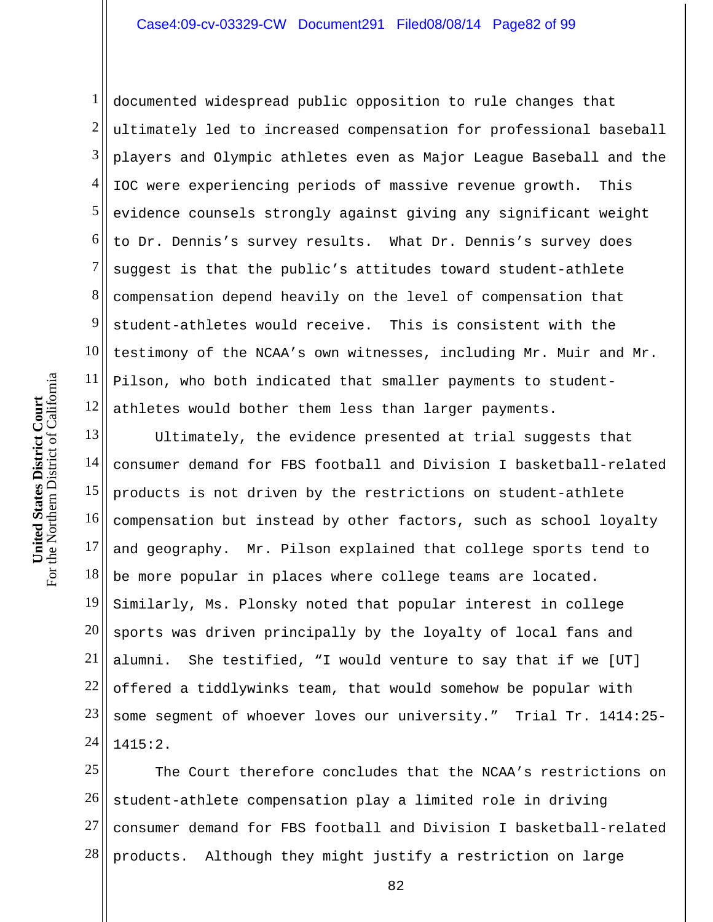1 2 3 4 5 6 7 8 9 10 11 12 documented widespread public opposition to rule changes that ultimately led to increased compensation for professional baseball players and Olympic athletes even as Major League Baseball and the IOC were experiencing periods of massive revenue growth. This evidence counsels strongly against giving any significant weight to Dr. Dennis's survey results. What Dr. Dennis's survey does suggest is that the public's attitudes toward student-athlete compensation depend heavily on the level of compensation that student-athletes would receive. This is consistent with the testimony of the NCAA's own witnesses, including Mr. Muir and Mr. Pilson, who both indicated that smaller payments to studentathletes would bother them less than larger payments.

13 14 15 16 17 18 19 20 21 22 23 24 Ultimately, the evidence presented at trial suggests that consumer demand for FBS football and Division I basketball-related products is not driven by the restrictions on student-athlete compensation but instead by other factors, such as school loyalty and geography. Mr. Pilson explained that college sports tend to be more popular in places where college teams are located. Similarly, Ms. Plonsky noted that popular interest in college sports was driven principally by the loyalty of local fans and alumni. She testified, "I would venture to say that if we [UT] offered a tiddlywinks team, that would somehow be popular with some segment of whoever loves our university." Trial Tr. 1414:25- 1415:2.

25 26 27 28 The Court therefore concludes that the NCAA's restrictions on student-athlete compensation play a limited role in driving consumer demand for FBS football and Division I basketball-related products. Although they might justify a restriction on large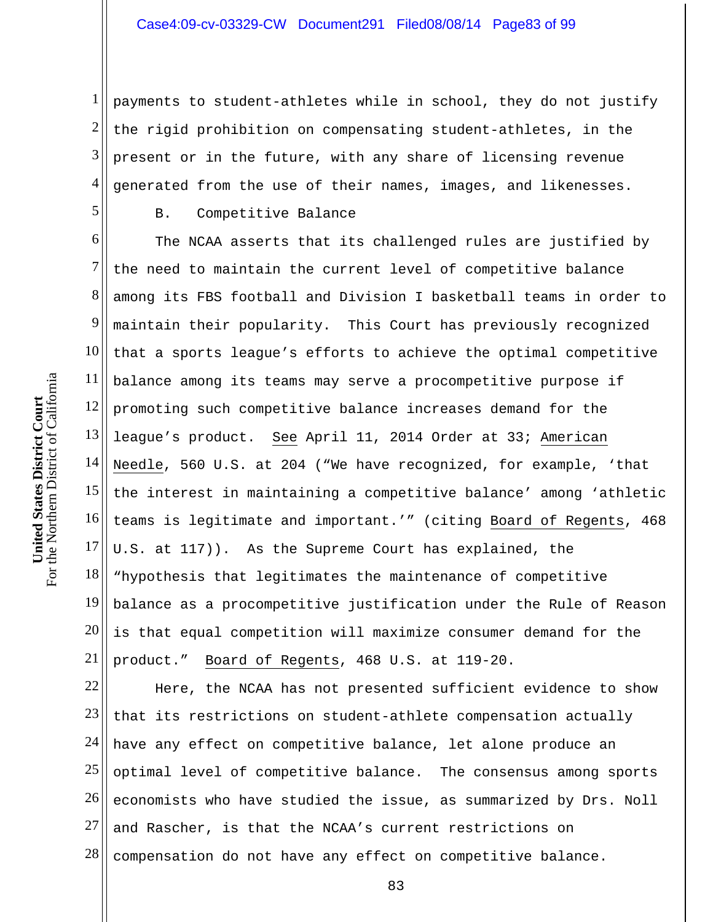1 2 3 4 payments to student-athletes while in school, they do not justify the rigid prohibition on compensating student-athletes, in the present or in the future, with any share of licensing revenue generated from the use of their names, images, and likenesses.

## B. Competitive Balance

6 7 8 9 10 11 12 13 14 15 16 17 18 19 20 21 The NCAA asserts that its challenged rules are justified by the need to maintain the current level of competitive balance among its FBS football and Division I basketball teams in order to maintain their popularity. This Court has previously recognized that a sports league's efforts to achieve the optimal competitive balance among its teams may serve a procompetitive purpose if promoting such competitive balance increases demand for the league's product. See April 11, 2014 Order at 33; American Needle, 560 U.S. at 204 ("We have recognized, for example, 'that the interest in maintaining a competitive balance' among 'athletic teams is legitimate and important.'" (citing Board of Regents, 468 U.S. at 117)). As the Supreme Court has explained, the "hypothesis that legitimates the maintenance of competitive balance as a procompetitive justification under the Rule of Reason is that equal competition will maximize consumer demand for the product." Board of Regents, 468 U.S. at 119-20.

22 23 24 25 26 27 28 Here, the NCAA has not presented sufficient evidence to show that its restrictions on student-athlete compensation actually have any effect on competitive balance, let alone produce an optimal level of competitive balance. The consensus among sports economists who have studied the issue, as summarized by Drs. Noll and Rascher, is that the NCAA's current restrictions on compensation do not have any effect on competitive balance.

5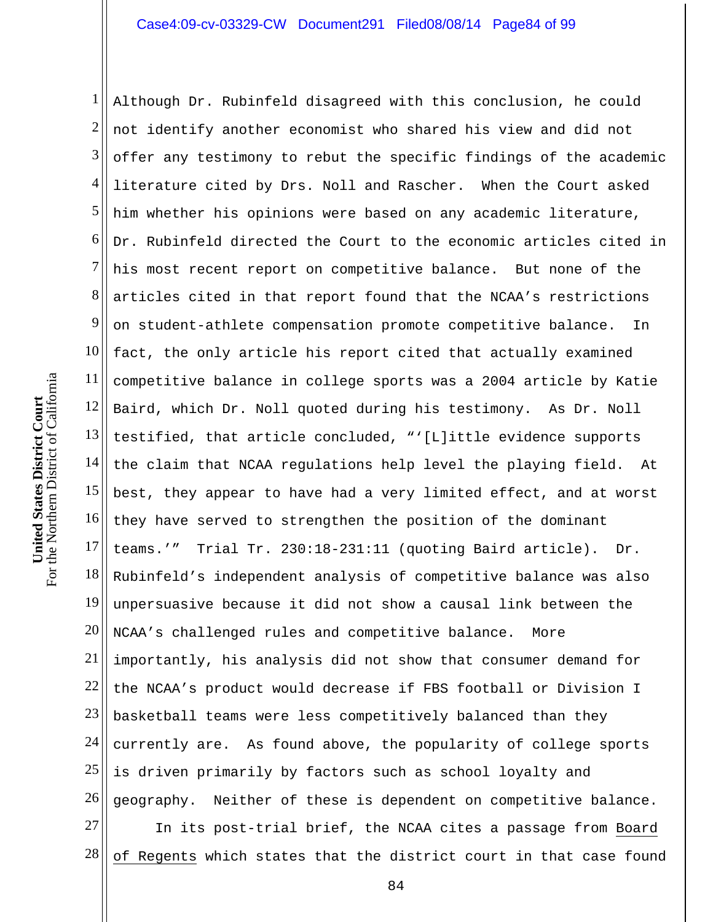1 2 3 4 5 6 7 8 9 10 11 12 13 14 15 16 17 18 19 20 21 22 23 24 25 26 27 Although Dr. Rubinfeld disagreed with this conclusion, he could not identify another economist who shared his view and did not offer any testimony to rebut the specific findings of the academic literature cited by Drs. Noll and Rascher. When the Court asked him whether his opinions were based on any academic literature, Dr. Rubinfeld directed the Court to the economic articles cited in his most recent report on competitive balance. But none of the articles cited in that report found that the NCAA's restrictions on student-athlete compensation promote competitive balance. In fact, the only article his report cited that actually examined competitive balance in college sports was a 2004 article by Katie Baird, which Dr. Noll quoted during his testimony. As Dr. Noll testified, that article concluded, "'[L]ittle evidence supports the claim that NCAA regulations help level the playing field. At best, they appear to have had a very limited effect, and at worst they have served to strengthen the position of the dominant teams.'" Trial Tr. 230:18-231:11 (quoting Baird article). Dr. Rubinfeld's independent analysis of competitive balance was also unpersuasive because it did not show a causal link between the NCAA's challenged rules and competitive balance. More importantly, his analysis did not show that consumer demand for the NCAA's product would decrease if FBS football or Division I basketball teams were less competitively balanced than they currently are. As found above, the popularity of college sports is driven primarily by factors such as school loyalty and geography. Neither of these is dependent on competitive balance. In its post-trial brief, the NCAA cites a passage from Board

28 of Regents which states that the district court in that case found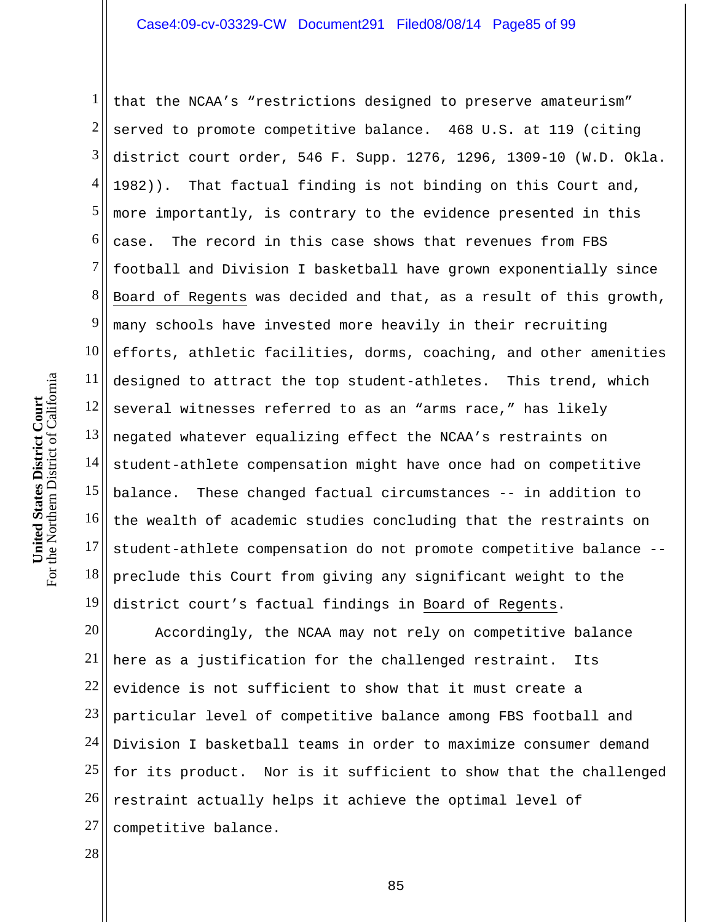1 2 3 4 5 6 7 8 9 10 11 12 13 14 15 16 17 18 19 that the NCAA's "restrictions designed to preserve amateurism" served to promote competitive balance. 468 U.S. at 119 (citing district court order, 546 F. Supp. 1276, 1296, 1309-10 (W.D. Okla. 1982)). That factual finding is not binding on this Court and, more importantly, is contrary to the evidence presented in this case. The record in this case shows that revenues from FBS football and Division I basketball have grown exponentially since Board of Regents was decided and that, as a result of this growth, many schools have invested more heavily in their recruiting efforts, athletic facilities, dorms, coaching, and other amenities designed to attract the top student-athletes. This trend, which several witnesses referred to as an "arms race," has likely negated whatever equalizing effect the NCAA's restraints on student-athlete compensation might have once had on competitive balance. These changed factual circumstances -- in addition to the wealth of academic studies concluding that the restraints on student-athlete compensation do not promote competitive balance - preclude this Court from giving any significant weight to the district court's factual findings in Board of Regents.

20 21 22 23 24 25 26 27 Accordingly, the NCAA may not rely on competitive balance here as a justification for the challenged restraint. Its evidence is not sufficient to show that it must create a particular level of competitive balance among FBS football and Division I basketball teams in order to maximize consumer demand for its product. Nor is it sufficient to show that the challenged restraint actually helps it achieve the optimal level of competitive balance.

28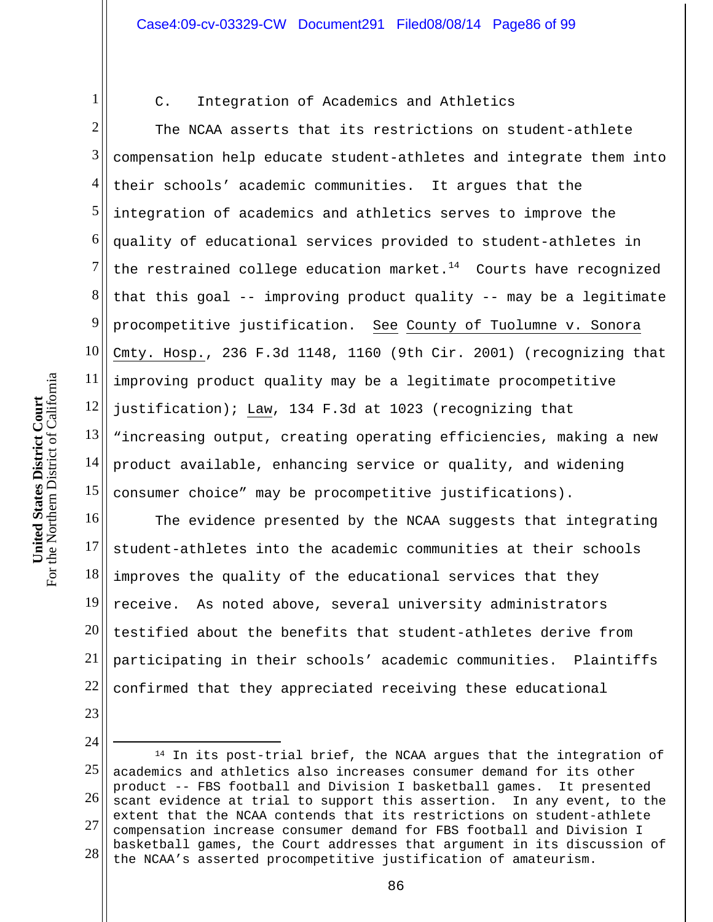C. Integration of Academics and Athletics

2 3 4 5 6 7 8 9 10 11 12 13 14 15 The NCAA asserts that its restrictions on student-athlete compensation help educate student-athletes and integrate them into their schools' academic communities. It argues that the integration of academics and athletics serves to improve the quality of educational services provided to student-athletes in the restrained college education market. $14$  Courts have recognized that this goal -- improving product quality -- may be a legitimate procompetitive justification. See County of Tuolumne v. Sonora Cmty. Hosp., 236 F.3d 1148, 1160 (9th Cir. 2001) (recognizing that improving product quality may be a legitimate procompetitive justification); Law, 134 F.3d at 1023 (recognizing that "increasing output, creating operating efficiencies, making a new product available, enhancing service or quality, and widening consumer choice" may be procompetitive justifications).

16 17 18 19 20 21 22 The evidence presented by the NCAA suggests that integrating student-athletes into the academic communities at their schools improves the quality of the educational services that they receive. As noted above, several university administrators testified about the benefits that student-athletes derive from participating in their schools' academic communities. Plaintiffs confirmed that they appreciated receiving these educational

23

1

24

 $\overline{a}$ 

<sup>25</sup>  26 27 28 14 In its post-trial brief, the NCAA argues that the integration of academics and athletics also increases consumer demand for its other product -- FBS football and Division I basketball games. It presented scant evidence at trial to support this assertion. In any event, to the extent that the NCAA contends that its restrictions on student-athlete compensation increase consumer demand for FBS football and Division I basketball games, the Court addresses that argument in its discussion of the NCAA's asserted procompetitive justification of amateurism.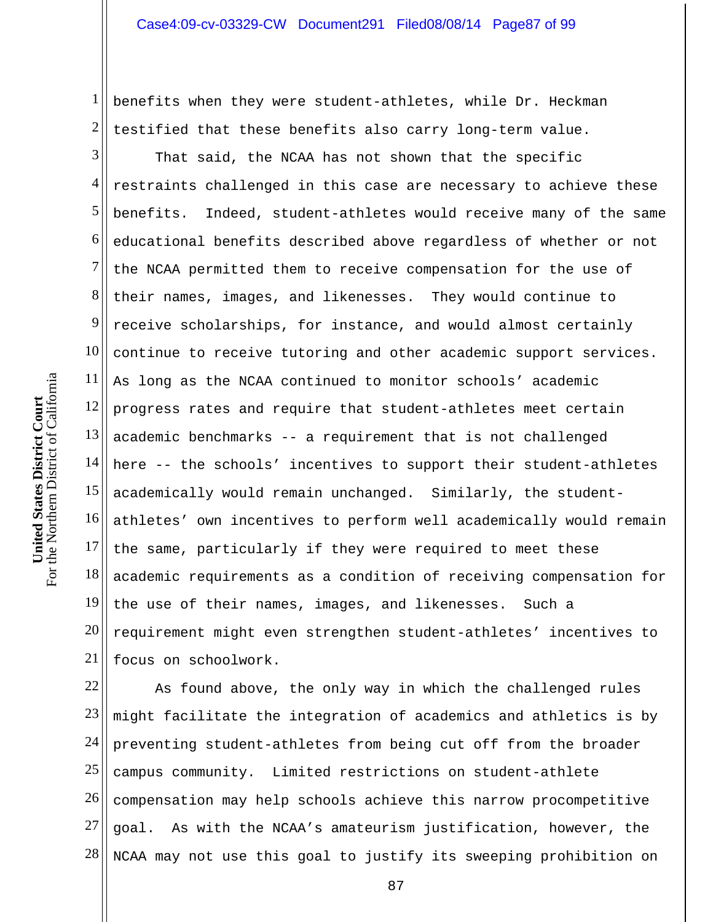1 2 benefits when they were student-athletes, while Dr. Heckman testified that these benefits also carry long-term value.

3 4 5 6 7 8 9 10 11 12 13 14 15 16 17 18 19 20 21 That said, the NCAA has not shown that the specific restraints challenged in this case are necessary to achieve these benefits. Indeed, student-athletes would receive many of the same educational benefits described above regardless of whether or not the NCAA permitted them to receive compensation for the use of their names, images, and likenesses. They would continue to receive scholarships, for instance, and would almost certainly continue to receive tutoring and other academic support services. As long as the NCAA continued to monitor schools' academic progress rates and require that student-athletes meet certain academic benchmarks -- a requirement that is not challenged here -- the schools' incentives to support their student-athletes academically would remain unchanged. Similarly, the studentathletes' own incentives to perform well academically would remain the same, particularly if they were required to meet these academic requirements as a condition of receiving compensation for the use of their names, images, and likenesses. Such a requirement might even strengthen student-athletes' incentives to focus on schoolwork.

22 23 24 25 26 27 28 As found above, the only way in which the challenged rules might facilitate the integration of academics and athletics is by preventing student-athletes from being cut off from the broader campus community. Limited restrictions on student-athlete compensation may help schools achieve this narrow procompetitive goal. As with the NCAA's amateurism justification, however, the NCAA may not use this goal to justify its sweeping prohibition on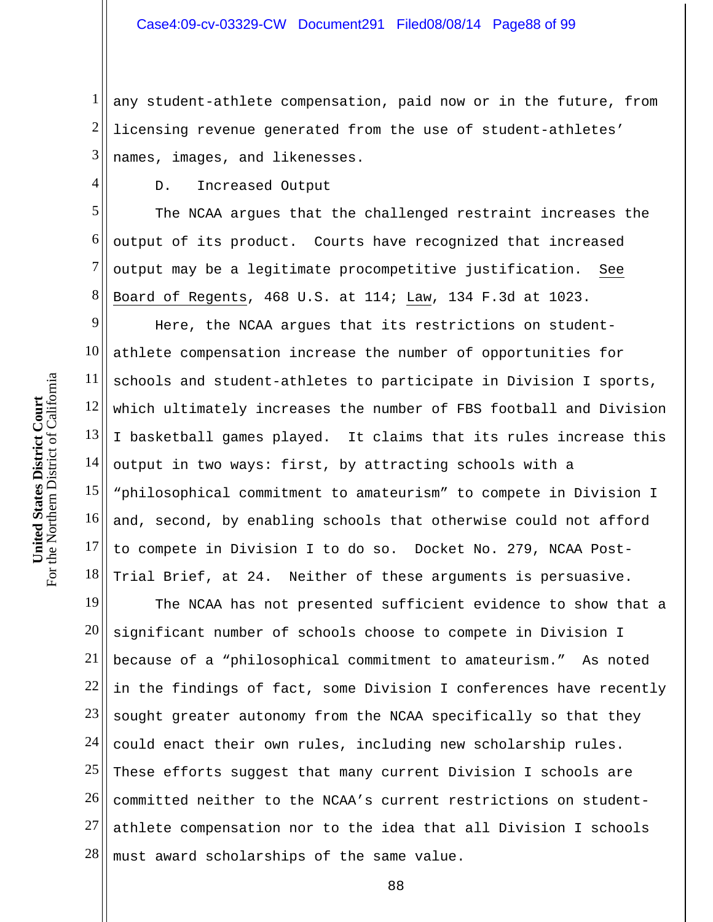1 2 3 any student-athlete compensation, paid now or in the future, from licensing revenue generated from the use of student-athletes' names, images, and likenesses.

D. Increased Output

5 6 7 8 The NCAA argues that the challenged restraint increases the output of its product. Courts have recognized that increased output may be a legitimate procompetitive justification. See Board of Regents, 468 U.S. at 114; Law, 134 F.3d at 1023.

9 10 11 12 13 14 15 16 17 18 Here, the NCAA argues that its restrictions on studentathlete compensation increase the number of opportunities for schools and student-athletes to participate in Division I sports, which ultimately increases the number of FBS football and Division I basketball games played. It claims that its rules increase this output in two ways: first, by attracting schools with a "philosophical commitment to amateurism" to compete in Division I and, second, by enabling schools that otherwise could not afford to compete in Division I to do so. Docket No. 279, NCAA Post-Trial Brief, at 24. Neither of these arguments is persuasive.

19 20 21 22 23 24 25 26 27 28 The NCAA has not presented sufficient evidence to show that a significant number of schools choose to compete in Division I because of a "philosophical commitment to amateurism." As noted in the findings of fact, some Division I conferences have recently sought greater autonomy from the NCAA specifically so that they could enact their own rules, including new scholarship rules. These efforts suggest that many current Division I schools are committed neither to the NCAA's current restrictions on studentathlete compensation nor to the idea that all Division I schools must award scholarships of the same value.

4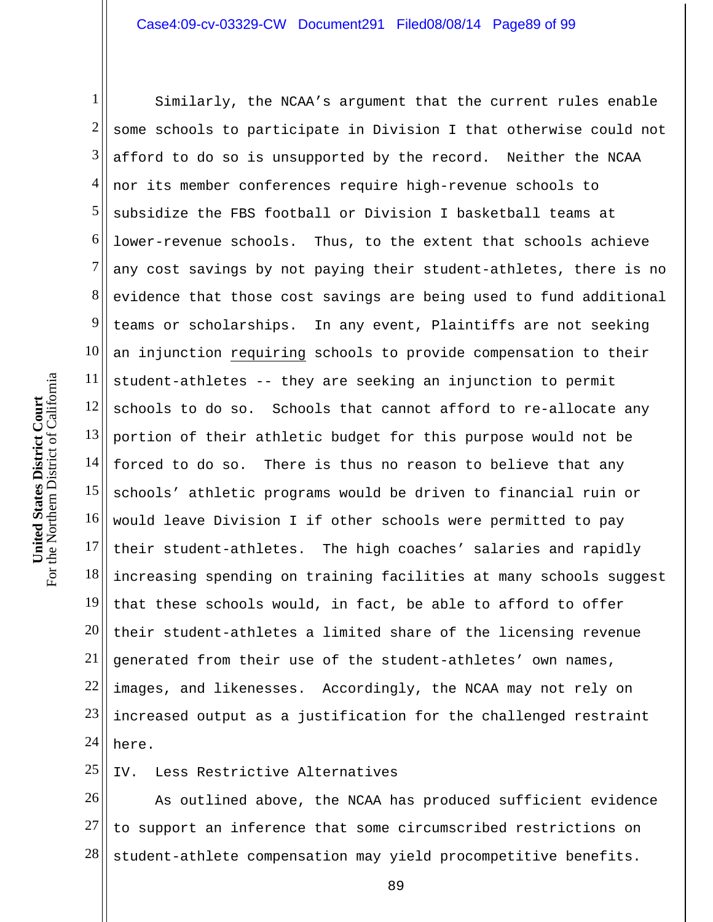1 2 3 4 5 6 7 8 9 10 11 12 13 14 15 16 17 18 19 20 21 22 23 24 Similarly, the NCAA's argument that the current rules enable some schools to participate in Division I that otherwise could not afford to do so is unsupported by the record. Neither the NCAA nor its member conferences require high-revenue schools to subsidize the FBS football or Division I basketball teams at lower-revenue schools. Thus, to the extent that schools achieve any cost savings by not paying their student-athletes, there is no evidence that those cost savings are being used to fund additional teams or scholarships. In any event, Plaintiffs are not seeking an injunction requiring schools to provide compensation to their student-athletes -- they are seeking an injunction to permit schools to do so. Schools that cannot afford to re-allocate any portion of their athletic budget for this purpose would not be forced to do so. There is thus no reason to believe that any schools' athletic programs would be driven to financial ruin or would leave Division I if other schools were permitted to pay their student-athletes. The high coaches' salaries and rapidly increasing spending on training facilities at many schools suggest that these schools would, in fact, be able to afford to offer their student-athletes a limited share of the licensing revenue generated from their use of the student-athletes' own names, images, and likenesses. Accordingly, the NCAA may not rely on increased output as a justification for the challenged restraint here.

25 IV. Less Restrictive Alternatives

26 27 28 As outlined above, the NCAA has produced sufficient evidence to support an inference that some circumscribed restrictions on student-athlete compensation may yield procompetitive benefits.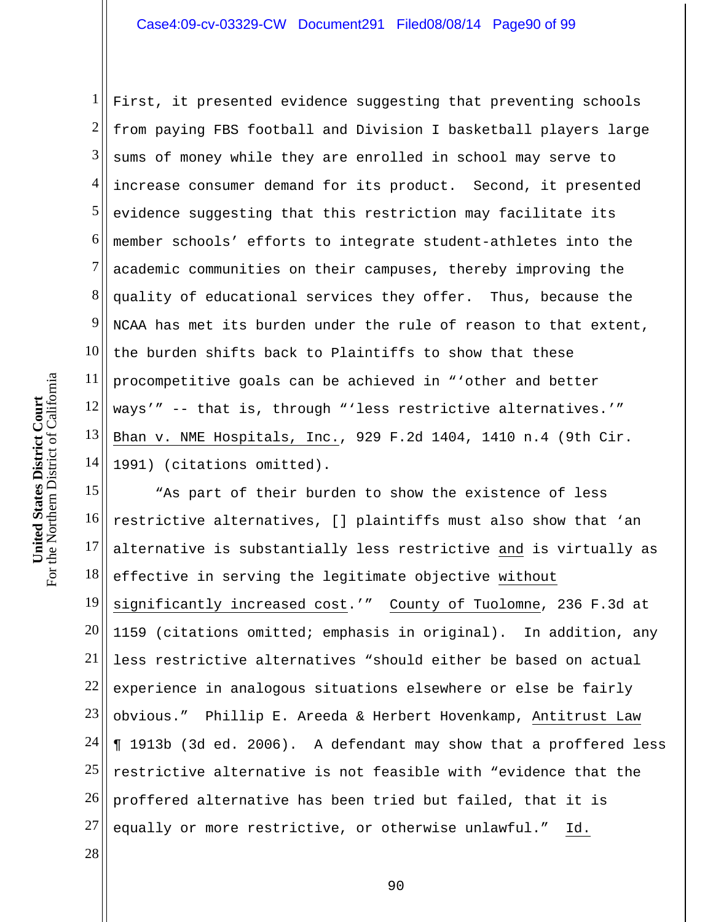1 2 3 4 5 6 7 8 9 10 11 12 13 14 First, it presented evidence suggesting that preventing schools from paying FBS football and Division I basketball players large sums of money while they are enrolled in school may serve to increase consumer demand for its product. Second, it presented evidence suggesting that this restriction may facilitate its member schools' efforts to integrate student-athletes into the academic communities on their campuses, thereby improving the quality of educational services they offer. Thus, because the NCAA has met its burden under the rule of reason to that extent, the burden shifts back to Plaintiffs to show that these procompetitive goals can be achieved in "'other and better ways'" -- that is, through "'less restrictive alternatives.'" Bhan v. NME Hospitals, Inc., 929 F.2d 1404, 1410 n.4 (9th Cir. 1991) (citations omitted).

15 16 17 18 19 20 21 22 23 24 25 26 27 "As part of their burden to show the existence of less restrictive alternatives, [] plaintiffs must also show that 'an alternative is substantially less restrictive and is virtually as effective in serving the legitimate objective without significantly increased cost.'" County of Tuolomne, 236 F.3d at 1159 (citations omitted; emphasis in original). In addition, any less restrictive alternatives "should either be based on actual experience in analogous situations elsewhere or else be fairly obvious." Phillip E. Areeda & Herbert Hovenkamp, Antitrust Law ¶ 1913b (3d ed. 2006). A defendant may show that a proffered less restrictive alternative is not feasible with "evidence that the proffered alternative has been tried but failed, that it is equally or more restrictive, or otherwise unlawful." Id.

28

For the Northern District of California For the Northern District of California **United States District Court**  United States District Court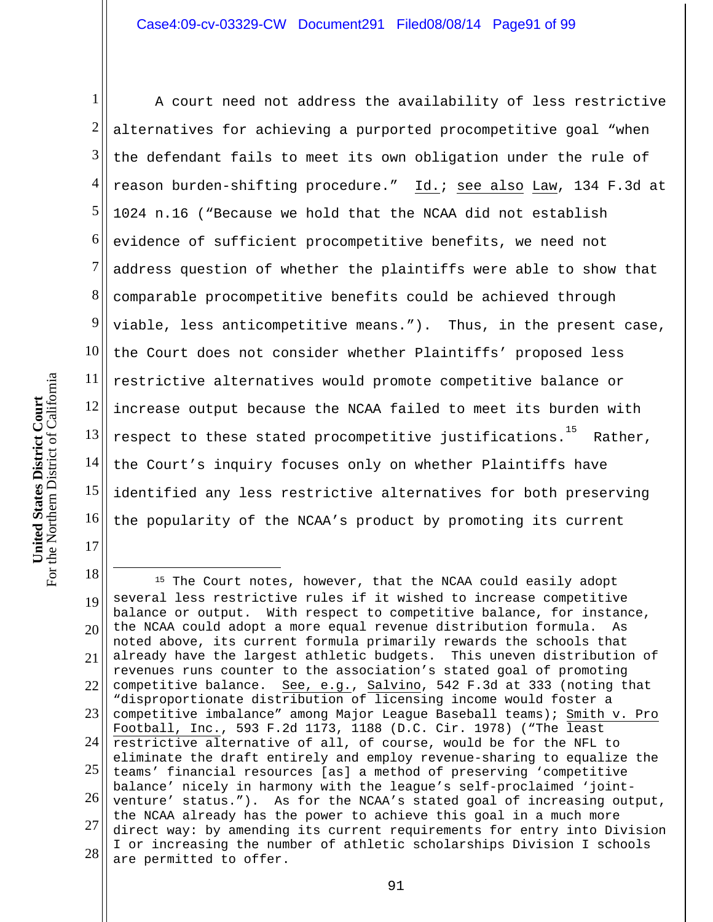1 2 3 4 5 6 7 8 9 10 11 12 13 14 15 16 A court need not address the availability of less restrictive alternatives for achieving a purported procompetitive goal "when the defendant fails to meet its own obligation under the rule of reason burden-shifting procedure." Id.; see also Law, 134 F.3d at 1024 n.16 ("Because we hold that the NCAA did not establish evidence of sufficient procompetitive benefits, we need not address question of whether the plaintiffs were able to show that comparable procompetitive benefits could be achieved through viable, less anticompetitive means."). Thus, in the present case, the Court does not consider whether Plaintiffs' proposed less restrictive alternatives would promote competitive balance or increase output because the NCAA failed to meet its burden with respect to these stated procompetitive justifications.<sup>15</sup> Rather, the Court's inquiry focuses only on whether Plaintiffs have identified any less restrictive alternatives for both preserving the popularity of the NCAA's product by promoting its current

18 19 20<sup>1</sup> 21 22 23 24 25 l 26 27 28  $\overline{a}$ <sup>15</sup> The Court notes, however, that the NCAA could easily adopt several less restrictive rules if it wished to increase competitive balance or output. With respect to competitive balance, for instance, the NCAA could adopt a more equal revenue distribution formula. As noted above, its current formula primarily rewards the schools that already have the largest athletic budgets. This uneven distribution of revenues runs counter to the association's stated goal of promoting competitive balance. See, e.g., Salvino, 542 F.3d at 333 (noting that "disproportionate distribution of licensing income would foster a competitive imbalance" among Major League Baseball teams); Smith v. Pro Football, Inc., 593 F.2d 1173, 1188 (D.C. Cir. 1978) ("The least restrictive alternative of all, of course, would be for the NFL to eliminate the draft entirely and employ revenue-sharing to equalize the teams' financial resources [as] a method of preserving 'competitive balance' nicely in harmony with the league's self-proclaimed 'jointventure' status."). As for the NCAA's stated goal of increasing output, the NCAA already has the power to achieve this goal in a much more direct way: by amending its current requirements for entry into Division I or increasing the number of athletic scholarships Division I schools are permitted to offer.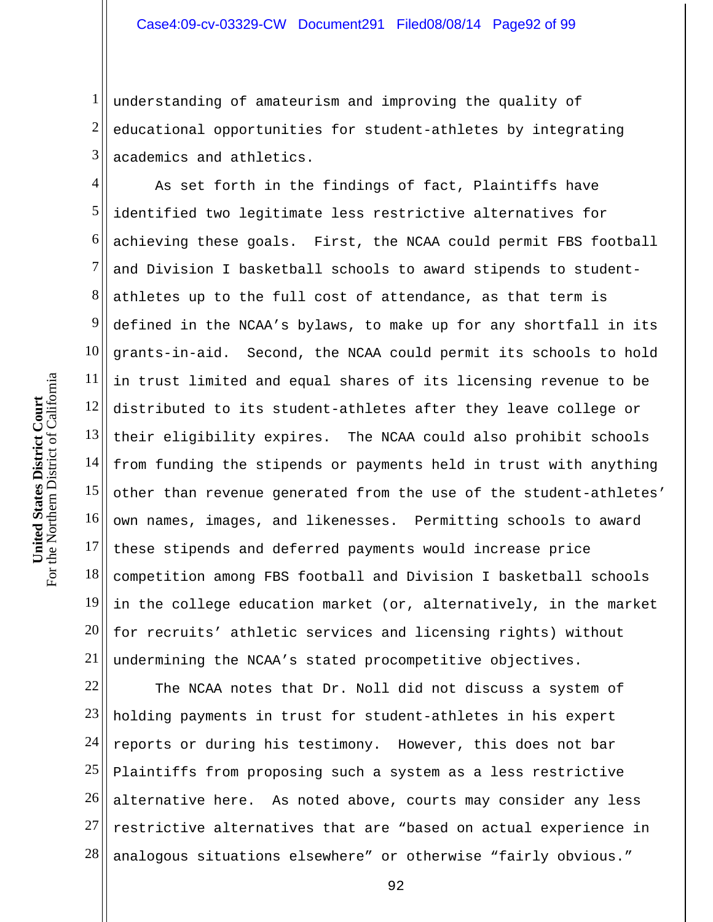1 2 3 understanding of amateurism and improving the quality of educational opportunities for student-athletes by integrating academics and athletics.

4 5 6 7 8 9 10 11 12 13 14 15 16 17 18 19 20 21 As set forth in the findings of fact, Plaintiffs have identified two legitimate less restrictive alternatives for achieving these goals. First, the NCAA could permit FBS football and Division I basketball schools to award stipends to studentathletes up to the full cost of attendance, as that term is defined in the NCAA's bylaws, to make up for any shortfall in its grants-in-aid. Second, the NCAA could permit its schools to hold in trust limited and equal shares of its licensing revenue to be distributed to its student-athletes after they leave college or their eligibility expires. The NCAA could also prohibit schools from funding the stipends or payments held in trust with anything other than revenue generated from the use of the student-athletes' own names, images, and likenesses. Permitting schools to award these stipends and deferred payments would increase price competition among FBS football and Division I basketball schools in the college education market (or, alternatively, in the market for recruits' athletic services and licensing rights) without undermining the NCAA's stated procompetitive objectives.

22 23 24 25 26 27 28 The NCAA notes that Dr. Noll did not discuss a system of holding payments in trust for student-athletes in his expert reports or during his testimony. However, this does not bar Plaintiffs from proposing such a system as a less restrictive alternative here. As noted above, courts may consider any less restrictive alternatives that are "based on actual experience in analogous situations elsewhere" or otherwise "fairly obvious."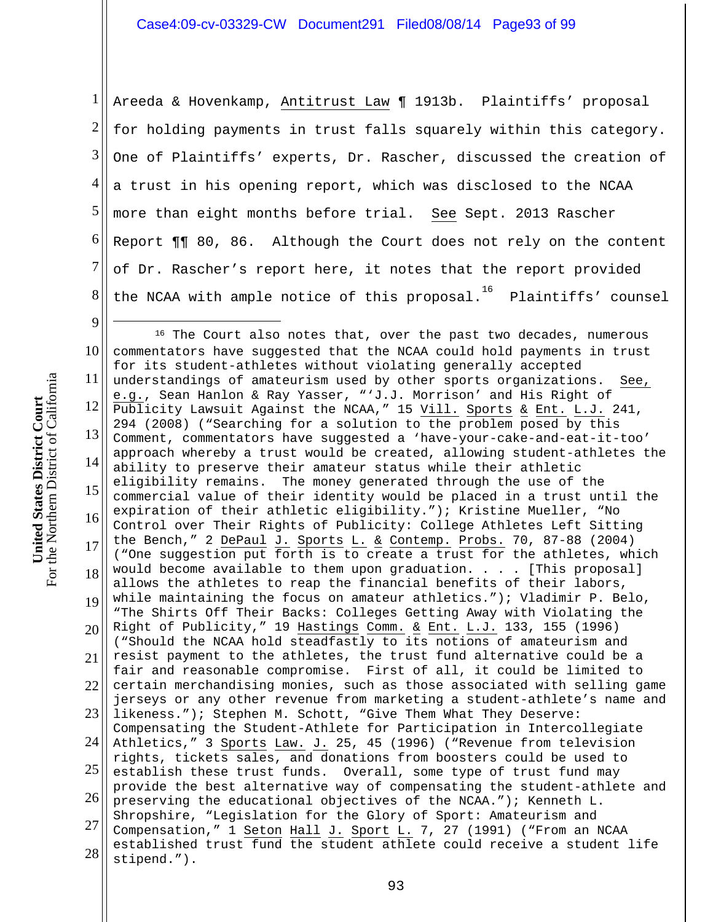1 2 3 4 5 6 7 8 Areeda & Hovenkamp, Antitrust Law ¶ 1913b. Plaintiffs' proposal for holding payments in trust falls squarely within this category. One of Plaintiffs' experts, Dr. Rascher, discussed the creation of a trust in his opening report, which was disclosed to the NCAA more than eight months before trial. See Sept. 2013 Rascher Report ¶¶ 80, 86. Although the Court does not rely on the content of Dr. Rascher's report here, it notes that the report provided the NCAA with ample notice of this  $proposal.^{\rm 16}$  Plaintiffs' counsel

10 11 12 13 14 15 16 17 18 19 20<sup> $\parallel$ </sup> 21  $22$ 23 II 24 25 26 27 28 <sup>16</sup> The Court also notes that, over the past two decades, numerous commentators have suggested that the NCAA could hold payments in trust for its student-athletes without violating generally accepted understandings of amateurism used by other sports organizations. See, e.g., Sean Hanlon & Ray Yasser, "'J.J. Morrison' and His Right of Publicity Lawsuit Against the NCAA," 15 Vill. Sports & Ent. L.J. 241, 294 (2008) ("Searching for a solution to the problem posed by this Comment, commentators have suggested a 'have-your-cake-and-eat-it-too' approach whereby a trust would be created, allowing student-athletes the ability to preserve their amateur status while their athletic eligibility remains. The money generated through the use of the commercial value of their identity would be placed in a trust until the expiration of their athletic eligibility."); Kristine Mueller, "No Control over Their Rights of Publicity: College Athletes Left Sitting the Bench," 2 DePaul J. Sports L. & Contemp. Probs. 70, 87-88 (2004) ("One suggestion put forth is to create a trust for the athletes, which would become available to them upon graduation. . . . [This proposal] allows the athletes to reap the financial benefits of their labors, while maintaining the focus on amateur athletics."); Vladimir P. Belo, "The Shirts Off Their Backs: Colleges Getting Away with Violating the Right of Publicity," 19 Hastings Comm. & Ent. L.J. 133, 155 (1996) ("Should the NCAA hold steadfastly to its notions of amateurism and resist payment to the athletes, the trust fund alternative could be a fair and reasonable compromise. First of all, it could be limited to certain merchandising monies, such as those associated with selling game jerseys or any other revenue from marketing a student-athlete's name and likeness."); Stephen M. Schott, "Give Them What They Deserve: Compensating the Student-Athlete for Participation in Intercollegiate Athletics," 3 Sports Law. J. 25, 45 (1996) ("Revenue from television rights, tickets sales, and donations from boosters could be used to establish these trust funds. Overall, some type of trust fund may provide the best alternative way of compensating the student-athlete and preserving the educational objectives of the NCAA."); Kenneth L. Shropshire, "Legislation for the Glory of Sport: Amateurism and Compensation," 1 Seton Hall J. Sport L. 7, 27 (1991) ("From an NCAA established trust fund the student athlete could receive a student life stipend.").

For the Northern District of California For the Northern District of California **United States District Court**  United States District Court

9

 $\overline{a}$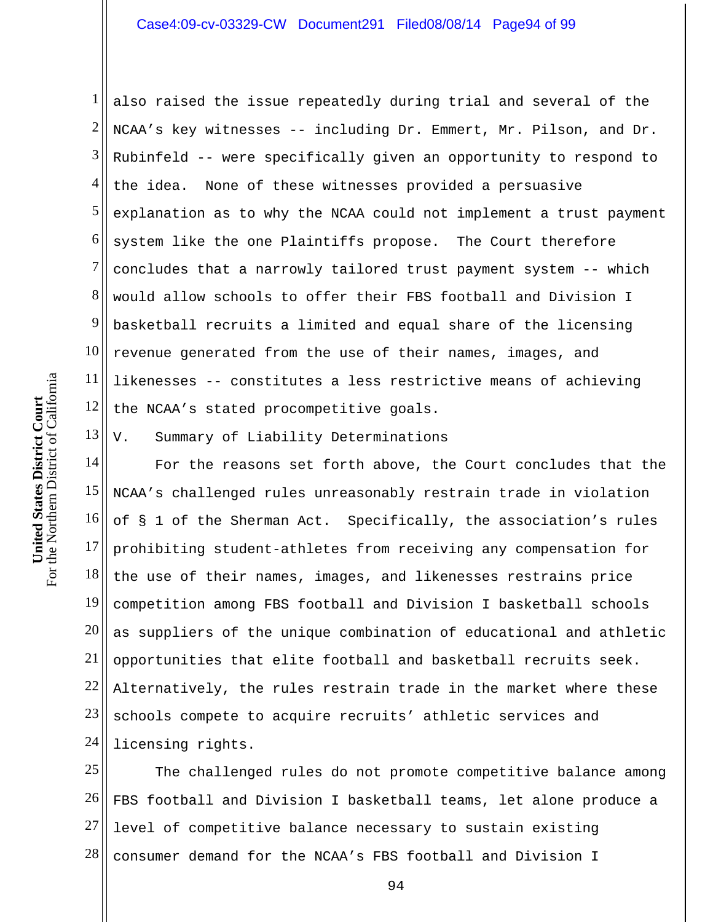1 2 3 4 5 6 7 8 9 10 11 12 also raised the issue repeatedly during trial and several of the NCAA's key witnesses -- including Dr. Emmert, Mr. Pilson, and Dr. Rubinfeld -- were specifically given an opportunity to respond to the idea. None of these witnesses provided a persuasive explanation as to why the NCAA could not implement a trust payment system like the one Plaintiffs propose. The Court therefore concludes that a narrowly tailored trust payment system -- which would allow schools to offer their FBS football and Division I basketball recruits a limited and equal share of the licensing revenue generated from the use of their names, images, and likenesses -- constitutes a less restrictive means of achieving the NCAA's stated procompetitive goals.

13 V. Summary of Liability Determinations

14 15 16 17 18 19 20 21 22 23 24 For the reasons set forth above, the Court concludes that the NCAA's challenged rules unreasonably restrain trade in violation of § 1 of the Sherman Act. Specifically, the association's rules prohibiting student-athletes from receiving any compensation for the use of their names, images, and likenesses restrains price competition among FBS football and Division I basketball schools as suppliers of the unique combination of educational and athletic opportunities that elite football and basketball recruits seek. Alternatively, the rules restrain trade in the market where these schools compete to acquire recruits' athletic services and licensing rights.

25 26 27 28 The challenged rules do not promote competitive balance among FBS football and Division I basketball teams, let alone produce a level of competitive balance necessary to sustain existing consumer demand for the NCAA's FBS football and Division I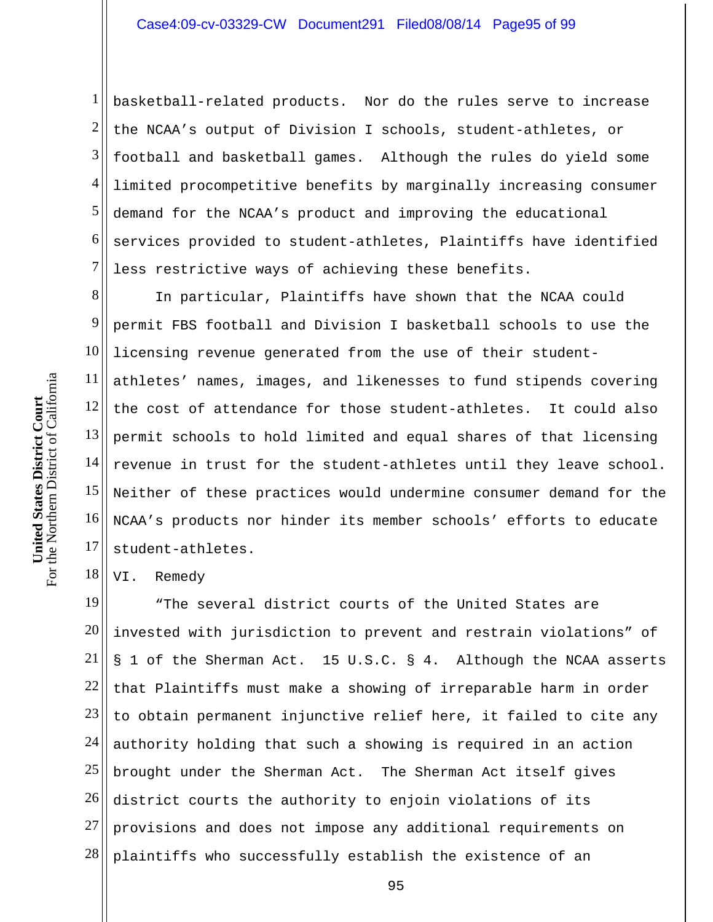1 2 3 4 5 6 7 basketball-related products. Nor do the rules serve to increase the NCAA's output of Division I schools, student-athletes, or football and basketball games. Although the rules do yield some limited procompetitive benefits by marginally increasing consumer demand for the NCAA's product and improving the educational services provided to student-athletes, Plaintiffs have identified less restrictive ways of achieving these benefits.

8 9 10 11 12 13 14 15 16 17 In particular, Plaintiffs have shown that the NCAA could permit FBS football and Division I basketball schools to use the licensing revenue generated from the use of their studentathletes' names, images, and likenesses to fund stipends covering the cost of attendance for those student-athletes. It could also permit schools to hold limited and equal shares of that licensing revenue in trust for the student-athletes until they leave school. Neither of these practices would undermine consumer demand for the NCAA's products nor hinder its member schools' efforts to educate student-athletes.

18 VI. Remedy

19 20 21 22 23 24 25 26 27 28 "The several district courts of the United States are invested with jurisdiction to prevent and restrain violations" of § 1 of the Sherman Act. 15 U.S.C. § 4. Although the NCAA asserts that Plaintiffs must make a showing of irreparable harm in order to obtain permanent injunctive relief here, it failed to cite any authority holding that such a showing is required in an action brought under the Sherman Act. The Sherman Act itself gives district courts the authority to enjoin violations of its provisions and does not impose any additional requirements on plaintiffs who successfully establish the existence of an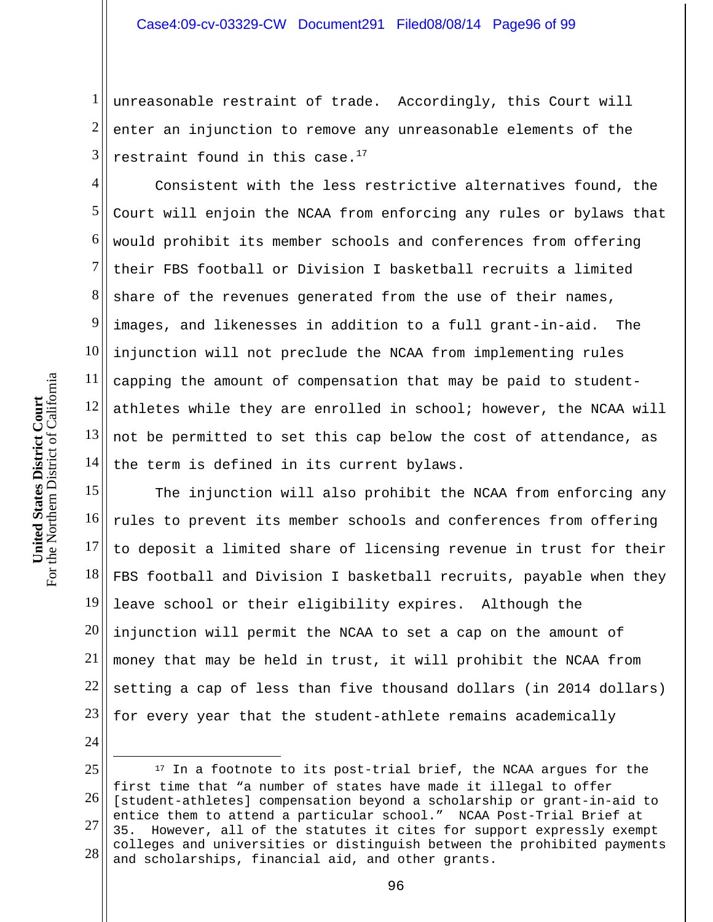1 2 3 unreasonable restraint of trade. Accordingly, this Court will enter an injunction to remove any unreasonable elements of the restraint found in this case. $^{17}$ 

4 5 6 7 8 9 10 11 12 13 14 Consistent with the less restrictive alternatives found, the Court will enjoin the NCAA from enforcing any rules or bylaws that would prohibit its member schools and conferences from offering their FBS football or Division I basketball recruits a limited share of the revenues generated from the use of their names, images, and likenesses in addition to a full grant-in-aid. The injunction will not preclude the NCAA from implementing rules capping the amount of compensation that may be paid to studentathletes while they are enrolled in school; however, the NCAA will not be permitted to set this cap below the cost of attendance, as the term is defined in its current bylaws.

15 16 17 18 19 20 21 22 23 The injunction will also prohibit the NCAA from enforcing any rules to prevent its member schools and conferences from offering to deposit a limited share of licensing revenue in trust for their FBS football and Division I basketball recruits, payable when they leave school or their eligibility expires. Although the injunction will permit the NCAA to set a cap on the amount of money that may be held in trust, it will prohibit the NCAA from setting a cap of less than five thousand dollars (in 2014 dollars) for every year that the student-athlete remains academically

24 25 26 27 28  $\overline{a}$ <sup>17</sup> In a footnote to its post-trial brief, the NCAA argues for the first time that "a number of states have made it illegal to offer [student-athletes] compensation beyond a scholarship or grant-in-aid to entice them to attend a particular school." NCAA Post-Trial Brief at 35. However, all of the statutes it cites for support expressly exempt colleges and universities or distinguish between the prohibited payments and scholarships, financial aid, and other grants.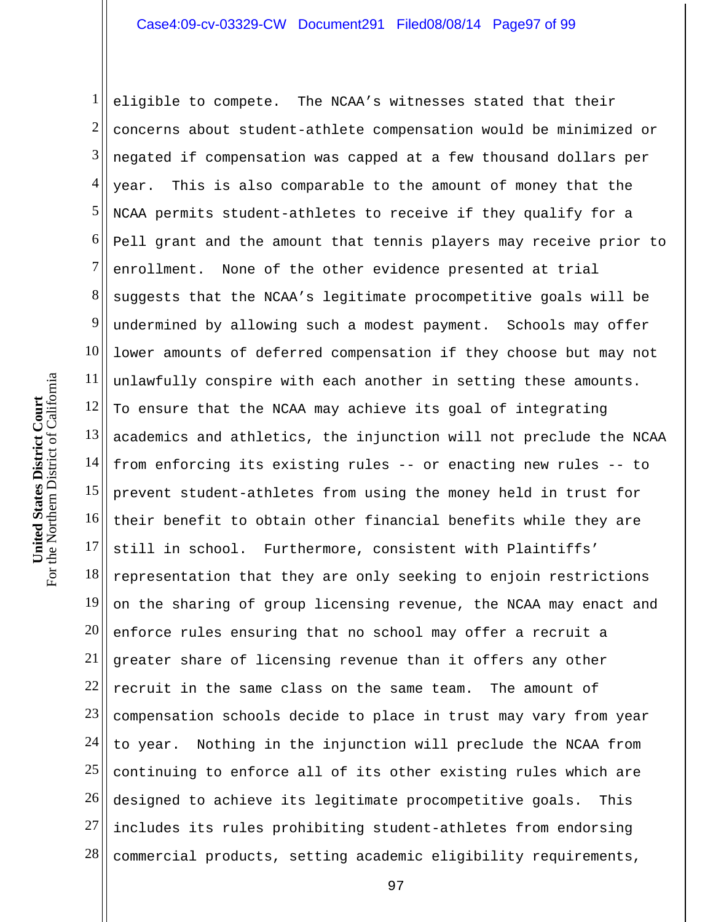1 2 3 4 5 6 7 8 9 10 11 12 13 14 15 16 17 18 19 20 21 22 23 24 25 26 27 28 eligible to compete. The NCAA's witnesses stated that their concerns about student-athlete compensation would be minimized or negated if compensation was capped at a few thousand dollars per year. This is also comparable to the amount of money that the NCAA permits student-athletes to receive if they qualify for a Pell grant and the amount that tennis players may receive prior to enrollment. None of the other evidence presented at trial suggests that the NCAA's legitimate procompetitive goals will be undermined by allowing such a modest payment. Schools may offer lower amounts of deferred compensation if they choose but may not unlawfully conspire with each another in setting these amounts. To ensure that the NCAA may achieve its goal of integrating academics and athletics, the injunction will not preclude the NCAA from enforcing its existing rules -- or enacting new rules -- to prevent student-athletes from using the money held in trust for their benefit to obtain other financial benefits while they are still in school. Furthermore, consistent with Plaintiffs' representation that they are only seeking to enjoin restrictions on the sharing of group licensing revenue, the NCAA may enact and enforce rules ensuring that no school may offer a recruit a greater share of licensing revenue than it offers any other recruit in the same class on the same team. The amount of compensation schools decide to place in trust may vary from year to year. Nothing in the injunction will preclude the NCAA from continuing to enforce all of its other existing rules which are designed to achieve its legitimate procompetitive goals. This includes its rules prohibiting student-athletes from endorsing commercial products, setting academic eligibility requirements,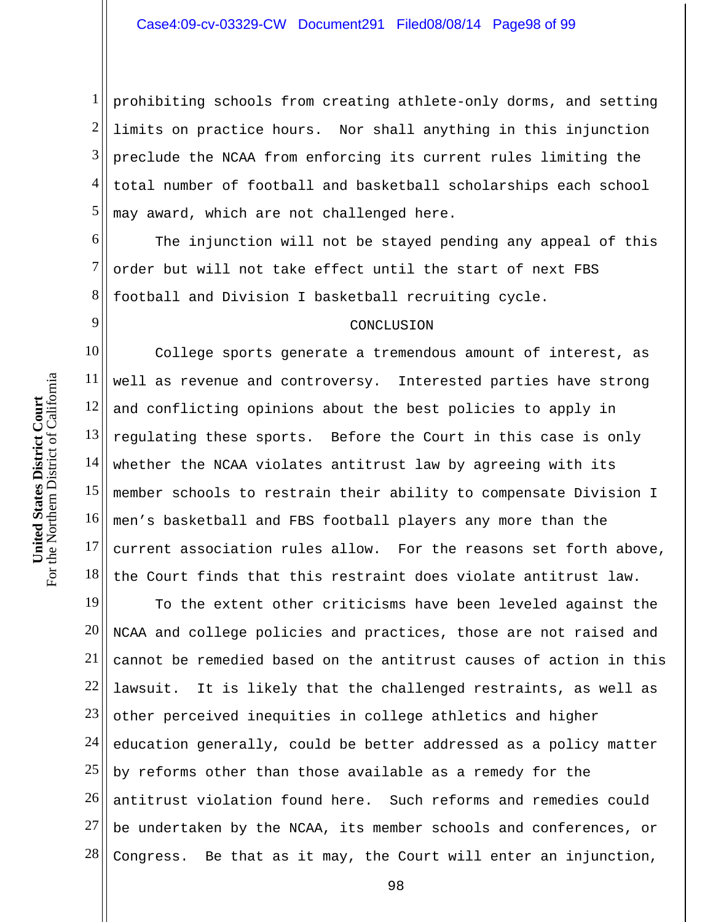1 2 3 4 5 prohibiting schools from creating athlete-only dorms, and setting limits on practice hours. Nor shall anything in this injunction preclude the NCAA from enforcing its current rules limiting the total number of football and basketball scholarships each school may award, which are not challenged here.

6 7 8 The injunction will not be stayed pending any appeal of this order but will not take effect until the start of next FBS football and Division I basketball recruiting cycle.

## CONCLUSION

10 11 12 13 14 15 16 17 18 College sports generate a tremendous amount of interest, as well as revenue and controversy. Interested parties have strong and conflicting opinions about the best policies to apply in regulating these sports. Before the Court in this case is only whether the NCAA violates antitrust law by agreeing with its member schools to restrain their ability to compensate Division I men's basketball and FBS football players any more than the current association rules allow. For the reasons set forth above, the Court finds that this restraint does violate antitrust law.

19 20 21 22 23 24 25 26 27 28 To the extent other criticisms have been leveled against the NCAA and college policies and practices, those are not raised and cannot be remedied based on the antitrust causes of action in this lawsuit. It is likely that the challenged restraints, as well as other perceived inequities in college athletics and higher education generally, could be better addressed as a policy matter by reforms other than those available as a remedy for the antitrust violation found here. Such reforms and remedies could be undertaken by the NCAA, its member schools and conferences, or Congress. Be that as it may, the Court will enter an injunction,

9